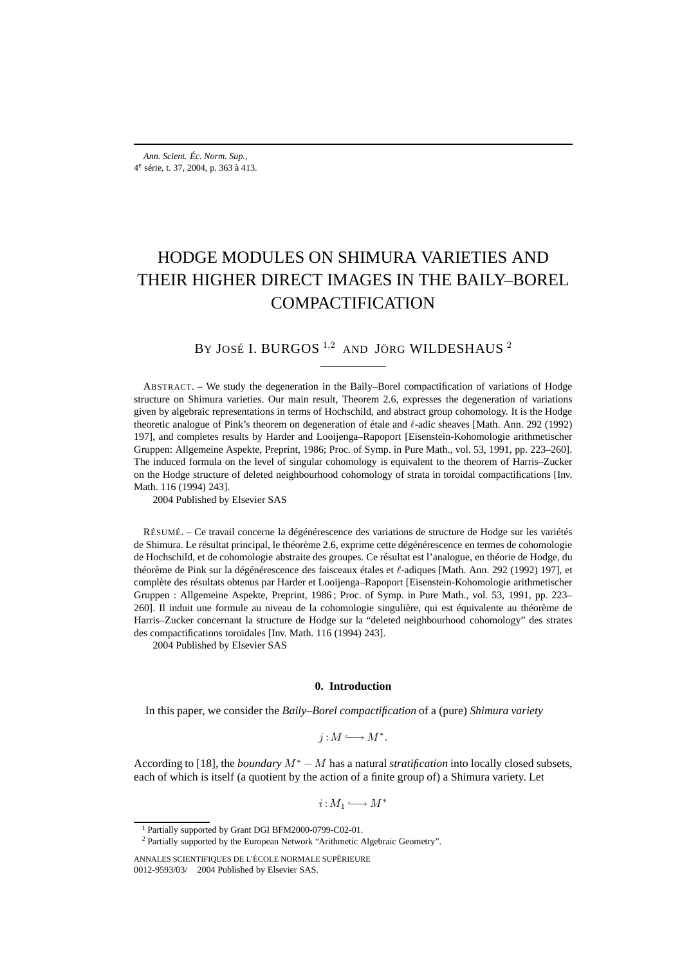# HODGE MODULES ON SHIMURA VARIETIES AND THEIR HIGHER DIRECT IMAGES IN THE BAILY–BOREL COMPACTIFICATION

# BY JOSÉ I. BURGOS<sup>1,2</sup> AND JÖRG WILDESHAUS<sup>2</sup>

ABSTRACT. – We study the degeneration in the Baily–Borel compactification of variations of Hodge structure on Shimura varieties. Our main result, Theorem 2.6, expresses the degeneration of variations given by algebraic representations in terms of Hochschild, and abstract group cohomology. It is the Hodge theoretic analogue of Pink's theorem on degeneration of étale and  $\ell$ -adic sheaves [Math. Ann. 292 (1992) 197], and completes results by Harder and Looijenga–Rapoport [Eisenstein-Kohomologie arithmetischer Gruppen: Allgemeine Aspekte, Preprint, 1986; Proc. of Symp. in Pure Math., vol. 53, 1991, pp. 223–260]. The induced formula on the level of singular cohomology is equivalent to the theorem of Harris–Zucker on the Hodge structure of deleted neighbourhood cohomology of strata in toroidal compactifications [Inv. Math. 116 (1994) 243].

2004 Published by Elsevier SAS

RÉSUMÉ. – Ce travail concerne la dégénérescence des variations de structure de Hodge sur les variétés de Shimura. Le résultat principal, le théorème 2.6, exprime cette dégénérescence en termes de cohomologie de Hochschild, et de cohomologie abstraite des groupes. Ce résultat est l'analogue, en théorie de Hodge, du théorème de Pink sur la dégénérescence des faisceaux étales et  $\ell$ -adiques [Math. Ann. 292 (1992) 197], et complète des résultats obtenus par Harder et Looijenga–Rapoport [Eisenstein-Kohomologie arithmetischer Gruppen : Allgemeine Aspekte, Preprint, 1986 ; Proc. of Symp. in Pure Math., vol. 53, 1991, pp. 223– 260]. Il induit une formule au niveau de la cohomologie singulière, qui est équivalente au théorème de Harris–Zucker concernant la structure de Hodge sur la "deleted neighbourhood cohomology" des strates des compactifications toroïdales [Inv. Math. 116 (1994) 243].

2004 Published by Elsevier SAS

#### **0. Introduction**

In this paper, we consider the *Baily–Borel compactification* of a (pure) *Shimura variety*

$$
j:M\longrightarrow M^*.
$$

According to [18], the *boundary* M<sup>∗</sup> − M has a natural *stratification* into locally closed subsets, each of which is itself (a quotient by the action of a finite group of) a Shimura variety. Let

 $i:M_1 \longrightarrow M^*$ 

<sup>1</sup> Partially supported by Grant DGI BFM2000-0799-C02-01.

<sup>&</sup>lt;sup>2</sup> Partially supported by the European Network "Arithmetic Algebraic Geometry".

ANNALES SCIENTIFIQUES DE L'ÉCOLE NORMALE SUPÉRIEURE 0012-9593/03/© 2004 Published by Elsevier SAS.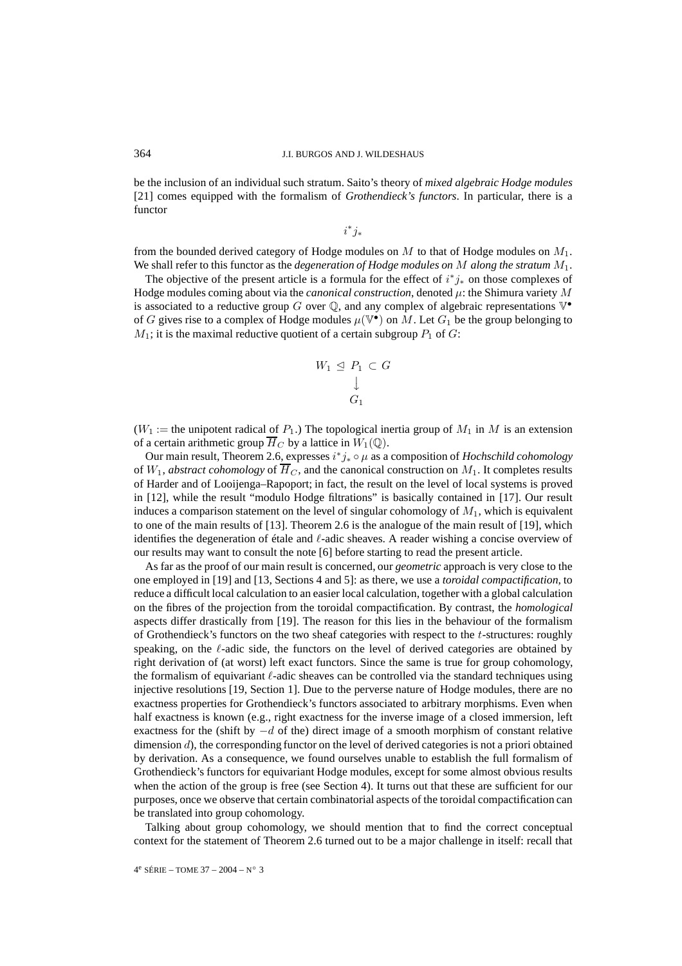be the inclusion of an individual such stratum. Saito's theory of *mixed algebraic Hodge modules* [21] comes equipped with the formalism of *Grothendieck's functors*. In particular, there is a functor

 $i^*j_*$ 

from the bounded derived category of Hodge modules on  $M$  to that of Hodge modules on  $M_1$ . We shall refer to this functor as the *degeneration of Hodge modules on* M *along the stratum* M1.

The objective of the present article is a formula for the effect of  $i^*j_*$  on those complexes of Hodge modules coming about via the *canonical construction*, denoted  $\mu$ : the Shimura variety  $M$ is associated to a reductive group G over  $\mathbb Q$ , and any complex of algebraic representations  $\mathbb V^{\bullet}$ of G gives rise to a complex of Hodge modules  $\mu(\mathbb{V}^{\bullet})$  on M. Let  $G_1$  be the group belonging to  $M_1$ ; it is the maximal reductive quotient of a certain subgroup  $P_1$  of  $G$ :

$$
W_1 \trianglelefteq P_1 \subset G
$$
  

$$
\downarrow
$$
  

$$
G_1
$$

 $(W_1)$  := the unipotent radical of  $P_1$ .) The topological inertia group of  $M_1$  in M is an extension of a certain arithmetic group  $\overline{H}_C$  by a lattice in  $W_1(\mathbb{Q})$ .

Our main result, Theorem 2.6, expresses i <sup>∗</sup>j<sup>∗</sup> ◦ µ as a composition of *Hochschild cohomology* of  $W_1$ , *abstract cohomology* of  $\overline{H}_C$ , and the canonical construction on  $M_1$ . It completes results of Harder and of Looijenga–Rapoport; in fact, the result on the level of local systems is proved in [12], while the result "modulo Hodge filtrations" is basically contained in [17]. Our result induces a comparison statement on the level of singular cohomology of  $M_1$ , which is equivalent to one of the main results of [13]. Theorem 2.6 is the analogue of the main result of [19], which identifies the degeneration of étale and  $\ell$ -adic sheaves. A reader wishing a concise overview of our results may want to consult the note [6] before starting to read the present article.

As far as the proof of our main result is concerned, our *geometric* approach is very close to the one employed in [19] and [13, Sections 4 and 5]: as there, we use a *toroidal compactification*, to reduce a difficult local calculation to an easier local calculation, together with a global calculation on the fibres of the projection from the toroidal compactification. By contrast, the *homological* aspects differ drastically from [19]. The reason for this lies in the behaviour of the formalism of Grothendieck's functors on the two sheaf categories with respect to the  $t$ -structures: roughly speaking, on the  $\ell$ -adic side, the functors on the level of derived categories are obtained by right derivation of (at worst) left exact functors. Since the same is true for group cohomology, the formalism of equivariant  $\ell$ -adic sheaves can be controlled via the standard techniques using injective resolutions [19, Section 1]. Due to the perverse nature of Hodge modules, there are no exactness properties for Grothendieck's functors associated to arbitrary morphisms. Even when half exactness is known (e.g., right exactness for the inverse image of a closed immersion, left exactness for the (shift by  $-d$  of the) direct image of a smooth morphism of constant relative dimension d), the corresponding functor on the level of derived categories is not a priori obtained by derivation. As a consequence, we found ourselves unable to establish the full formalism of Grothendieck's functors for equivariant Hodge modules, except for some almost obvious results when the action of the group is free (see Section 4). It turns out that these are sufficient for our purposes, once we observe that certain combinatorial aspects of the toroidal compactification can be translated into group cohomology.

Talking about group cohomology, we should mention that to find the correct conceptual context for the statement of Theorem 2.6 turned out to be a major challenge in itself: recall that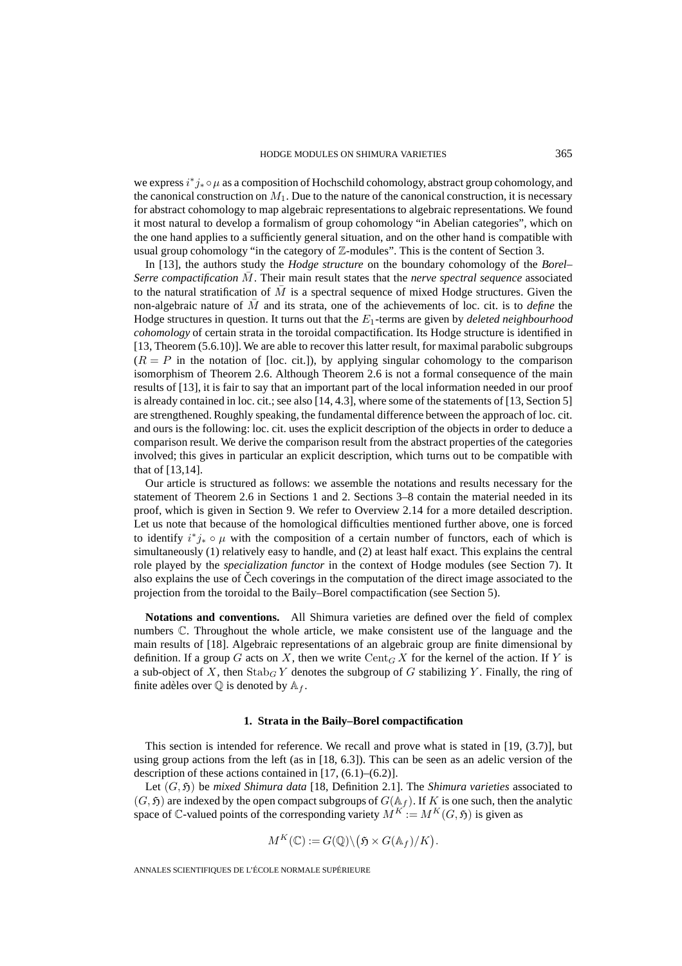we express  $i^*j_* \circ \mu$  as a composition of Hochschild cohomology, abstract group cohomology, and the canonical construction on  $M_1$ . Due to the nature of the canonical construction, it is necessary for abstract cohomology to map algebraic representations to algebraic representations. We found it most natural to develop a formalism of group cohomology "in Abelian categories", which on the one hand applies to a sufficiently general situation, and on the other hand is compatible with usual group cohomology "in the category of  $\mathbb Z$ -modules". This is the content of Section 3.

In [13], the authors study the *Hodge structure* on the boundary cohomology of the *Borel– Serre compactification* M. Their main result states that the *nerve spectral sequence* associated to the natural stratification of  $\overline{M}$  is a spectral sequence of mixed Hodge structures. Given the non-algebraic nature of M¯ and its strata, one of the achievements of loc. cit. is to *define* the Hodge structures in question. It turns out that the E1-terms are given by *deleted neighbourhood cohomology* of certain strata in the toroidal compactification. Its Hodge structure is identified in [13, Theorem (5.6.10)]. We are able to recover this latter result, for maximal parabolic subgroups  $(R = P)$  in the notation of [loc. cit.]), by applying singular cohomology to the comparison isomorphism of Theorem 2.6. Although Theorem 2.6 is not a formal consequence of the main results of [13], it is fair to say that an important part of the local information needed in our proof is already contained in loc. cit.; see also [14, 4.3], where some of the statements of [13, Section 5] are strengthened. Roughly speaking, the fundamental difference between the approach of loc. cit. and ours is the following: loc. cit. uses the explicit description of the objects in order to deduce a comparison result. We derive the comparison result from the abstract properties of the categories involved; this gives in particular an explicit description, which turns out to be compatible with that of [13,14].

Our article is structured as follows: we assemble the notations and results necessary for the statement of Theorem 2.6 in Sections 1 and 2. Sections 3–8 contain the material needed in its proof, which is given in Section 9. We refer to Overview 2.14 for a more detailed description. Let us note that because of the homological difficulties mentioned further above, one is forced to identify  $i^*j_* \circ \mu$  with the composition of a certain number of functors, each of which is simultaneously (1) relatively easy to handle, and (2) at least half exact. This explains the central role played by the *specialization functor* in the context of Hodge modules (see Section 7). It also explains the use of Čech coverings in the computation of the direct image associated to the projection from the toroidal to the Baily–Borel compactification (see Section 5).

**Notations and conventions.** All Shimura varieties are defined over the field of complex numbers C. Throughout the whole article, we make consistent use of the language and the main results of [18]. Algebraic representations of an algebraic group are finite dimensional by definition. If a group G acts on X, then we write  $Cent_G X$  for the kernel of the action. If Y is a sub-object of X, then  $\text{Stab}_G Y$  denotes the subgroup of G stabilizing Y. Finally, the ring of finite adèles over  $\mathbb Q$  is denoted by  $\mathbb A_f$ .

#### **1. Strata in the Baily–Borel compactification**

This section is intended for reference. We recall and prove what is stated in [19, (3.7)], but using group actions from the left (as in [18, 6.3]). This can be seen as an adelic version of the description of these actions contained in [17, (6.1)–(6.2)].

Let  $(G, \mathfrak{H})$  be *mixed Shimura data* [18, Definition 2.1]. The *Shimura varieties* associated to  $(G, \mathfrak{H})$  are indexed by the open compact subgroups of  $G(\mathbb{A}_f)$ . If K is one such, then the analytic space of  $\mathbb C$ -valued points of the corresponding variety  $M^K := M^K(G, \mathfrak{H})$  is given as )–(6.2)].<br>tion 2.1]. The *Si*<br>ss of  $G(\mathbb{A}_f)$ . If *K*<br>iety  $M^K := M^I$ <br> $\mathfrak{H} \times G(\mathbb{A}_f)/K$ )

$$
M^K(\mathbb{C}) := G(\mathbb{Q}) \setminus (\mathfrak{H} \times G(\mathbb{A}_f)/K).
$$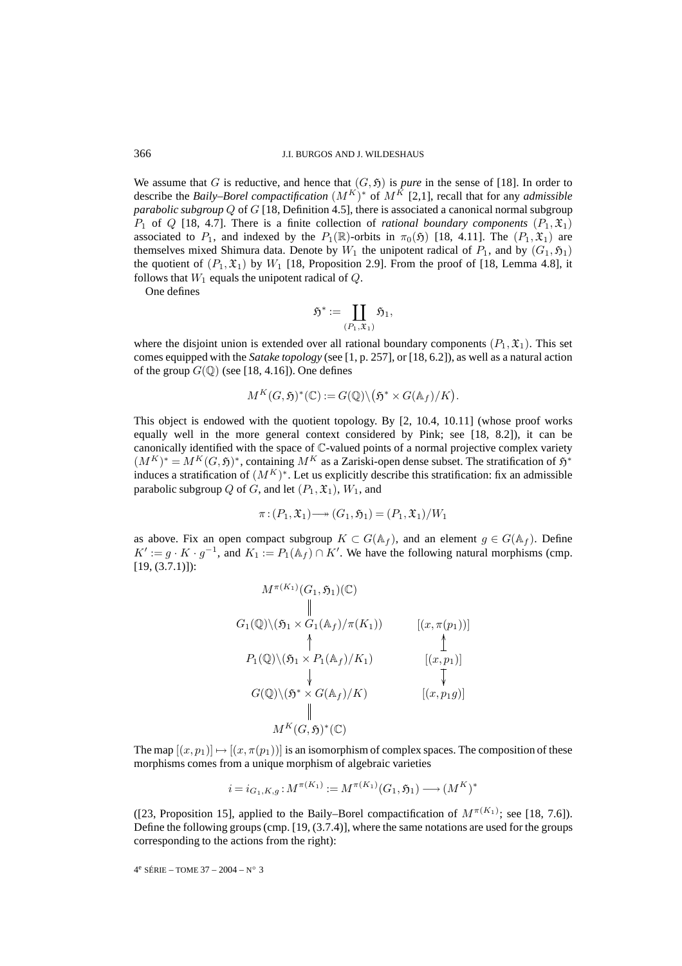We assume that G is reductive, and hence that  $(G, \mathfrak{H})$  is *pure* in the sense of [18]. In order to describe the *Baily–Borel compactification*  $(M^K)^*$  of  $M^K$  [2,1], recall that for any *admissible parabolic subgroup* Q of G [18, Definition 4.5], there is associated a canonical normal subgroup  $P_1$  of Q [18, 4.7]. There is a finite collection of *rational boundary components*  $(P_1, \mathfrak{X}_1)$ associated to  $P_1$ , and indexed by the  $P_1(\mathbb{R})$ -orbits in  $\pi_0(\mathfrak{H})$  [18, 4.11]. The  $(P_1, \mathfrak{X}_1)$  are themselves mixed Shimura data. Denote by W<sub>1</sub> the unipotent radical of  $P_1$ , and by  $(G_1, \mathfrak{H}_1)$  the unipotent radical of  $P_1$ , and by  $(G_1, \mathfrak{H}_1)$  the quotient of  $(P_1, \mathfrak{X}_1)$  by  $W_1$  [18, Proposition 2.9]. F the quotient of  $(P_1, \mathfrak{X}_1)$  by  $W_1$  [18, Proposition 2.9]. From the proof of [18, Lemma 4.8], it follows that  $W_1$  equals the unipotent radical of  $Q$ .

One defines

$$
\mathfrak{H}^*:=\coprod_{(P_1,\mathfrak{X}_1)}\mathfrak{H}_1,
$$

where the disjoint union is extended over all rational boundary components  $(P_1, \mathfrak{X}_1)$ . This set comes equipped with the *Satake topology* (see [1, p. 257], or [18, 6.2]), as well as a natural action of the group  $G(\mathbb{Q})$  (see [18, 4.16]). One defines d boundary comp<br>57], or [18, 6.2]),<br> $5^* \times G(\mathbb{A}_f)/K$ 

$$
M^K(G,\mathfrak{H})^*(\mathbb{C}):=G(\mathbb{Q})\backslash (\mathfrak{H}^*\times G(\mathbb{A}_f)/K).
$$

This object is endowed with the quotient topology. By [2, 10.4, 10.11] (whose proof works equally well in the more general context considered by Pink; see [18, 8.2]), it can be canonically identified with the space of C-valued points of a normal projective complex variety  $(M^K)^* = M^K(G, \mathfrak{H})^*$ , containing  $M^K$  as a Zariski-open dense subset. The stratification of  $\mathfrak{H}^*$ induces a stratification of  $(M^K)^*$ . Let us explicitly describe this stratification: fix an admissible parabolic subgroup Q of G, and let  $(P_1, \mathfrak{X}_1)$ ,  $W_1$ , and

$$
\pi: (P_1, \mathfrak{X}_1) \longrightarrow (G_1, \mathfrak{H}_1) = (P_1, \mathfrak{X}_1) / W_1
$$

as above. Fix an open compact subgroup  $K \subset G(\mathbb{A}_f)$ , and an element  $g \in G(\mathbb{A}_f)$ . Define  $K' := g \cdot K \cdot g^{-1}$ , and  $K_1 := P_1(\mathbb{A}_f) \cap K'$ . We have the following natural morphisms (cmp.  $[19, (3.7.1)]$ :

$$
M^{\pi(K_1)}(G_1, \mathfrak{H}_1)(\mathbb{C})
$$
\n
$$
\parallel
$$
\n
$$
G_1(\mathbb{Q})\setminus(\mathfrak{H}_1 \times G_1(\mathbb{A}_f)/\pi(K_1)) \qquad [(x, \pi(p_1))]
$$
\n
$$
\uparrow \qquad \qquad [\mathfrak{H}_1(\mathbb{Q})\setminus(\mathfrak{H}_1 \times P_1(\mathbb{A}_f)/K_1) \qquad [(x, p_1)]
$$
\n
$$
G(\mathbb{Q})\setminus(\mathfrak{H}^* \times G(\mathbb{A}_f)/K) \qquad [\mathfrak{H}, \mathfrak{H}]\n\\ \parallel
$$
\n
$$
M^K(G, \mathfrak{H})^*(\mathbb{C})
$$

The map  $[(x, p_1)] \mapsto [(x, \pi(p_1))]$  is an isomorphism of complex spaces. The composition of these morphisms comes from a unique morphism of algebraic varieties

$$
i = i_{G_1, K, g} : M^{\pi(K_1)} := M^{\pi(K_1)}(G_1, \mathfrak{H}_1) \longrightarrow (M^K)^*
$$

([23, Proposition 15], applied to the Baily–Borel compactification of  $M^{\pi(K_1)}$ ; see [18, 7.6]). Define the following groups (cmp. [19, (3.7.4)], where the same notations are used for the groups corresponding to the actions from the right):

4<sup>e</sup> SÉRIE – TOME 37 – 2004 – N° 3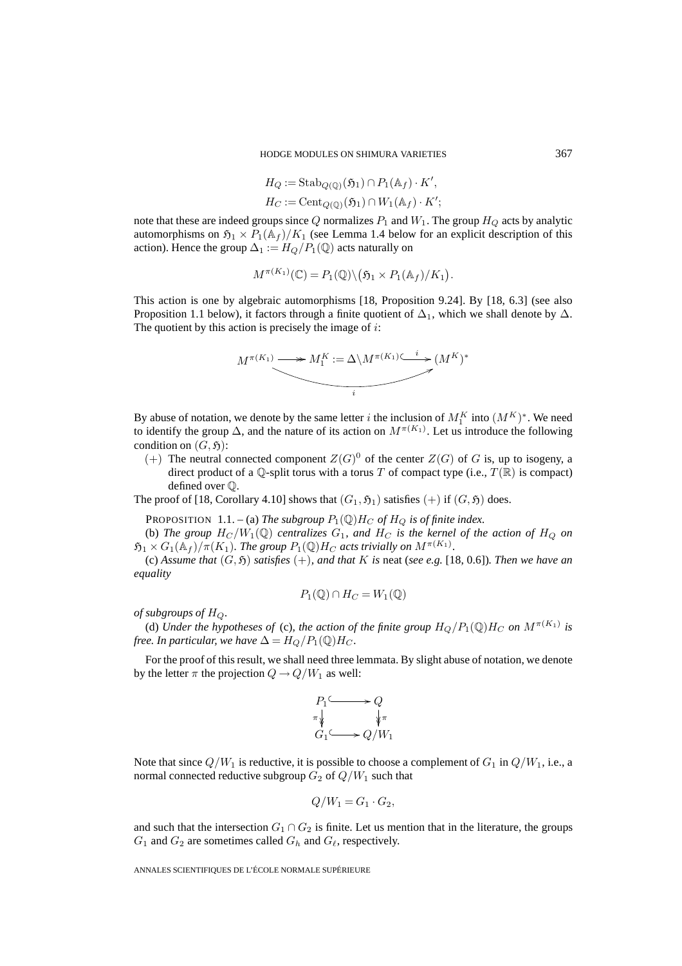$$
H_Q := \operatorname{Stab}_{Q(\mathbb{Q})}(\mathfrak{H}_1) \cap P_1(\mathbb{A}_f) \cdot K',
$$
  

$$
H_C := \operatorname{Cent}_{Q(\mathbb{Q})}(\mathfrak{H}_1) \cap W_1(\mathbb{A}_f) \cdot K';
$$

note that these are indeed groups since Q normalizes  $P_1$  and  $W_1$ . The group  $H_Q$  acts by analytic automorphisms on  $\mathfrak{H}_1 \times P_1(\mathbb{A}_f)/K_1$  (see Lemma 1.4 below for an explicit description of this action). Hence the group  $\Delta_1 := H_Q/P_1(\mathbb{Q})$  acts naturally on

$$
M^{\pi(K_1)}(\mathbb{C}) = P_1(\mathbb{Q}) \setminus (\mathfrak{H}_1 \times P_1(\mathbb{A}_f)/K_1).
$$

This action is one by algebraic automorphisms [18, Proposition 9.24]. By [18, 6.3] (see also Proposition 1.1 below), it factors through a finite quotient of  $\Delta_1$ , which we shall denote by  $\Delta$ . The quotient by this action is precisely the image of  $i$ :



By abuse of notation, we denote by the same letter i the inclusion of  $M_1^K$  into  $(M^K)^*$ . We need to identify the group  $\Delta$ , and the nature of its action on  $M^{\pi(K_1)}$ . Let us introduce the following condition on  $(G, \mathfrak{H})$ :

(+) The neutral connected component  $Z(G)^0$  of the center  $Z(G)$  of G is, up to isogeny, a direct product of a  $\mathbb Q$ -split torus with a torus T of compact type (i.e.,  $T(\mathbb R)$  is compact) defined over Q.

The proof of [18, Corollary 4.10] shows that  $(G_1, \mathfrak{H}_1)$  satisfies  $(+)$  if  $(G, \mathfrak{H})$  does.

PROPOSITION 1.1. – (a) *The subgroup*  $P_1(\mathbb{Q})H_C$  *of*  $H_Q$  *is of finite index.* 

(b) The group  $H_C/W_1(\mathbb{Q})$  centralizes  $G_1$ , and  $H_C$  is the kernel of the action of  $H_O$  on  $\mathfrak{H}_1 \times G_1(\mathbb{A}_f)/\pi(K_1)$ . The group  $P_1(\mathbb{Q})H_C$  acts trivially on  $M^{\pi(K_1)}$ .

(c) Assume that  $(G, \mathfrak{H})$  *satisfies*  $(+)$ *, and that* K *is* neat (*see e.g.* [18, 0.6]). Then we have an *equality*

$$
P_1(\mathbb{Q}) \cap H_C = W_1(\mathbb{Q})
$$

*of subgroups of*  $H_Q$ .

(d) *Under the hypotheses of* (c), the action of the finite group  $H_Q/P_1(\mathbb{Q})H_C$  on  $M^{\pi(K_1)}$  is *free. In particular, we have*  $\Delta = H_Q/P_1(\mathbb{Q})H_C$ *.* 

For the proof of this result, we shall need three lemmata. By slight abuse of notation, we denote by the letter  $\pi$  the projection  $Q \rightarrow Q/W_1$  as well:

$$
\begin{array}{ccc}\nP_1 \longrightarrow Q \\
\pi \downarrow & & \downarrow \pi \\
G_1 \longrightarrow Q/W_1\n\end{array}
$$

Note that since  $Q/W_1$  is reductive, it is possible to choose a complement of  $G_1$  in  $Q/W_1$ , i.e., a normal connected reductive subgroup  $G_2$  of  $Q/W_1$  such that

$$
Q/W_1 = G_1 \cdot G_2,
$$

and such that the intersection  $G_1 \cap G_2$  is finite. Let us mention that in the literature, the groups  $G_1$  and  $G_2$  are sometimes called  $G_h$  and  $G_\ell$ , respectively.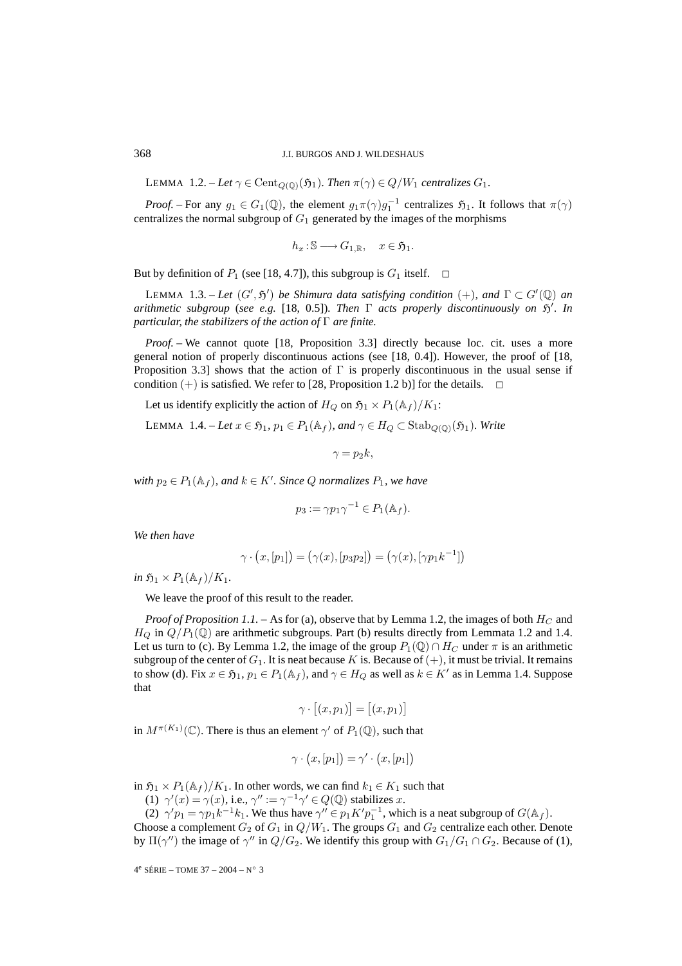LEMMA 1.2. – Let  $\gamma \in \text{Cent}_{O(\mathbb{O})}(\mathfrak{H}_1)$ *. Then*  $\pi(\gamma) \in Q/W_1$  *centralizes*  $G_1$ *.* 

*Proof.* – For any  $g_1 \in G_1(\mathbb{Q})$ , the element  $g_1 \pi(\gamma) g_1^{-1}$  centralizes  $\mathfrak{H}_1$ . It follows that  $\pi(\gamma)$ centralizes the normal subgroup of  $G_1$  generated by the images of the morphisms

$$
h_x: \mathbb{S} \longrightarrow G_{1,\mathbb{R}}, \quad x \in \mathfrak{H}_1.
$$

But by definition of  $P_1$  (see [18, 4.7]), this subgroup is  $G_1$  itself.  $\Box$ 

LEMMA 1.3. – Let  $(G', \mathfrak{H}')$  be Shimura data satisfying condition  $(+)$ , and  $\Gamma \subset G'(\mathbb{Q})$  an *arithmetic subgroup* (*see e.g.* [18, 0.5]). Then  $\Gamma$  acts properly discontinuously on  $\mathfrak{H}'$ . In *particular, the stabilizers of the action of* Γ *are finite.*

*Proof.* – We cannot quote [18, Proposition 3.3] directly because loc. cit. uses a more general notion of properly discontinuous actions (see [18, 0.4]). However, the proof of [18, Proposition 3.3] shows that the action of  $\Gamma$  is properly discontinuous in the usual sense if condition  $(+)$  is satisfied. We refer to [28, Proposition 1.2 b)] for the details.

Let us identify explicitly the action of  $H_Q$  on  $\mathfrak{H}_1 \times P_1(\mathbb{A}_f)/K_1$ :

LEMMA 1.4. – *Let*  $x \in \mathfrak{H}_1$ ,  $p_1 \in P_1(\mathbb{A}_f)$ , and  $\gamma \in H_Q \subset \text{Stab}_{Q(\mathbb{O})}(\mathfrak{H}_1)$ *. Write* 

$$
\gamma = p_2 k,
$$

 $$ 

$$
p_3 := \gamma p_1 \gamma^{-1} \in P_1(\mathbb{A}_f).
$$

*We then have*

$$
p_3 := \gamma p_1 \gamma^{-1} \in P_1(\mathbb{A}_f).
$$
  

$$
\gamma \cdot (x, [p_1]) = (\gamma(x), [p_3 p_2]) = (\gamma(x), [\gamma p_1 k^{-1}])
$$

*in*  $\mathfrak{H}_1 \times P_1(\mathbb{A}_f)/K_1$ .

We leave the proof of this result to the reader.

*Proof of Proposition 1.1.* – As for (a), observe that by Lemma 1.2, the images of both  $H_C$  and  $H_Q$  in  $Q/P_1(\mathbb{Q})$  are arithmetic subgroups. Part (b) results directly from Lemmata 1.2 and 1.4. Let us turn to (c). By Lemma 1.2, the image of the group  $P_1(\mathbb{Q}) \cap H_C$  under  $\pi$  is an arithmetic subgroup of the center of  $G_1$ . It is neat because K is. Because of  $(+)$ , it must be trivial. It remains to show (d). Fix  $x \in \mathfrak{H}_1$ ,  $p_1 \in P_1(\mathbb{A}_f)$ , and  $\gamma \in H_Q$  as well as  $k \in K'$  as in Lemma 1.4. Suppose that  $\begin{aligned} \n\begin{bmatrix} 6 \\ \n\end{bmatrix} \\
\begin{bmatrix} 1 & 1 \\ \n\end{bmatrix} \\
I_Q & \n\end{aligned} = \n\begin{bmatrix} 1 & 1 \\ 0 & \n\end{bmatrix}$ 

$$
\gamma \cdot [(x, p_1)] = [(x, p_1)]
$$

in  $M^{\pi(K_1)}(\mathbb{C})$ . There is thus an element  $\gamma'$  of  $P_1(\mathbb{Q})$ , such that

$$
\gamma \cdot (x, [p_1]) = \gamma' \cdot (x, [p_1])
$$

in  $\mathfrak{H}_1 \times P_1(\mathbb{A}_f)/K_1$ . In other words, we can find  $k_1 \in K_1$  such that

(1)  $\gamma'(x) = \gamma(x)$ , i.e.,  $\gamma'' := \gamma^{-1}\gamma' \in Q(\mathbb{Q})$  stabilizes x.

(2)  $\gamma' p_1 = \gamma p_1 k^{-1} k_1$ . We thus have  $\gamma'' \in p_1 K' p_1^{-1}$ , which is a neat subgroup of  $G(\mathbb{A}_f)$ . Choose a complement  $G_2$  of  $G_1$  in  $Q/W_1$ . The groups  $G_1$  and  $G_2$  centralize each other. Denote by  $\Pi(\gamma'')$  the image of  $\gamma''$  in  $Q/G_2$ . We identify this group with  $G_1/G_1 \cap G_2$ . Because of (1),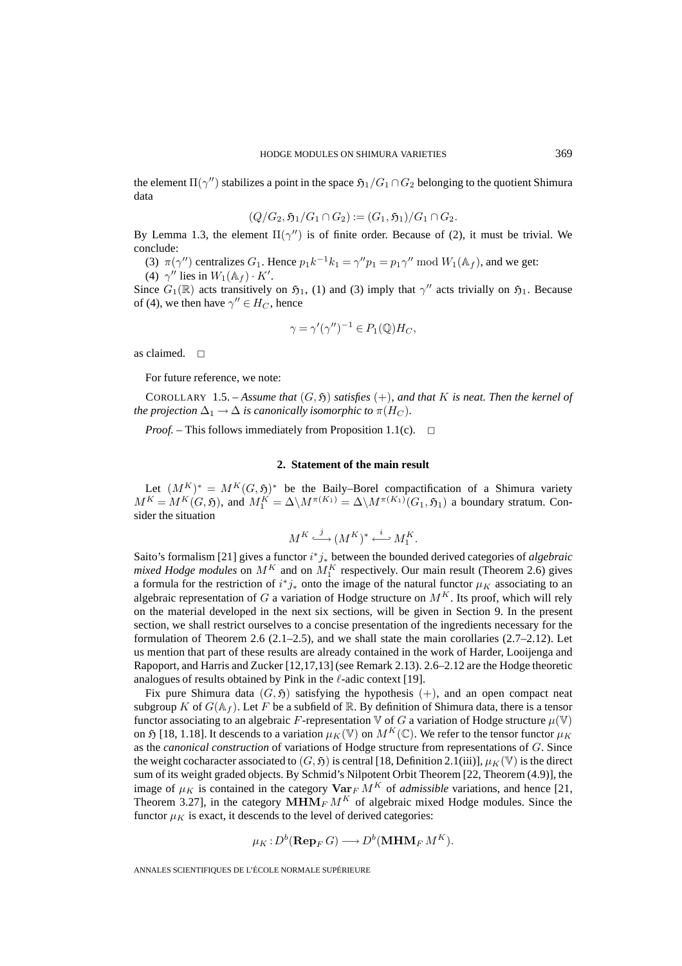the element  $\Pi(\gamma'')$  stabilizes a point in the space  $\mathfrak{H}_1/G_1\cap G_2$  belonging to the quotient Shimura data

$$
(Q/G_2, \mathfrak{H}_1/G_1 \cap G_2) := (G_1, \mathfrak{H}_1)/G_1 \cap G_2.
$$

By Lemma 1.3, the element  $\Pi(\gamma'')$  is of finite order. Because of (2), it must be trivial. We conclude:

(3)  $\pi(\gamma'')$  centralizes  $G_1$ . Hence  $p_1k^{-1}k_1 = \gamma''p_1 = p_1\gamma'' \mod W_1(\mathbb{A}_f)$ , and we get:

(4)  $\gamma''$  lies in  $W_1(\mathbb{A}_f) \cdot K'$ .

Since  $G_1(\mathbb{R})$  acts transitively on  $\mathfrak{H}_1$ , (1) and (3) imply that  $\gamma''$  acts trivially on  $\mathfrak{H}_1$ . Because of (4), we then have  $\gamma'' \in H_C$ , hence

$$
\gamma = \gamma'(\gamma'')^{-1} \in P_1(\mathbb{Q})H_C,
$$

as claimed.  $\square$ 

For future reference, we note:

COROLLARY 1.5. – *Assume that*  $(G, \mathfrak{H})$  *satisfies*  $(+)$ *, and that* K *is neat. Then the kernel of the projection*  $\Delta_1 \rightarrow \Delta$  *is canonically isomorphic to*  $\pi(H_C)$ *.* 

*Proof.* – This follows immediately from Proposition 1.1(c).  $\Box$ 

#### **2. Statement of the main result**

Let  $(M^K)^* = M^K(G, \mathfrak{H})^*$  be the Baily–Borel compactification of a Shimura variety  $M^K = M^K(G, \mathfrak{H})$ , and  $M^K_1 = \Delta \setminus M^{\pi(K_1)} = \Delta \setminus M^{\pi(K_1)}(G_1, \mathfrak{H}_1)$  a boundary stratum. Consider the situation

$$
M^K \stackrel{j}{\longrightarrow} (M^K)^* \stackrel{i}{\longleftarrow} M^K_1.
$$

Saito's formalism [21] gives a functor i <sup>∗</sup>j<sup>∗</sup> between the bounded derived categories of *algebraic mixed Hodge modules* on  $M^K$  and on  $M_1^K$  respectively. Our main result (Theorem 2.6) gives a formula for the restriction of  $i^*j_*$  onto the image of the natural functor  $\mu_K$  associating to an algebraic representation of G a variation of Hodge structure on  $M<sup>K</sup>$ . Its proof, which will rely on the material developed in the next six sections, will be given in Section 9. In the present section, we shall restrict ourselves to a concise presentation of the ingredients necessary for the formulation of Theorem 2.6 (2.1–2.5), and we shall state the main corollaries (2.7–2.12). Let us mention that part of these results are already contained in the work of Harder, Looijenga and Rapoport, and Harris and Zucker [12,17,13] (see Remark 2.13). 2.6–2.12 are the Hodge theoretic analogues of results obtained by Pink in the  $\ell$ -adic context [19].

Fix pure Shimura data  $(G, \mathfrak{H})$  satisfying the hypothesis  $(+)$ , and an open compact neat subgroup K of  $G(\mathbb{A}_f)$ . Let F be a subfield of R. By definition of Shimura data, there is a tensor functor associating to an algebraic F-representation V of G a variation of Hodge structure  $\mu(\mathbb{V})$ on 5 [18, 1.18]. It descends to a variation  $\mu_K(\mathbb{V})$  on  $M^K(\mathbb{C})$ . We refer to the tensor functor  $\mu_K$ as the *canonical construction* of variations of Hodge structure from representations of G. Since the weight cocharacter associated to  $(G, \mathfrak{H})$  is central [18, Definition 2.1(iii)],  $\mu_K(\mathbb{V})$  is the direct sum of its weight graded objects. By Schmid's Nilpotent Orbit Theorem [22, Theorem (4.9)], the image of  $\mu_K$  is contained in the category  $\textbf{Var}_F M^K$  of *admissible* variations, and hence [21, Theorem 3.27], in the category  $\widetilde{\textbf{MHM}_{F}} M^{K}$  of algebraic mixed Hodge modules. Since the functor  $\mu_K$  is exact, it descends to the level of derived categories:

$$
\mu_K: D^b(\mathbf{Rep}_F\,G) \longrightarrow D^b(\mathbf{MHM}_F\,M^K).
$$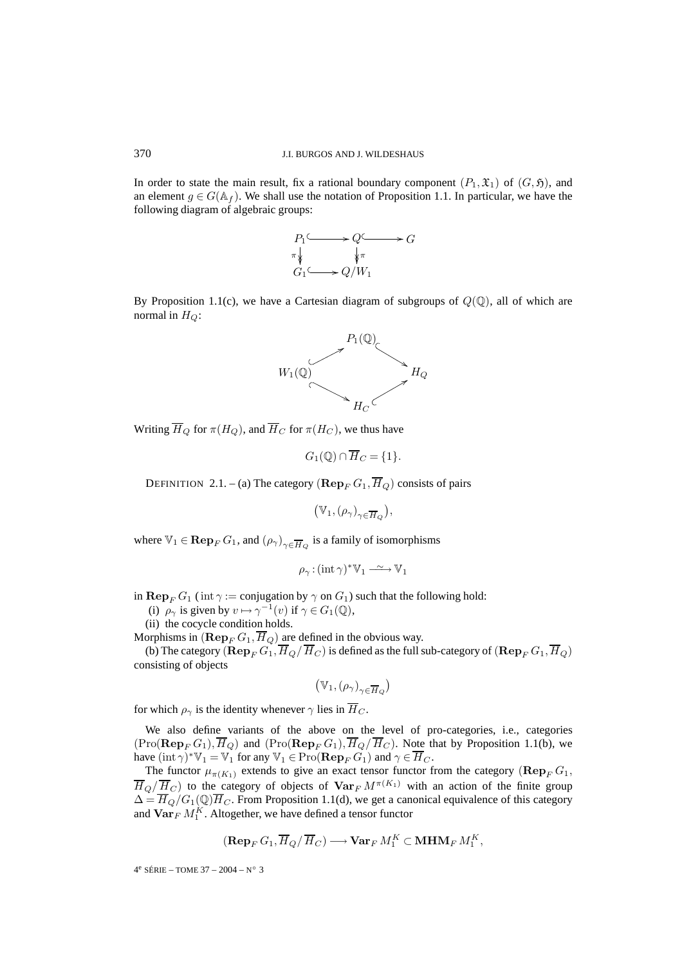In order to state the main result, fix a rational boundary component  $(P_1, \mathfrak{X}_1)$  of  $(G, \mathfrak{H})$ , and an element  $g \in G(\mathbb{A}_f)$ . We shall use the notation of Proposition 1.1. In particular, we have the following diagram of algebraic groups:



By Proposition 1.1(c), we have a Cartesian diagram of subgroups of  $Q(\mathbb{Q})$ , all of which are normal in  $H_Q$ :



Writing  $\overline{H}_Q$  for  $\pi(H_Q)$ , and  $\overline{H}_C$  for  $\pi(H_C)$ , we thus have

$$
G_1(\mathbb{Q}) \cap \overline{H}_C = \{1\}.
$$

DEFINITION 2.1. – (a) The category  $(\mathbf{Rep}_F G_1, \overline{H}_Q)$  consists of pairs

 $(\mathbb{V}_1, (\rho_\gamma)_{\gamma \in \overline{H}_Q}),$ 

where  $\mathbb{V}_1 \in \mathbf{Rep}_F G_1$ , and  $(\rho_\gamma)_{\gamma \in \overline{H}_O}$  is a family of isomorphisms

$$
\rho_{\gamma}: (\text{int } \gamma)^* \mathbb{V}_1 \xrightarrow{\sim} \mathbb{V}_1
$$

in **Rep**<sub>F</sub>  $G_1$  (int  $\gamma$  := conjugation by  $\gamma$  on  $G_1$ ) such that the following hold:

(i)  $\rho_{\gamma}$  is given by  $v \mapsto \gamma^{-1}(v)$  if  $\gamma \in G_1(\mathbb{Q})$ ,<br>ii) the sequels condition holds

(ii) the cocycle condition holds.

Morphisms in  $(\mathbf{Rep}_F G_1, \overline{H}_Q)$  are defined in the obvious way.

(b) The category  $(\mathbf{Rep}_F G_1, \overline{H}_Q / \overline{H}_C)$  is defined as the full sub-category of  $(\mathbf{Rep}_F G_1, \overline{H}_Q)$ consisting of objects

$$
(\mathbb{V}_1, (\rho_\gamma)_{\gamma \in \overline{H}_Q})
$$

for which  $\rho_{\gamma}$  is the identity whenever  $\gamma$  lies in  $\overline{H}_C$ .

We also define variants of the above on the level of pro-categories, i.e., categories  $(\text{Pro}(\mathbf{Rep}_F G_1), \overline{H}_Q)$  and  $(\text{Pro}(\mathbf{Rep}_F G_1), \overline{H}_Q/\overline{H}_C)$ . Note that by Proposition 1.1(b), we have  $(int \gamma)^* \mathbb{V}_1 = \mathbb{V}_1$  for any  $\mathbb{V}_1 \in \text{Pro}(\mathbf{Rep}_F G_1)$  and  $\gamma \in \overline{H}_C$ .

The functor  $\mu_{\pi(K_1)}$  extends to give an exact tensor functor from the category ( $\mathbf{Rep}_F G_1$ ,  $\overline{H}_Q/\overline{H}_C$ ) to the category of objects of  $\text{Var}_F M^{\pi(K_1)}$  with an action of the finite group  $\Delta = \overline{H}_Q/G_1(\mathbb{Q})\overline{H}_C$ . From Proposition 1.1(d), we get a canonical equivalence of this category and  $\operatorname{\mathbf{Var}}_F M^K_1$ . Altogether, we have defined a tensor functor

$$
(\operatorname{\mathbf{Rep}}\nolimits_F G_1,\overline{H}_Q/\,\overline{H}_C)\longrightarrow \operatorname{\mathbf{Var}}\nolimits_F M^K_1\subset \operatorname{\mathbf{MHM}}\nolimits_F M^K_1,
$$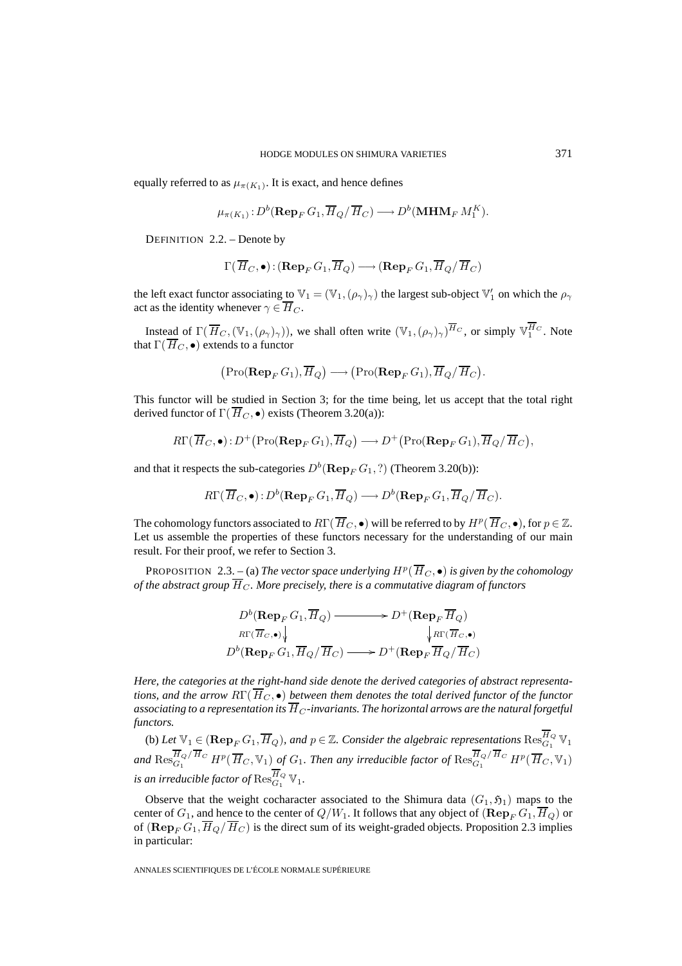equally referred to as  $\mu_{\pi(K_1)}$ . It is exact, and hence defines

$$
\mu_{\pi(K_1)}: D^b(\mathbf{Rep}_F G_1, \overline{H}_Q / \overline{H}_C) \longrightarrow D^b(\mathbf{MHM}_F M_1^K).
$$

DEFINITION 2.2. – Denote by

$$
\Gamma(\,\overline{\!H}_C,\bullet)\!:\!(\mathop{\mathrm{\bf Rep}}\nolimits_F G_1,\overline{\!H}_Q)\longrightarrow(\mathop{\mathrm{\bf Rep}}\nolimits_F G_1,\overline{\!H}_Q/\,\overline{\!H}_C)
$$

the left exact functor associating to  $\mathbb{V}_1 = (\mathbb{V}_1, (\rho_\gamma)_\gamma)$  the largest sub-object  $\mathbb{V}'_1$  on which the  $\rho_\gamma$ act as the identity whenever  $\gamma \in \overline{H}_C$ .

Instead of  $\Gamma(\overline{H}_C,(\mathbb{V}_1,(\rho_\gamma)_\gamma))$ , we shall often write  $(\mathbb{V}_1,(\rho_\gamma)_\gamma)^{\overline{H}_C}$ , or simply  $\mathbb{V}_1^{H_C}$ . Note that  $\Gamma(\overline{H}_C, \bullet)$  extends to a functor  $\frac{1}{2}$  ofter<br>→ (

$$
(\operatorname{Pro}(\operatorname{\mathbf{Rep}}_F G_1), \overline{H}_Q) \longrightarrow (\operatorname{Pro}(\operatorname{\mathbf{Rep}}_F G_1), \overline{H}_Q / \overline{H}_C).
$$

This functor will be studied in Section 3; for the time being, let us accept that the total right derived functor of  $\Gamma(\overline{H}_C, \bullet)$  exists (Theorem 3.20(a)):  $(Pro(Rep_F G_1), H_Q) \longrightarrow (Pro(Rep_F)$ <br>ctor will be studied in Section 3; for the time be<br>functor of  $\Gamma(\overline{H}_C, \bullet)$  exists (Theorem 3.20(a)):<br> $R\Gamma(\overline{H}_C, \bullet) : D^+(\text{Pro}(\textbf{Rep}_F G_1), \overline{H}_Q) \longrightarrow D^+(\bullet)$ 

$$
R\Gamma(\overline{H}_C,\bullet): D^+\big(\text{Pro}(\mathbf{Rep}_F G_1),\overline{H}_Q\big) \longrightarrow D^+\big(\text{Pro}(\mathbf{Rep}_F G_1),\overline{H}_Q/\overline{H}_C\big),
$$

and that it respects the sub-categories  $D^b(\mathbf{Rep}_F G_1, ?)$  (Theorem 3.20(b)):

$$
R\Gamma(\overline{H}_C,\bullet): D^b(\mathbf{Rep}_F G_1, \overline{H}_Q) \longrightarrow D^b(\mathbf{Rep}_F G_1, \overline{H}_Q/\overline{H}_C).
$$

The cohomology functors associated to  $R\Gamma(\overline{H}_C, \bullet)$  will be referred to by  $H^p(\overline{H}_C, \bullet)$ , for  $p \in \mathbb{Z}$ . Let us assemble the properties of these functors necessary for the understanding of our main result. For their proof, we refer to Section 3.

PROPOSITION 2.3. – (a) *The vector space underlying*  $H^p(\overline{H}_C, \bullet)$  *is given by the cohomology of the abstract group*  $\overline{H}_C$ *. More precisely, there is a commutative diagram of functors* 

$$
D^b(\mathbf{Rep}_F G_1, \overline{H}_Q) \longrightarrow D^+(\mathbf{Rep}_F \overline{H}_Q)
$$
  

$$
R\Gamma(\overline{H}_C, \bullet) \downarrow \qquad \qquad \downarrow R\Gamma(\overline{H}_C, \bullet)
$$
  

$$
D^b(\mathbf{Rep}_F G_1, \overline{H}_Q / \overline{H}_C) \longrightarrow D^+(\mathbf{Rep}_F \overline{H}_Q / \overline{H}_C)
$$

*Here, the categories at the right-hand side denote the derived categories of abstract representations, and the arrow*  $R\Gamma(\overline{H}_C, \bullet)$  *between them denotes the total derived functor of the functor associating to a representation its*  $\overline{H}_C$ *-invariants. The horizontal arrows are the natural forgetful functors.*

(b) Let  $\mathbb{V}_1 \in (\mathbf{Rep}_F G_1, \overline{H}_Q)$ , and  $p \in \mathbb{Z}$ . Consider the algebraic representations  $\mathrm{Res}^{H_Q}_{G_1} \mathbb{V}_1$ and  $\text{Res}_{G_1}^{H_Q/H_C} H^p(\overline{H}_C,\mathbb{V}_1)$  of  $G_1$ . Then any irreducible factor of  $\text{Res}_{G_1}^{H_Q/H_C} H^p(\overline{H}_C,\mathbb{V}_1)$ is an irreducible factor of  $\operatorname{Res}_{G_1}^{H_Q}\mathbb{V}_1.$ 

Observe that the weight cocharacter associated to the Shimura data  $(G_1, \mathfrak{H}_1)$  maps to the center of  $G_1$ , and hence to the center of  $Q/W_1$ . It follows that any object of  $(\mathbf{Rep}_F G_1, \overline{H}_Q)$  or of  $(\mathbf{Rep}_F G_1, \overline{H}_Q / \overline{H}_C)$  is the direct sum of its weight-graded objects. Proposition 2.3 implies in particular: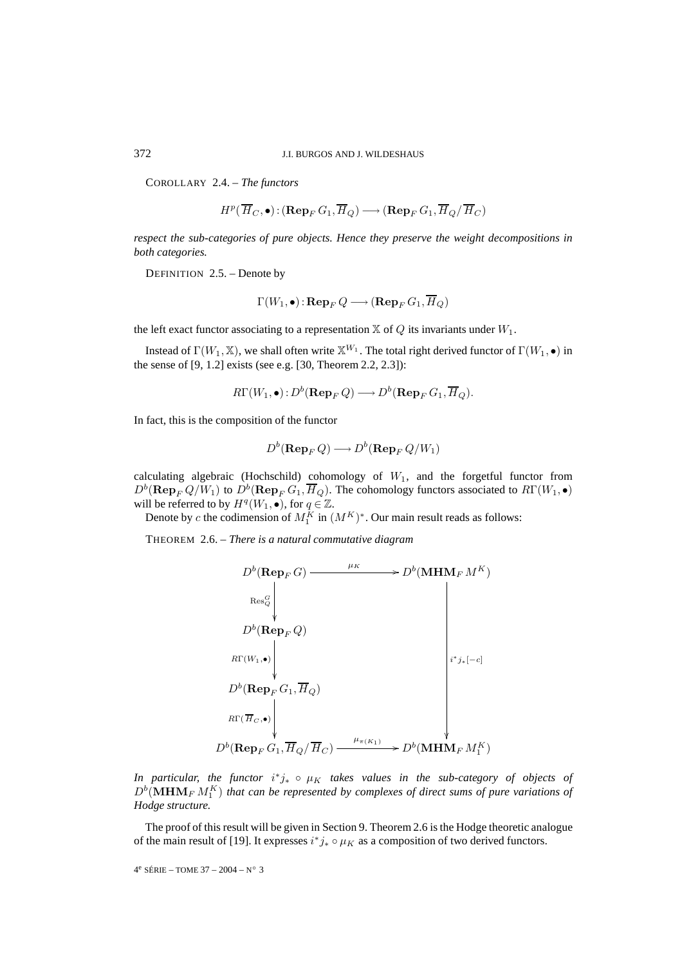COROLLARY 2.4. – *The functors*

$$
H^p(\overline{H}_C,\bullet) : (\mathbf{Rep}_F G_1,\overline{H}_Q) \longrightarrow (\mathbf{Rep}_F G_1,\overline{H}_Q/\overline{H}_C)
$$

*respect the sub-categories of pure objects. Hence they preserve the weight decompositions in both categories.*

DEFINITION 2.5. – Denote by

$$
\Gamma(W_1,\bullet) : \mathbf{Rep}_FQ \longrightarrow (\mathbf{Rep}_FG_1,\overline{H}_Q)
$$

the left exact functor associating to a representation  $X$  of  $Q$  its invariants under  $W_1$ .

Instead of  $\Gamma(W_1,\mathbb{X})$ , we shall often write  $\mathbb{X}^{W_1}$ . The total right derived functor of  $\Gamma(W_1,\bullet)$  in the sense of [9, 1.2] exists (see e.g. [30, Theorem 2.2, 2.3]):

$$
R\Gamma(W_1,\bullet): D^b(\mathbf{Rep}_F Q) \longrightarrow D^b(\mathbf{Rep}_F G_1,\overline{H}_Q).
$$

In fact, this is the composition of the functor

$$
D^b(\mathbf{Rep}_F Q) \longrightarrow D^b(\mathbf{Rep}_F Q/W_1)
$$

calculating algebraic (Hochschild) cohomology of  $W_1$ , and the forgetful functor from  $D^b(\mathbf{Rep}_F Q/W_1)$  to  $D^b(\mathbf{Rep}_F G_1, \overline{H}_Q)$ . The cohomology functors associated to  $R\Gamma(W_1, \bullet)$ will be referred to by  $H^q(W_1, \bullet)$ , for  $q \in \mathbb{Z}$ .

Denote by c the codimension of  $M_1^K$  in  $(M^K)^*$ . Our main result reads as follows:

THEOREM 2.6. – *There is a natural commutative diagram*

$$
D^{b}(\text{Rep}_{F}G) \longrightarrow D^{b}(\text{MHM}_{F}M^{K})
$$
  
\n
$$
R^{cS_{Q}^{G}} \downarrow
$$
  
\n
$$
D^{b}(\text{Rep}_{F}Q)
$$
  
\n
$$
R\Gamma(W_{1},\bullet) \downarrow
$$
  
\n
$$
D^{b}(\text{Rep}_{F}G_{1},\overline{H}_{Q})
$$
  
\n
$$
R\Gamma(\overline{H}_{C},\bullet) \downarrow
$$
  
\n
$$
D^{b}(\text{Rep}_{F}G_{1},\overline{H}_{Q}/\overline{H}_{C}) \longrightarrow D^{b}(\text{MHM}_{F}M^{K}_{1})
$$

*In particular, the functor*  $i^*j_* \circ μ_K$  *takes values in the sub-category of objects of*  $D^b(\mathbf{MHM}_F\,M_1^K)$  that can be represented by complexes of direct sums of pure variations of *Hodge structure.*

The proof of this result will be given in Section 9. Theorem 2.6 is the Hodge theoretic analogue of the main result of [19]. It expresses  $i^*j_* \circ \mu_K$  as a composition of two derived functors.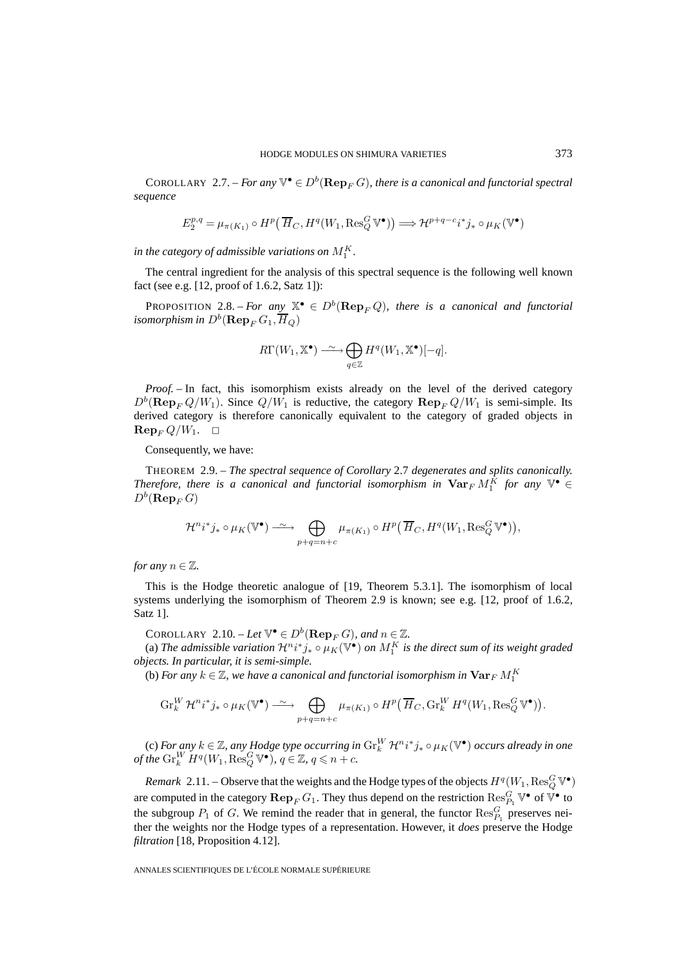COROLLARY 2.7. – *For any*  $\mathbb{V}^{\bullet} \in D^b(\mathbf{Rep}_F G)$ *, there is a canonical and functorial spectral sequence* HOD<br>
ARY 2.7. – *For any*<br>  $2^{p,q} = \mu_{\pi(K_1)} \circ H^p$ 

$$
E_2^{p,q} = \mu_{\pi(K_1)} \circ H^p(\overline{H}_C, H^q(W_1, \text{Res}_Q^G \mathbb{V}^{\bullet})) \Longrightarrow \mathcal{H}^{p+q-c} i^* j_* \circ \mu_K(\mathbb{V}^{\bullet})
$$

in the category of admissible variations on  $M^K_1$ .

The central ingredient for the analysis of this spectral sequence is the following well known fact (see e.g. [12, proof of 1.6.2, Satz 1]):

PROPOSITION 2.8. – *For any*  $\mathbb{X}^{\bullet} \in D^{b}(\mathbf{Rep}_F Q)$ , there is a canonical and functorial *isomorphism in*  $D^b(\mathbf{Rep}_F G_1, \overline{H}_Q)$  $\stackrel{b}{\rightarrow} \bigoplus$ 

$$
R\Gamma(W_1, \mathbb{X}^{\bullet}) \longrightarrow \bigoplus_{q \in \mathbb{Z}} H^q(W_1, \mathbb{X}^{\bullet})[-q].
$$

*Proof.* – In fact, this isomorphism exists already on the level of the derived category  $D^b(\mathbf{Rep}_F Q/W_1)$ . Since  $Q/W_1$  is reductive, the category  $\mathbf{Rep}_F Q/W_1$  is semi-simple. Its derived category is therefore canonically equivalent to the category of graded objects in  $\mathbf{Rep}_F Q/W_1$ .  $\Box$ 

Consequently, we have:

THEOREM 2.9. – *The spectral sequence of Corollary* 2.7 *degenerates and splits canonically. Therefore, there is a canonical and functorial isomorphism in*  $\textbf{Var}_F M_1^K$  *for any*  $\mathbb{V}^{\bullet} \in$  $D^b(\mathbf{Rep}_F G)$ *l* sequence of Corollary 2.7 degenerates and splits<br>
il and functorial isomorphism in  $\textbf{Var}_F M_1^K$  for<br>  $\longleftrightarrow \bigoplus \mu_{\pi(K_1)} \circ H^p(\overline{H}_C, H^q(W_1, \text{Res}_Q^G \mathbb{V}^{\bullet}))$ 

$$
\mathcal{H}^n i^* j_* \circ \mu_K(\mathbb{V}^\bullet) \longrightarrow \bigoplus_{p+q=n+c} \mu_{\pi(K_1)} \circ H^p(\overline{H}_C, H^q(W_1, \text{Res}_Q^G \mathbb{V}^\bullet)),
$$

*for any*  $n \in \mathbb{Z}$ *.* 

This is the Hodge theoretic analogue of [19, Theorem 5.3.1]. The isomorphism of local systems underlying the isomorphism of Theorem 2.9 is known; see e.g. [12, proof of 1.6.2, Satz 1].

COROLLARY 2.10. – Let  $\mathbb{V}^{\bullet} \in D^b(\mathbf{Rep}_F G)$ *, and*  $n \in \mathbb{Z}$ *.* 

(a) The admissible variation  $\mathcal{H}^n i^*j_* \circ \mu_K(\mathbb{V}^\bullet)$  on  $M^K_1$  is the direct sum of its weight graded *objects. In particular, it is semi-simple.*  $\in D^b(\mathbf{Rep}_F G)$ , and  $n \in \mathbb{Z}$ .<br>  $t^n i^* j_* \circ \mu_K(\mathbb{V}^\bullet)$  on  $M_1^K$  is the direct sum of its weight g<br>
imple.<br>
canonical and functorial isomorphism in  $\mathbf{Var}_F M_1^K$ <br>  $\hookrightarrow \bigoplus \mu_{\pi(K_1)} \circ H^p(\overline{H}_C, \text{Gr}_k^W H^q(W_1, \text{Res}_Q^G$ 

(b) *For any*  $k \in \mathbb{Z}$ *, we have a canonical and functorial isomorphism in*  $\mathbf{Var}_F\,M_1^K$ 

$$
\operatorname{Gr}_{k}^{W} \mathcal{H}^{n} i^{*} j_{*} \circ \mu_{K}(\mathbb{V}^{\bullet}) \longrightarrow \bigoplus_{p+q=n+c} \mu_{\pi(K_{1})} \circ H^{p}(\overline{H}_{C}, \operatorname{Gr}_{k}^{W} H^{q}(W_{1}, \operatorname{Res}_{Q}^{G} \mathbb{V}^{\bullet})).
$$

(c) *For any k* ∈ Z, any Hodge type occurring in  $\text{Gr}_{k}^{W}$   $\mathcal{H}^{n}i^{*}j_{*} \circ \mu_{K}(\mathbb{V}^{\bullet})$  occurs already in one *of the*  $\mathrm{Gr}_{k}^{W} H^{q}(W_{1}, \text{Res}_{Q}^{G} \mathbb{V}^{\bullet})$ *,*  $q \in \mathbb{Z}$ *,*  $q \leq n + c$ *.* 

*Remark* 2.11. – Observe that the weights and the Hodge types of the objects  $H^q(W_1,\text{Res}_Q^G\mathbb{V}^\bullet)$ are computed in the category  $\mathbf{Rep}_F G_1$ . They thus depend on the restriction  $\text{Res}_{P_1}^G \mathbb{V}^{\bullet}$  of  $\mathbb{V}^{\bullet}$  to the subgroup  $P_1$  of G. We remind the reader that in general, the functor  $\text{Res}_{P_1}^G$  preserves neither the weights nor the Hodge types of a representation. However, it *does* preserve the Hodge *filtration* [18, Proposition 4.12].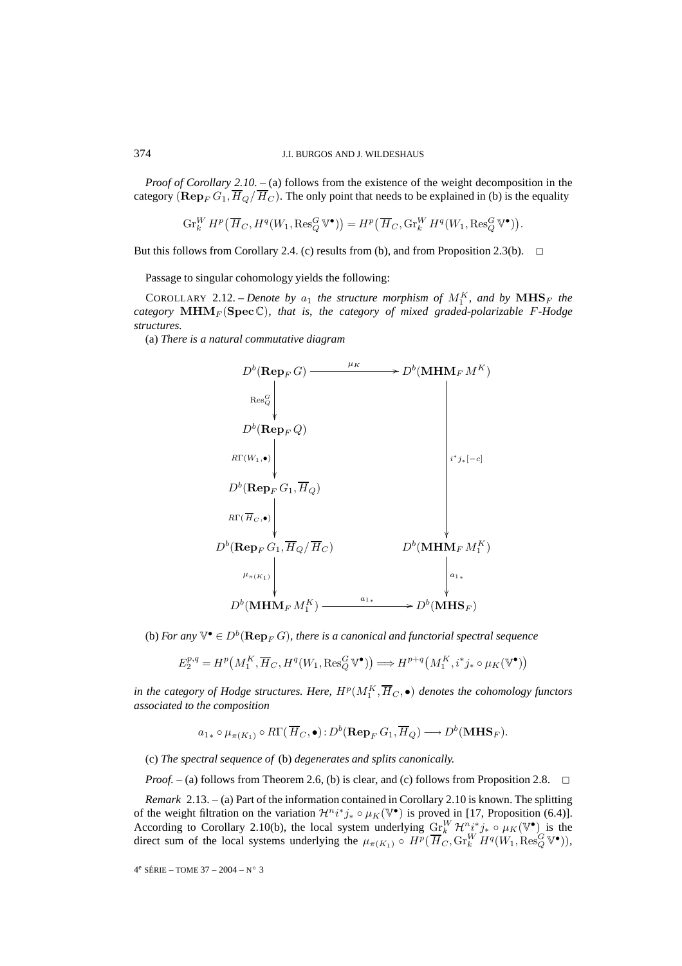*Proof of Corollary 2.10.* – (a) follows from the existence of the weight decomposition in the category  $(\mathbf{Rep}_F G_1, \overline{H}_Q / \overline{H}_C)$ . The only point that needs to be explained in (b) is the equality J.I. BURGOS AND J. WII<br>
prollary 2.10. – (a) follows from the exi $\mathbf{p}_F G_1$ ,  $\overline{H}_Q / \overline{H}_C$ ). The only point that r<br>  $\int_k^W H^p \left( \overline{H}_C, H^q(W_1, \text{Res}_Q^G \mathbb{V}^{\bullet}) \right) = H^p \left($ 

$$
\operatorname{Gr}_{k}^{W} H^{p}\left(\overline{H}_{C}, H^{q}(W_{1}, \text{Res}_{Q}^{G} \mathbb{V}^{\bullet})\right) = H^{p}\left(\overline{H}_{C}, \text{Gr}_{k}^{W} H^{q}(W_{1}, \text{Res}_{Q}^{G} \mathbb{V}^{\bullet})\right).
$$

But this follows from Corollary 2.4. (c) results from (b), and from Proposition 2.3(b).  $\Box$ 

Passage to singular cohomology yields the following:

COROLLARY 2.12. – *Denote by*  $a_1$  the structure morphism of  $M_1^K$ , and by  $\mathbf{MHS}_F$  the *category*  $\text{MHM}_F(\text{Spec}\mathbb{C})$ *, that is, the category of mixed graded-polarizable* F-Hodge *structures.*

(a) *There is a natural commutative diagram*



(b) For any  $\mathbb{V}^\bullet \in D^b(\mathbf{Rep}_F\,G)$ , there is a canonical and functorial spectral sequence

$$
E_2^{p,q} = H^p(M_1^K, \overline{H}_C, H^q(W_1, \text{Res}_Q^G \mathbb{V}^{\bullet})) \Longrightarrow H^{p+q}(M_1^K, i^*j_* \circ \mu_K(\mathbb{V}^{\bullet}))
$$

in the category of Hodge structures. Here,  $H^p(M_1^K, \overline{H}_C, \bullet)$  denotes the cohomology functors *associated to the composition*

$$
a_{1*} \circ \mu_{\pi(K_1)} \circ R\Gamma(\overline{H}_C, \bullet): D^b(\mathbf{Rep}_F G_1, \overline{H}_Q) \longrightarrow D^b(\mathbf{MHS}_F).
$$

(c) *The spectral sequence of* (b) *degenerates and splits canonically.*

*Proof.* – (a) follows from Theorem 2.6, (b) is clear, and (c) follows from Proposition 2.8. <del>□</del>

*Remark* 2.13. – (a) Part of the information contained in Corollary 2.10 is known. The splitting of the weight filtration on the variation  $\mathcal{H}^{n_i * j_*} \circ \mu_K(\mathbb{V}^{\bullet})$  is proved in [17, Proposition (6.4)]. According to Corollary 2.10(b), the local system underlying  $\frac{Gr_{k}^{W}}{H^{n}} \mathcal{H}^{n}{}_{i,j}^{*} \circ \mu_{K}(\mathbb{V}^{\bullet})$  is the direct sum of the local systems underlying the  $\mu_{\pi(K_1)} \circ H^p(\overline{H}_C, Gr_k^W H^q(W_1, Res_Q^G V^{\bullet})),$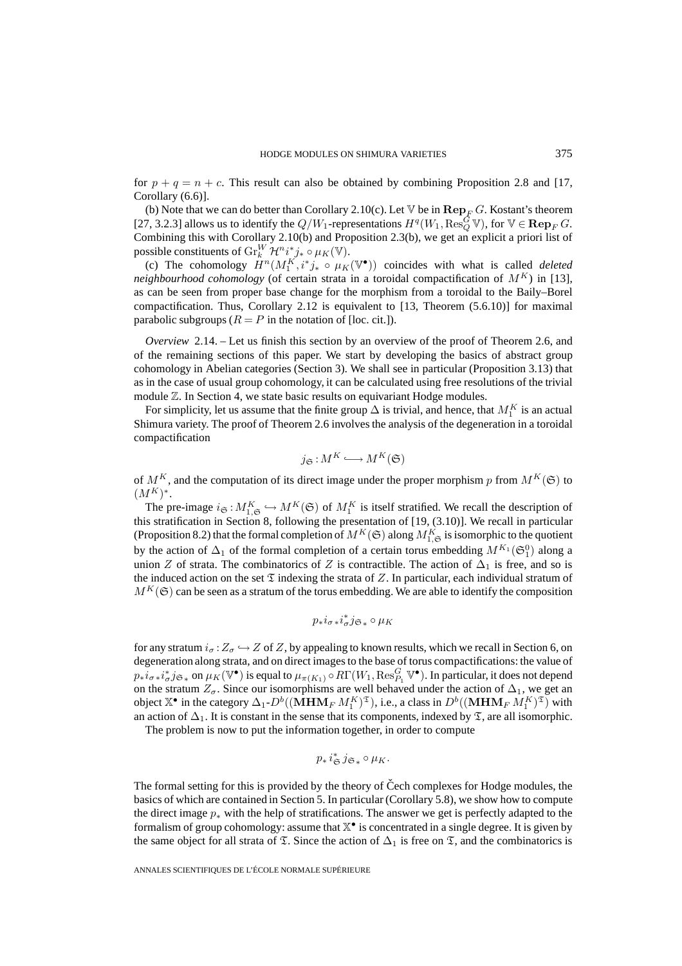for  $p + q = n + c$ . This result can also be obtained by combining Proposition 2.8 and [17, Corollary (6.6)].

(b) Note that we can do better than Corollary 2.10(c). Let  $\nabla$  be in  $\mathbf{Rep}_F G$ . Kostant's theorem [27, 3.2.3] allows us to identify the  $Q/W_1$ -representations  $H^q(W_1, \text{Res}_Q^G \mathbb{V})$ , for  $\mathbb{V} \in \mathbf{Rep}_F G$ . Combining this with Corollary 2.10(b) and Proposition 2.3(b), we get an explicit a priori list of possible constituents of  $\mathrm{Gr}_{k}^{W}\mathcal{H}^{n}i_{\bullet}^{*}j_{*}\circ\mu_{K}(\mathbb{V}).$ 

(c) The cohomology  $H^n(M_1^K, i^*j_* \circ \mu_K(\mathbb{V}^{\bullet}))$  coincides with what is called *deleted neighbourhood cohomology* (of certain strata in a toroidal compactification of  $M^K$ ) in [13], as can be seen from proper base change for the morphism from a toroidal to the Baily–Borel compactification. Thus, Corollary 2.12 is equivalent to [13, Theorem (5.6.10)] for maximal parabolic subgroups ( $R = P$  in the notation of [loc. cit.]).

*Overview* 2.14. – Let us finish this section by an overview of the proof of Theorem 2.6, and of the remaining sections of this paper. We start by developing the basics of abstract group cohomology in Abelian categories (Section 3). We shall see in particular (Proposition 3.13) that as in the case of usual group cohomology, it can be calculated using free resolutions of the trivial module  $\mathbb Z$ . In Section 4, we state basic results on equivariant Hodge modules.

For simplicity, let us assume that the finite group  $\Delta$  is trivial, and hence, that  $M^K_1$  is an actual Shimura variety. The proof of Theorem 2.6 involves the analysis of the degeneration in a toroidal compactification

$$
j_{\mathfrak{S}}:M^{K}\longrightarrow M^{K}(\mathfrak{S})
$$

of  $M^K$ , and the computation of its direct image under the proper morphism p from  $M^K(\mathfrak{S})$  to  $(M^K)^*$ .

The pre-image  $i_{\mathfrak{S}} : M_{1,\mathfrak{S}}^K \hookrightarrow M^K(\mathfrak{S})$  of  $M_1^K$  is itself stratified. We recall the description of this stratification in Section 8, following the presentation of [19, (3.10)]. We recall in particular (Proposition 8.2) that the formal completion of  $M^K(\mathfrak{S})$  along  $M^K_{1,\mathfrak{S}}$  is isomorphic to the quotient by the action of  $\Delta_1$  of the formal completion of a certain torus embedding  $M^{K_1}(\mathfrak{S}_1^0)$  along a union Z of strata. The combinatorics of Z is contractible. The action of  $\Delta_1$  is free, and so is the induced action on the set  $\mathfrak T$  indexing the strata of Z. In particular, each individual stratum of  $M<sup>K</sup>(\mathfrak{S})$  can be seen as a stratum of the torus embedding. We are able to identify the composition

$$
p_*i_{\sigma *}i_{\sigma}^*j_{\mathfrak{S}_*}\circ \mu_K
$$

for any stratum  $i_{\sigma}$ :  $Z_{\sigma} \hookrightarrow Z$  of Z, by appealing to known results, which we recall in Section 6, on degeneration along strata, and on direct images to the base of torus compactifications: the value of  $p_*i_\sigma_*i_\sigma^*j_{\mathfrak{S}_*}$  on  $\mu_K(\mathbb{V}^\bullet)$  is equal to  $\mu_{\pi(K_1)}\circ R\Gamma(W_1,\operatorname{Res}^G_{P_1}\mathbb{V}^\bullet).$  In particular, it does not depend on the stratum  $Z_{\sigma}$ . Since our isomorphisms are well behaved under the action of  $\Delta_1$ , we get an object  $\mathbb{X}^{\bullet}$  in the category  $\Delta_1$ - $D^b((\mathbf{MHM}_F M_1^K)^{\mathfrak{T}})$ , i.e., a class in  $D^b((\mathbf{MHM}_F M_1^K)^{\mathfrak{T}})$  with an action of  $\Delta_1$ . It is constant in the sense that its components, indexed by  $\mathfrak{T}$ , are all isomorphic.

The problem is now to put the information together, in order to compute

$$
p_*\,i^*_{\mathfrak{S}}\,j_{\mathfrak{S}_*}\circ \mu_K.
$$

The formal setting for this is provided by the theory of Čech complexes for Hodge modules, the basics of which are contained in Section 5. In particular (Corollary 5.8), we show how to compute the direct image  $p_*$  with the help of stratifications. The answer we get is perfectly adapted to the formalism of group cohomology: assume that  $\mathbb{X}^{\bullet}$  is concentrated in a single degree. It is given by the same object for all strata of  $\mathfrak T$ . Since the action of  $\Delta_1$  is free on  $\mathfrak T$ , and the combinatorics is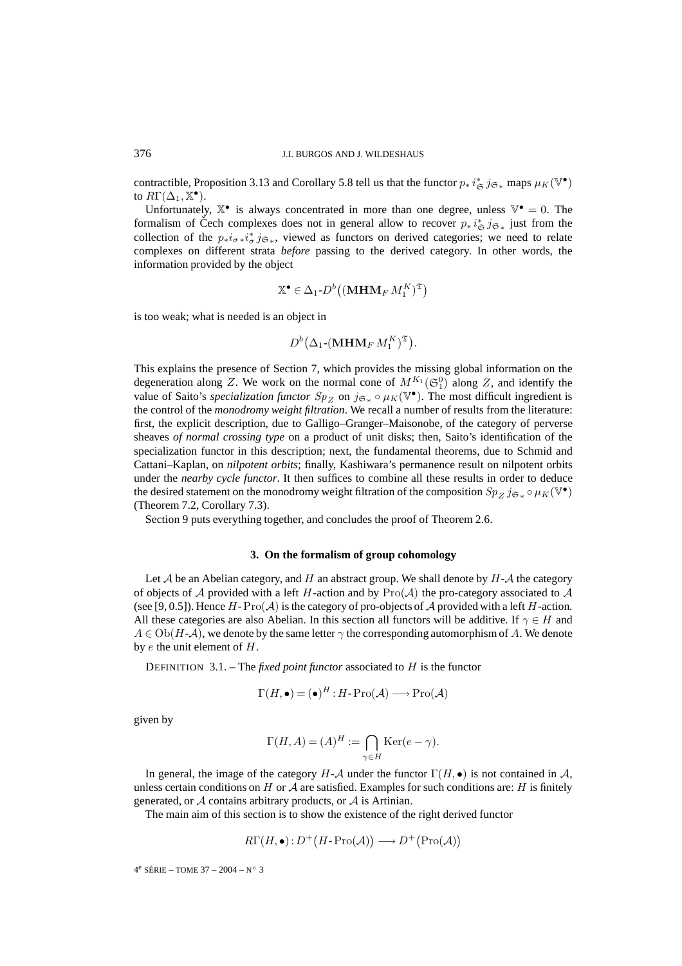contractible, Proposition 3.13 and Corollary 5.8 tell us that the functor  $p_* i^*_{\mathfrak{S}} j_{\mathfrak{S}_*}$  maps  $\mu_K(\mathbb{V}^{\bullet})$ to  $R\Gamma(\Delta_1,\mathbb{X}^{\bullet}).$ 

Unfortunately,  $\mathbb{X}^{\bullet}$  is always concentrated in more than one degree, unless  $\mathbb{V}^{\bullet} = 0$ . The formalism of Čech complexes does not in general allow to recover  $p_* i_{\mathfrak{S}}^* j_{\mathfrak{S}*}$  just from the collection of the  $p_* i_{\sigma} * i_{\sigma}^* j_{\mathfrak{S}*}$ , viewed as functors on derived categories; we need to relate complexes collection of the  $p_*i_{\sigma *}i_{\sigma}^*j_{\sigma *}$ , viewed as functors on derived categories; we need to relate complexes on different strata *before* passing to the derived category. In other words, the information provided by the object red<br>red<br>T)

$$
\mathbb{X}^{\bullet} \in \Delta_1 \text{-} D^b \left( (\mathbf{MHM}_F M_1^K)^{\mathfrak{T}} \right)
$$
\nan object in

\n
$$
D^b (\Lambda_{\bullet \bullet} (\mathbf{MHM}_F M^K)^{\mathfrak{T}})
$$

is too weak; what is needed is an object in

$$
P \in \Delta_1 \text{-} D^b((\mathbf{MHM}_F M_1^K))
$$
  
object in  

$$
D^b(\Delta_1 \text{-}(\mathbf{MHM}_F M_1^K)^{\mathfrak{T}}).
$$

This explains the presence of Section 7, which provides the missing global information on the degeneration along Z. We work on the normal cone of  $M^{K_1}(\mathfrak{S}_1^0)$  along Z, and identify the value of Saito's *specialization functor*  $Sp_Z$  on  $j_{\mathfrak{S}_*} \circ \mu_K(\mathbb{V}^{\bullet})$ . The most difficult ingredient is the control of the *monodromy weight filtration*. We recall a number of results from the literature: first, the explicit description, due to Galligo–Granger–Maisonobe, of the category of perverse sheaves *of normal crossing type* on a product of unit disks; then, Saito's identification of the specialization functor in this description; next, the fundamental theorems, due to Schmid and Cattani–Kaplan, on *nilpotent orbits*; finally, Kashiwara's permanence result on nilpotent orbits under the *nearby cycle functor*. It then suffices to combine all these results in order to deduce the desired statement on the monodromy weight filtration of the composition  $Sp_Z$  j<sub>G∗</sub> ∘  $\mu_K(\mathbb{V}^{\bullet})$ (Theorem 7.2, Corollary 7.3).

Section 9 puts everything together, and concludes the proof of Theorem 2.6.

#### **3. On the formalism of group cohomology**

Let A be an Abelian category, and H an abstract group. We shall denote by  $H - A$  the category of objects of A provided with a left H-action and by  $\text{Pro}(\mathcal{A})$  the pro-category associated to A (see [9, 0.5]). Hence  $H$ -Pro( $A$ ) is the category of pro-objects of  $A$  provided with a left  $H$ -action. All these categories are also Abelian. In this section all functors will be additive. If  $\gamma \in H$  and  $A \in Ob(H-\mathcal{A})$ , we denote by the same letter  $\gamma$  the corresponding automorphism of A. We denote by  $e$  the unit element of  $H$ .

DEFINITION 3.1. – The *fixed point functor* associated to H is the functor

$$
\Gamma(H, \bullet) = (\bullet)^H : H \textrm{-} \operatorname{Pro}(\mathcal{A}) \longrightarrow \operatorname{Pro}(\mathcal{A})
$$

given by

Let 
$$
H
$$
 be the function associated to  $H$  is the function  $H$ :

\n
$$
(H, \bullet) = (\bullet)^H : H \text{-} \operatorname{Pro}(\mathcal{A}) \longrightarrow \operatorname{Pro}(\mathcal{A})
$$
\n
$$
\Gamma(H, A) = (A)^H := \bigcap_{\gamma \in H} \operatorname{Ker}(e - \gamma).
$$

In general, the image of the category  $H - A$  under the functor  $\Gamma(H, \bullet)$  is not contained in A, unless certain conditions on H or  $\mathcal A$  are satisfied. Examples for such conditions are: H is finitely generated, or  $A$  contains arbitrary products, or  $A$  is Artinian. of the category  $H$ - $A$  under the functors on  $H$  or  $A$  are satisfied. Examples for arbitrary products, or  $A$  is Artinian.<br>section is to show the existence of the r<br> $R\Gamma(H, \bullet) : D^+(H - \text{Pro}(\mathcal{A})) \longrightarrow D^+($ 

The main aim of this section is to show the existence of the right derived functor

$$
R\Gamma(H, \bullet): D^{+}(H\text{-}\mathrm{Pro}(\mathcal{A})) \longrightarrow D^{+}(\mathrm{Pro}(\mathcal{A}))
$$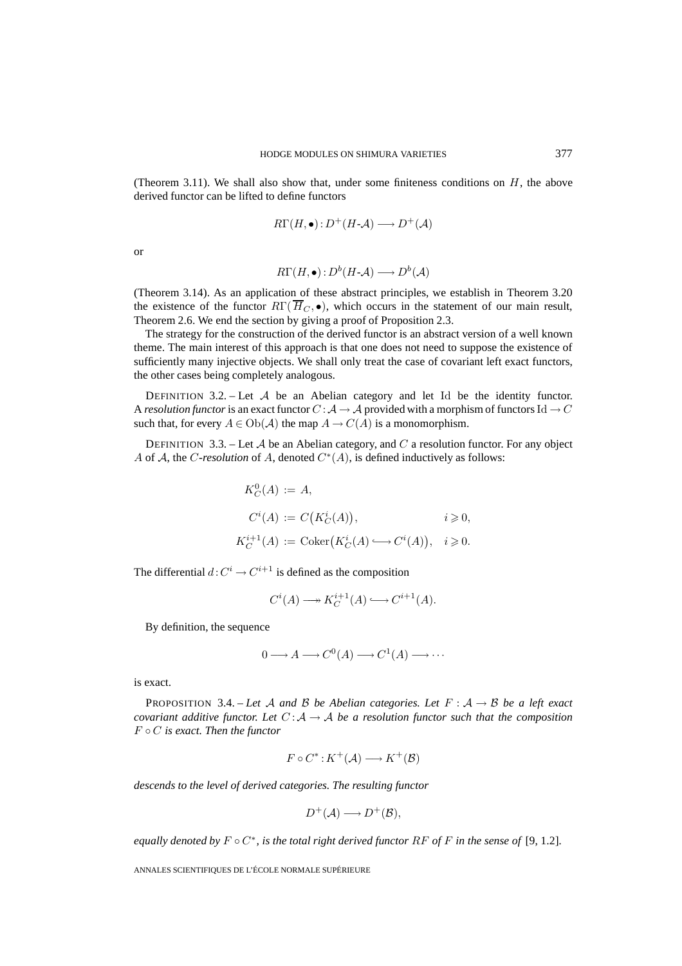(Theorem 3.11). We shall also show that, under some finiteness conditions on  $H$ , the above derived functor can be lifted to define functors

$$
R\Gamma(H,\bullet): D^+(H\text{-}\mathcal{A}) \longrightarrow D^+(\mathcal{A})
$$

or

$$
R\Gamma(H, \bullet): D^b(H \text{-} \mathcal{A}) \longrightarrow D^b(\mathcal{A})
$$

(Theorem 3.14). As an application of these abstract principles, we establish in Theorem 3.20 the existence of the functor  $R\Gamma(\overline{H}_C, \bullet)$ , which occurs in the statement of our main result, Theorem 2.6. We end the section by giving a proof of Proposition 2.3.

The strategy for the construction of the derived functor is an abstract version of a well known theme. The main interest of this approach is that one does not need to suppose the existence of sufficiently many injective objects. We shall only treat the case of covariant left exact functors, the other cases being completely analogous.

DEFINITION 3.2. – Let  $A$  be an Abelian category and let Id be the identity functor. A *resolution functor* is an exact functor  $C : A \to A$  provided with a morphism of functors Id  $\to C$ such that, for every  $A \in Ob(\mathcal{A})$  the map  $A \to C(A)$  is a monomorphism.

DEFINITION 3.3. – Let A be an Abelian category, and C a resolution functor. For any object A of A, the C-resolution of A, denoted  $C^*(A)$ , is defined inductively as follows:

$$
K_C^0(A) := A,
$$
  
\n
$$
C^i(A) := C(K_C^i(A)), \qquad i \geq 0,
$$
  
\n
$$
K_C^{i+1}(A) := \text{Coker}(K_C^i(A) \longrightarrow C^i(A)), \quad i \geq 0.
$$

The differential  $d: C^i \to C^{i+1}$  is defined as the composition

$$
C^i(A) \longrightarrow K_C^{i+1}(A) \longrightarrow C^{i+1}(A).
$$

By definition, the sequence

$$
0 \longrightarrow A \longrightarrow C^{0}(A) \longrightarrow C^{1}(A) \longrightarrow \cdots
$$

is exact.

PROPOSITION 3.4. – Let A and B be Abelian categories. Let  $F : A \rightarrow B$  be a left exact *covariant additive functor. Let*  $C : A \rightarrow A$  *be a resolution functor such that the composition* F ◦ C *is exact. Then the functor*

$$
F \circ C^* : K^+(\mathcal{A}) \longrightarrow K^+(\mathcal{B})
$$

*descends to the level of derived categories. The resulting functor*

$$
D^+(\mathcal{A}) \longrightarrow D^+(\mathcal{B}),
$$

*equally denoted by*  $F \circ C^*$ *, is the total right derived functor*  $RF$  *of*  $F$  *in the sense of* [9, 1.2]*.*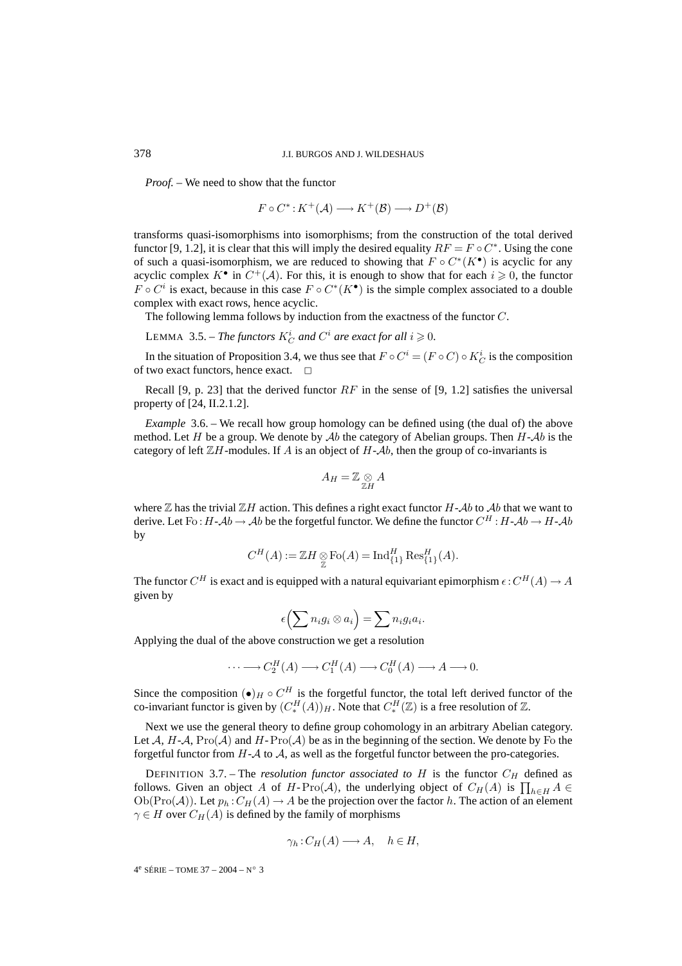*Proof. –* We need to show that the functor

$$
F \circ C^* : K^+(\mathcal{A}) \longrightarrow K^+(\mathcal{B}) \longrightarrow D^+(\mathcal{B})
$$

transforms quasi-isomorphisms into isomorphisms; from the construction of the total derived functor [9, 1.2], it is clear that this will imply the desired equality  $RF = F \circ C^*$ . Using the cone of such a quasi-isomorphism, we are reduced to showing that  $F \circ C^*(K^{\bullet})$  is acyclic for any acyclic complex  $K^{\bullet}$  in  $C^{+}(\mathcal{A})$ . For this, it is enough to show that for each  $i \geq 0$ , the functor  $F \circ C^i$  is exact, because in this case  $F \circ C^*(K^{\bullet})$  is the simple complex associated to a double complex with exact rows, hence acyclic.

The following lemma follows by induction from the exactness of the functor C.

LEMMA 3.5. – *The functors*  $K_C^i$  *and*  $C^i$  *are exact for all*  $i \ge 0$ *.* 

In the situation of Proposition 3.4, we thus see that  $F \circ C^i = (F \circ C) \circ K_C^i$  is the composition of two exact functors, hence exact.  $\Box$ 

Recall [9, p. 23] that the derived functor  $RF$  in the sense of [9, 1.2] satisfies the universal property of [24, II.2.1.2].

*Example* 3.6. – We recall how group homology can be defined using (the dual of) the above method. Let H be a group. We denote by  $\mathcal{A}b$  the category of Abelian groups. Then  $H-\mathcal{A}b$  is the category of left  $\mathbb{Z}H$ -modules. If A is an object of  $H$ - $\mathcal{A}b$ , then the group of co-invariants is

$$
A_H=\mathbb{Z}\underset{\mathbb{Z} H}\otimes A
$$

where  $\mathbb Z$  has the trivial  $\mathbb ZH$  action. This defines a right exact functor H-Ab to Ab that we want to derive. Let Fo : H-Ab  $\rightarrow$  Ab be the forgetful functor. We define the functor  $C^H$  : H-Ab  $\rightarrow$  H-Ab by

$$
C^H(A) := \mathbb{Z}H \underset{\mathbb{Z}}{\otimes} \text{Fo}(A) = \text{Ind}_{\{1\}}^H \text{Res}_{\{1\}}^H(A).
$$

The functor  $C^H$  is exact and is equipped with a natural equivariant epimorphism  $\epsilon$  :  $C^H(A) \to A$ given by = Ind ${}_{\{1\}}^H$ Res:<br>tural equivaria<br>=  $\sum n_i g_i a_i$ .

$$
\epsilon\Bigl(\sum n_ig_i\otimes a_i\Bigr)=\sum n_ig_ia_i.
$$

Applying the dual of the above construction we get a resolution

$$
\cdots \longrightarrow C_2^H(A) \longrightarrow C_1^H(A) \longrightarrow C_0^H(A) \longrightarrow A \longrightarrow 0.
$$

Since the composition  $\left(\bullet\right)_H \circ C^H$  is the forgetful functor, the total left derived functor of the co-invariant functor is given by  $(C_*^H(A))_H$ . Note that  $C_*^H(\mathbb{Z})$  is a free resolution of  $\mathbb{Z}$ .

Next we use the general theory to define group cohomology in an arbitrary Abelian category. Let  $A$ ,  $H$ - $A$ ,  $Pro(A)$  and  $H$ - $Pro(A)$  be as in the beginning of the section. We denote by Fo the forgetful functor from  $H - A$  to  $A$ , as well as the forgetful functor between the pro-categories. Next we use the general theory to define group cohomology in an arbitrary Abelian<br>Let A,  $H$ -A,  $\text{Pro}(A)$  and  $H$ - $\text{Pro}(A)$  be as in the beginning of the section. We denote l<br>forgetful functor from  $H$ -A to A, as well as

DEFINITION 3.7. – The *resolution functor associated to* H is the functor  $C_H$  defined as follows. Given an object A of H-Pro(A), the underlying object of  $C_H(A)$  is  $\prod_{h\in H} A \in$  $Ob(Pro(\mathcal{A}))$ . Let  $p_h: C_H(\mathcal{A}) \to \mathcal{A}$  be the projection over the factor h. The action of an element  $\gamma \in H$  over  $C_H(A)$  is defined by the family of morphisms

$$
\gamma_h : C_H(A) \longrightarrow A, \quad h \in H,
$$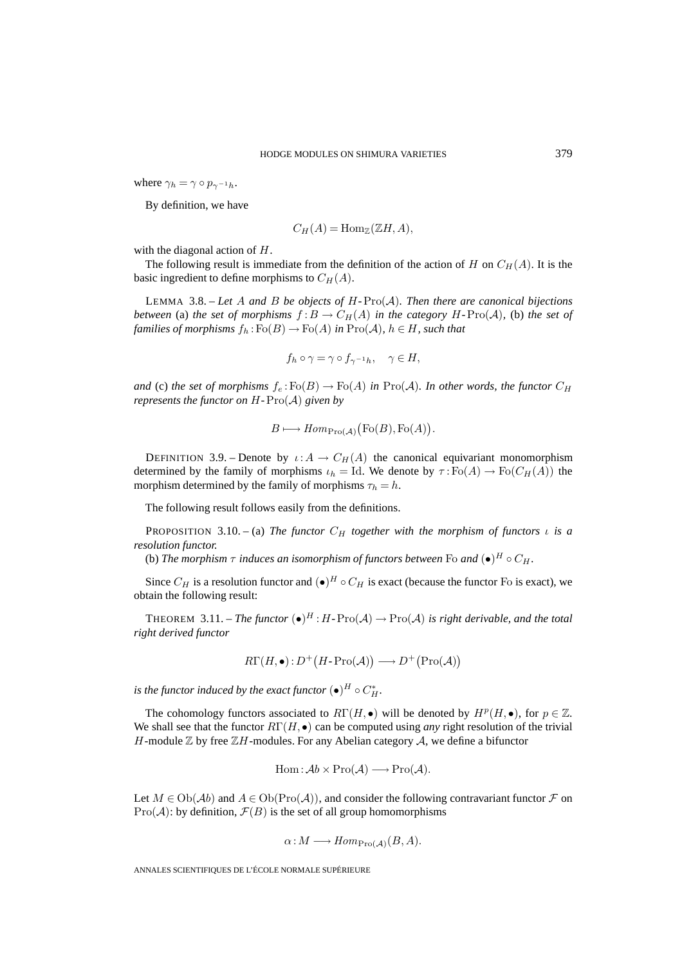where  $\gamma_h = \gamma \circ p_{\gamma^{-1}h}$ .

By definition, we have

$$
C_H(A) = \text{Hom}_{\mathbb{Z}}(\mathbb{Z}H, A),
$$

with the diagonal action of H.

The following result is immediate from the definition of the action of H on  $C_H(A)$ . It is the basic ingredient to define morphisms to  $C_H(A)$ .

LEMMA 3.8. – Let A and B be objects of  $H$ - $\text{Pro}(\mathcal{A})$ *. Then there are canonical bijections between* (a) *the set of morphisms*  $f: B \to C_H(A)$  *in the category*  $H$ -Pro( $A$ )*,* (b) *the set of families of morphisms*  $f_h : Fo(B) \to Fo(A)$  *in*  $\text{Pro}(\mathcal{A})$ *,*  $h \in H$ *, such that* 

$$
f_h \circ \gamma = \gamma \circ f_{\gamma^{-1}h}, \quad \gamma \in H,
$$

*and* (c) *the set of morphisms*  $f_e$ :  $\text{Fo}(B) \to \text{Fo}(A)$  *in*  $\text{Pro}(\mathcal{A})$ *. In other words, the functor*  $C_H$ *represents the functor on*  $H$ - $Pro(A)$  *given by* 

$$
B \longmapsto Hom_{\mathrm{Pro}(\mathcal{A})}(\mathrm{Fo}(B), \mathrm{Fo}(A)).
$$

DEFINITION 3.9. – Denote by  $\iota: A \to C_H(A)$  the canonical equivariant monomorphism determined by the family of morphisms  $\iota_h = \text{Id}$ . We denote by  $\tau : \text{Fo}(A) \to \text{Fo}(C_H(A))$  the morphism determined by the family of morphisms  $\tau_h = h$ .

The following result follows easily from the definitions.

PROPOSITION 3.10. – (a) *The functor*  $C_H$  *together with the morphism of functors*  $\iota$  *is a resolution functor.*

(b) *The morphism*  $\tau$  *induces an isomorphism of functors between* Fo *and*  $(\bullet)^H \circ C_H$ *.* 

Since  $C_H$  is a resolution functor and  $\left(\bullet\right)^H \circ C_H$  is exact (because the functor Fo is exact), we obtain the following result:

THEOREM 3.11. – *The functor*  $(\bullet)^H : H - \text{Pro}(\mathcal{A}) \to \text{Pro}(\mathcal{A})$  *is right derivable, and the total right derived functor* ult: $\begin{array}{l} \displaystyle \text{ne functor } (\bullet)^H : H\text{-}\operatorname{Pro}(\mathcal{A}) \rightarrow \operatorname{Pro}(\mathcal{A}) \ \end{array}$ 

$$
R\Gamma(H, \bullet): D^{+}(H\text{-}\mathrm{Pro}(\mathcal{A})) \longrightarrow D^{+}(\mathrm{Pro}(\mathcal{A}))
$$

*is the functor induced by the exact functor*  $(\bullet)^H \circ C^*_H$ *.* 

The cohomology functors associated to  $R\Gamma(H, \bullet)$  will be denoted by  $H^p(H, \bullet)$ , for  $p \in \mathbb{Z}$ . We shall see that the functor  $R\Gamma(H, \bullet)$  can be computed using *any* right resolution of the trivial H-module  $\mathbb Z$  by free  $\mathbb ZH$ -modules. For any Abelian category A, we define a bifunctor

$$
Hom: \mathcal{A}b \times Pro(\mathcal{A}) \longrightarrow Pro(\mathcal{A}).
$$

Let  $M \in Ob(\mathcal{A}b)$  and  $A \in Ob(Pro(\mathcal{A}))$ , and consider the following contravariant functor  $\mathcal F$  on  $Pro(\mathcal{A})$ : by definition,  $\mathcal{F}(B)$  is the set of all group homomorphisms

$$
\alpha: M \longrightarrow Hom_{\text{Pro}(\mathcal{A})}(B, A).
$$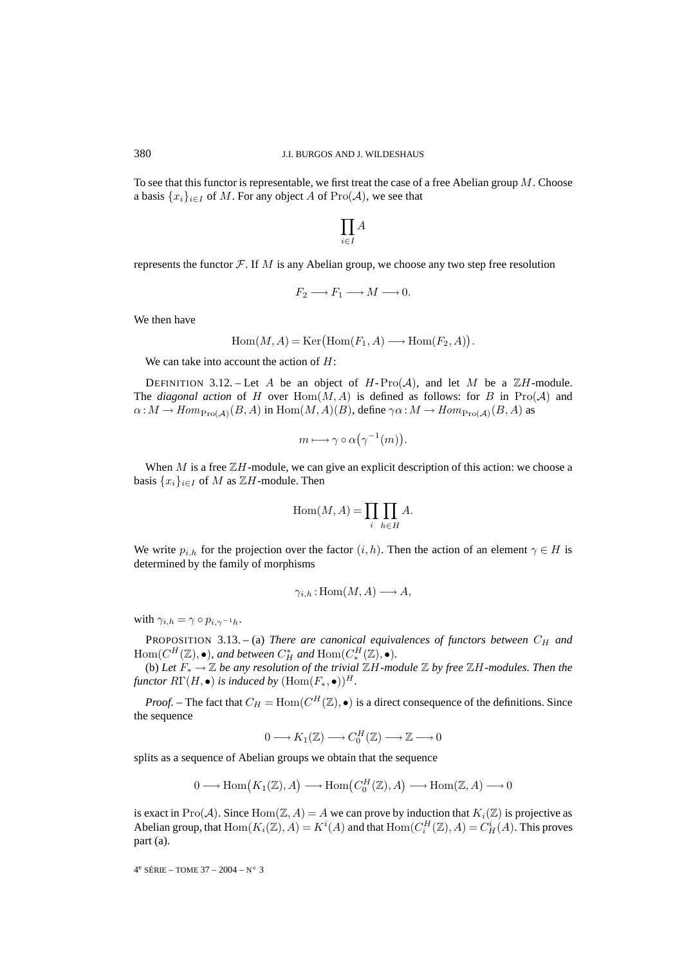To see that this functor is representable, we first treat the case of a free Abelian group  $M$ . Choose a basis  $\{x_i\}_{i\in I}$  of M. For any object A of  $\text{Pro}(\mathcal{A})$ , we see that

$$
\prod_{i\in I} A
$$

represents the functor  $\mathcal{F}$ . If M is any Abelian group, we choose any two step free resolution

$$
F_2 \longrightarrow F_1 \longrightarrow M \longrightarrow 0.
$$

We then have

$$
F_2 \longrightarrow F_1 \longrightarrow M \longrightarrow 0.
$$
  
Hom $(M, A) = \text{Ker}(\text{Hom}(F_1, A) \longrightarrow \text{Hom}(F_2, A)).$ 

We can take into account the action of  $H$ :

DEFINITION 3.12. – Let A be an object of  $H$ -Pro $(A)$ , and let M be a  $\mathbb{Z}H$ -module. The *diagonal action* of H over  $Hom(M, A)$  is defined as follows: for B in Pro( $A$ ) and  $\alpha: M \to Hom_{\text{Pro}(\mathcal{A})}(B, A)$  in  $\text{Hom}(M, A)(B)$ , define  $\gamma \alpha: M \to Hom_{\text{Pro}(\mathcal{A})}(B, A)$  as

$$
m \longmapsto \gamma \circ \alpha(\gamma^{-1}(m)).
$$

When  $M$  is a free  $\mathbb{Z}H$ -module, we can give an explicit description of this action: we choose a basis  $\{x_i\}_{i\in I}$  of M as  $\mathbb{Z}H$ -module. Then  $m \mapsto \gamma \circ \alpha (\gamma^{-1})$ <br>we can give an expine 2. Then<br>Hom(*M*, *A*) =  $\prod$ 

$$
Hom(M, A) = \prod_{i} \prod_{h \in H} A.
$$

We write  $p_{i,h}$  for the projection over the factor  $(i,h)$ . Then the action of an element  $\gamma \in H$  is determined by the family of morphisms

$$
\gamma_{i,h} : \text{Hom}(M, A) \longrightarrow A,
$$

with  $\gamma_{i,h} = \gamma \circ p_{i,\gamma^{-1}h}$ .

PROPOSITION 3.13. – (a) *There are canonical equivalences of functors between*  $C_H$  *and*  $\text{Hom}(C^H(\mathbb{Z}), \bullet)$ *, and between*  $C^*_H$  *and*  $\text{Hom}(C^H_*(\mathbb{Z}), \bullet)$ *.* 

(b) *Let* F<sup>∗</sup> → Z *be any resolution of the trivial* ZH*-module* Z *by free* ZH*-modules. Then the functor*  $R\Gamma(H, \bullet)$  *is induced by*  $(Hom(F_*, \bullet))^H$ .

*Proof.* – The fact that  $C_H = \text{Hom}(C^H(\mathbb{Z}), \bullet)$  is a direct consequence of the definitions. Since the sequence

$$
0 \longrightarrow K_1(\mathbb{Z}) \longrightarrow C_0^H(\mathbb{Z}) \longrightarrow \mathbb{Z} \longrightarrow 0
$$

splits as a sequence of Abelian groups we obtain that the sequence

$$
0 \longrightarrow K_1(\mathbb{Z}) \longrightarrow C_0^H(\mathbb{Z}) \longrightarrow \mathbb{Z} \longrightarrow 0
$$
  
quence of Abelian groups we obtain that the sequence  

$$
0 \longrightarrow \text{Hom}(K_1(\mathbb{Z}), A) \longrightarrow \text{Hom}(C_0^H(\mathbb{Z}), A) \longrightarrow \text{Hom}(\mathbb{Z}, A) \longrightarrow 0
$$

is exact in Pro( $\mathcal{A}$ ). Since Hom( $\mathbb{Z}, \mathcal{A}$ ) = A we can prove by induction that  $K_i(\mathbb{Z})$  is projective as Abelian group, that  $\text{Hom}(K_i(\mathbb{Z}), A) = K^i(A)$  and that  $\text{Hom}(C_i^H(\mathbb{Z}), A) = C_H^i(A)$ . This proves part (a).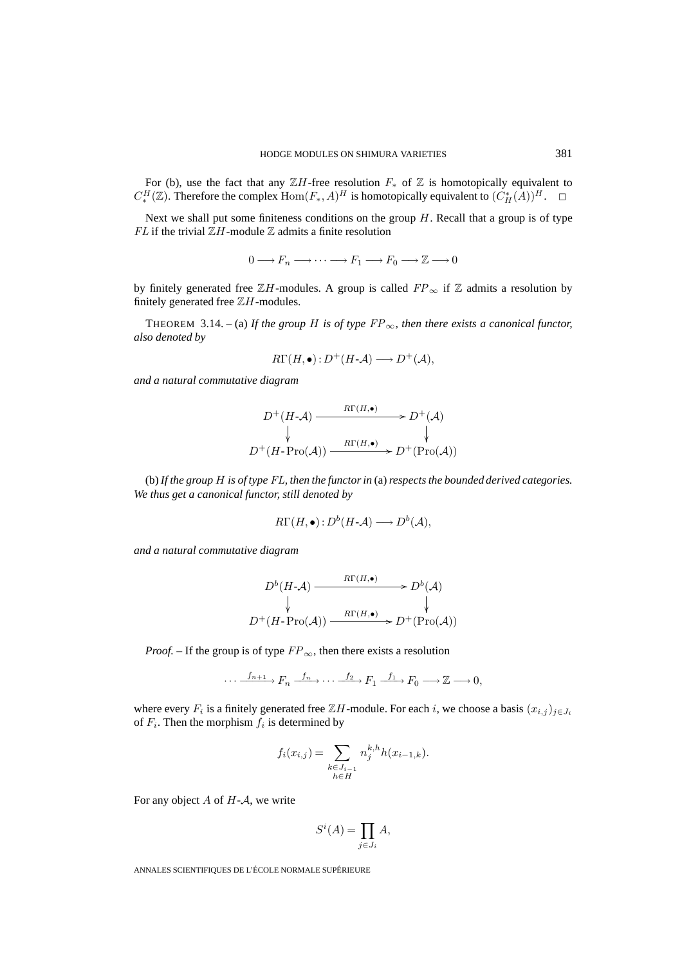For (b), use the fact that any  $\mathbb{Z}H$ -free resolution  $F_*$  of  $\mathbb Z$  is homotopically equivalent to  $C_*^H(\mathbb{Z})$ . Therefore the complex  $\text{Hom}(F_*,A)^H$  is homotopically equivalent to  $(C_H^*(A))^H$ .  $\Box$ 

Next we shall put some finiteness conditions on the group  $H$ . Recall that a group is of type  $FL$  if the trivial  $\mathbb{Z}H$ -module  $\mathbb Z$  admits a finite resolution

 $0 \longrightarrow F_n \longrightarrow \cdots \longrightarrow F_1 \longrightarrow F_0 \longrightarrow \mathbb{Z} \longrightarrow 0$ 

by finitely generated free  $\mathbb{Z}H$ -modules. A group is called  $FP_{\infty}$  if  $\mathbb Z$  admits a resolution by finitely generated free  $\mathbb{Z}H$ -modules.

THEOREM 3.14. – (a) If the group H is of type  $FP_\infty$ , then there exists a canonical functor, *also denoted by*

$$
R\Gamma(H,\bullet): D^+(H\text{-}\mathcal{A}) \longrightarrow D^+(\mathcal{A}),
$$

*and a natural commutative diagram*

$$
D^+(H\text{-}\mathcal{A}) \xrightarrow{\mathcal{R}\Gamma(H,\bullet)} D^+(\mathcal{A})
$$
  
\n
$$
\downarrow \qquad \qquad \downarrow
$$
  
\n
$$
D^+(H\text{-}\mathrm{Pro}(\mathcal{A})) \xrightarrow{\mathcal{R}\Gamma(H,\bullet)} D^+(\mathrm{Pro}(\mathcal{A}))
$$

(b) *If the group* H *is of type* FL*, then the functor in* (a)*respects the bounded derived categories. We thus get a canonical functor, still denoted by*

$$
R\Gamma(H,\bullet): D^b(H\text{-}\mathcal{A}) \longrightarrow D^b(\mathcal{A}),
$$

*and a natural commutative diagram*

$$
D^{b}(H-A) \xrightarrow{\mathcal{R}\Gamma(H,\bullet)} D^{b}(A)
$$
  
\n
$$
\downarrow \qquad \qquad \downarrow
$$
  
\n
$$
D^{+}(H\text{-}\text{Pro}(\mathcal{A})) \xrightarrow{\mathcal{R}\Gamma(H,\bullet)} D^{+}(\text{Pro}(\mathcal{A}))
$$

*Proof.* – If the group is of type  $FP_{\infty}$ , then there exists a resolution

$$
\cdots \xrightarrow{f_{n+1}} F_n \xrightarrow{f_n} \cdots \xrightarrow{f_2} F_1 \xrightarrow{f_1} F_0 \longrightarrow \mathbb{Z} \longrightarrow 0,
$$

where every  $F_i$  is a finitely generated free  $\mathbb{Z}H$ -module. For each i, we choose a basis  $(x_{i,j})_{j\in J_i}$ of  $F_i$ . Then the morphism  $f_i$  is determined by  $F_n \xrightarrow{j_{n}} \cdots \xrightarrow{j_{n}}$ <br>erated free  $\mathbb{Z}H$ -<br>determined by<br> $f_i(x_{i,j}) = \sum$ 

$$
f_i(x_{i,j}) = \sum_{\substack{k \in J_{i-1} \\ h \in H}} n_j^{k,h} h(x_{i-1,k}).
$$
  
write  

$$
S^i(A) = \prod A,
$$

For any object  $A$  of  $H - A$ , we write

$$
S^i(A) = \prod_{j \in J_i} A,
$$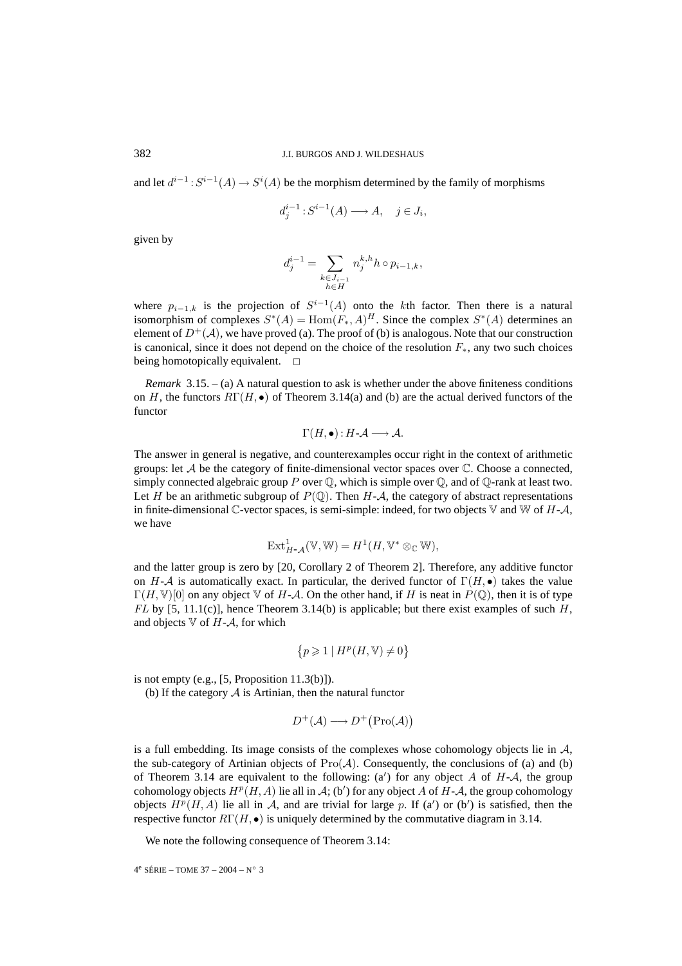and let  $d^{i-1}: S^{i-1}(A) \to S^{i}(A)$  be the morphism determined by the family of morphisms

$$
d_j^{i-1}: S^{i-1}(A) \longrightarrow A, \quad j \in J_i,
$$

given by

$$
d_j^{i-1}: S^{i-1}(A) \longrightarrow A, \quad j \in J_i
$$

$$
d_j^{i-1} = \sum_{\substack{k \in J_{i-1} \\ h \in H}} n_j^{k,h} h \circ p_{i-1,k},
$$

where  $p_{i-1,k}$  is the projection of  $S^{i-1}(A)$  onto the kth factor. Then there is a natural isomorphism of complexes  $S^*(A) = \text{Hom}(F_*, A)^H$ . Since the complex  $S^*(A)$  determines an element of  $D^+(\mathcal{A})$ , we have proved (a). The proof of (b) is analogous. Note that our construction is canonical, since it does not depend on the choice of the resolution  $F_*$ , any two such choices being homotopically equivalent.  $\square$ 

*Remark* 3.15. – (a) A natural question to ask is whether under the above finiteness conditions on H, the functors  $R\Gamma(H, \bullet)$  of Theorem 3.14(a) and (b) are the actual derived functors of the functor

$$
\Gamma(H,\bullet):H\text{-}\mathcal{A}\longrightarrow\mathcal{A}.
$$

The answer in general is negative, and counterexamples occur right in the context of arithmetic groups: let  $A$  be the category of finite-dimensional vector spaces over  $C$ . Choose a connected, simply connected algebraic group P over  $\mathbb{Q}$ , which is simple over  $\mathbb{Q}$ , and of  $\mathbb{Q}$ -rank at least two. Let H be an arithmetic subgroup of  $P(\mathbb{Q})$ . Then H-A, the category of abstract representations in finite-dimensional  $\mathbb{C}$ -vector spaces, is semi-simple: indeed, for two objects  $\mathbb {V}$  and  $\mathbb {W}$  of  $H$ - $\mathcal {A}$ , we have

$$
\text{Ext}_{H-\mathcal{A}}^1(\mathbb{V},\mathbb{W})=H^1(H,\mathbb{V}^*\otimes_{\mathbb{C}}\mathbb{W}),
$$

and the latter group is zero by [20, Corollary 2 of Theorem 2]. Therefore, any additive functor on H-A is automatically exact. In particular, the derived functor of  $\Gamma(H, \bullet)$  takes the value  $\Gamma(H,\mathbb{V})[0]$  on any object  $\mathbb {V}$  of H-A. On the other hand, if H is neat in  $P(\mathbb{Q})$ , then it is of type  $FL$  by [5, 11.1(c)], hence Theorem 3.14(b) is applicable; but there exist examples of such H, and objects  $\nabla$  of H-A, for which ived<br>d, if *l*<br>ple; b<br> $\neq 0$ }

$$
\{p \geqslant 1 \mid H^p(H, \mathbb{V}) \neq 0\}
$$

is not empty (e.g.,  $[5,$  Proposition 11.3(b)]).

(b) If the category  $A$  is Artinian, then the natural functor

$$
\{p \ge 1 \mid H^p(H, \mathbb{V}) \ne 0\}
$$
  
11.3(b)].  
i, then the natural functor  

$$
D^+(\mathcal{A}) \longrightarrow D^+\big(\text{Pro}(\mathcal{A})\big)
$$

is a full embedding. Its image consists of the complexes whose cohomology objects lie in  $A$ , the sub-category of Artinian objects of  $Pro(A)$ . Consequently, the conclusions of (a) and (b) of Theorem 3.14 are equivalent to the following:  $(a')$  for any object A of H-A, the group cohomology objects  $H^p(H, A)$  lie all in A; (b') for any object A of H-A, the group cohomology objects  $H^p(H, A)$  lie all in A, and are trivial for large p. If (a') or (b') is satisfied, then the respective functor  $R\Gamma(H, \bullet)$  is uniquely determined by the commutative diagram in 3.14.

We note the following consequence of Theorem 3.14:

```
4^e SÉRIE – TOME 37 – 2004 – N° 3
```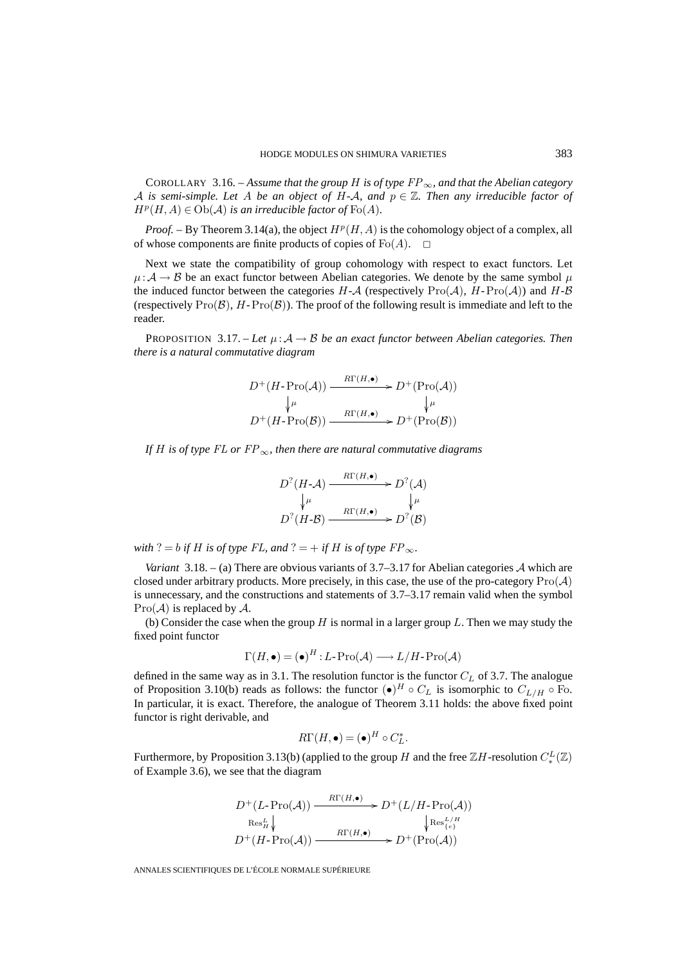COROLLARY 3.16. – Assume that the group H is of type  $FP_\infty$ , and that the Abelian category A is semi-simple. Let A be an object of H-A, and  $p \in \mathbb{Z}$ . Then any irreducible factor of  $H^p(H, A) \in Ob(A)$  *is an irreducible factor of*  $Fo(A)$ *.* 

*Proof.* – By Theorem 3.14(a), the object  $H^p(H, A)$  is the cohomology object of a complex, all of whose components are finite products of copies of Fo $(A)$ .  $\Box$ 

Next we state the compatibility of group cohomology with respect to exact functors. Let  $\mu:\mathcal{A}\to\mathcal{B}$  be an exact functor between Abelian categories. We denote by the same symbol  $\mu$ the induced functor between the categories  $H - A$  (respectively  $\text{Pro}(\mathcal{A})$ ,  $H - \text{Pro}(\mathcal{A})$ ) and  $H - B$ (respectively  $\text{Pro}(\mathcal{B})$ , H- $\text{Pro}(\mathcal{B})$ ). The proof of the following result is immediate and left to the reader.

PROPOSITION 3.17. – Let  $\mu: A \rightarrow B$  be an exact functor between Abelian categories. Then *there is a natural commutative diagram*

$$
D^+(H\text{-}\mathrm{Pro}(\mathcal{A})) \xrightarrow{\qquad R\Gamma(H,\bullet)} D^+(\mathrm{Pro}(\mathcal{A}))
$$
  
\n
$$
\downarrow^{\mu} \qquad \qquad \downarrow^{\mu}
$$
  
\n
$$
D^+(H\text{-}\mathrm{Pro}(\mathcal{B})) \xrightarrow{\qquad R\Gamma(H,\bullet)} D^+(\mathrm{Pro}(\mathcal{B}))
$$

*If* H *is of type* FL *or* FP∞*, then there are natural commutative diagrams*

$$
D^{?}(H\text{-}\mathcal{A}) \xrightarrow{R\Gamma(H,\bullet)} D^{?}(\mathcal{A})
$$

$$
\downarrow \mu \qquad \qquad \downarrow \mu
$$

$$
D^{?}(H\text{-}\mathcal{B}) \xrightarrow{R\Gamma(H,\bullet)} D^{?}(\mathcal{B})
$$

*with* ? = *b if H is of type*  $FL$ *, and* ? = + *if H is of type*  $FP_\infty$ *.* 

*Variant* 3.18. – (a) There are obvious variants of 3.7–3.17 for Abelian categories  $A$  which are closed under arbitrary products. More precisely, in this case, the use of the pro-category  $\text{Pro}(\mathcal{A})$ is unnecessary, and the constructions and statements of 3.7–3.17 remain valid when the symbol  $Pro(\mathcal{A})$  is replaced by  $\mathcal{A}$ .

(b) Consider the case when the group H is normal in a larger group  $L$ . Then we may study the fixed point functor

$$
\Gamma(H, \bullet) = (\bullet)^H : L\text{-}\operatorname{Pro}(\mathcal{A}) \longrightarrow L/H\text{-}\operatorname{Pro}(\mathcal{A})
$$

defined in the same way as in 3.1. The resolution functor is the functor  $C<sub>L</sub>$  of 3.7. The analogue of Proposition 3.10(b) reads as follows: the functor  $(\bullet)^H \circ C_L$  is isomorphic to  $C_{L/H} \circ F$ . In particular, it is exact. Therefore, the analogue of Theorem 3.11 holds: the above fixed point functor is right derivable, and

$$
R\Gamma(H,\bullet) = (\bullet)^H \circ C_L^*.
$$

Furthermore, by Proposition 3.13(b) (applied to the group H and the free  $\mathbb{Z}H$ -resolution  $C^L_*(\mathbb{Z})$ of Example 3.6), we see that the diagram

$$
D^+(L\text{-}\operatorname{Pro}(\mathcal{A})) \xrightarrow{\operatorname{R}\Gamma(H,\bullet)} D^+(L/H\text{-}\operatorname{Pro}(\mathcal{A}))
$$
  
\n
$$
\operatorname{Res}_{H}^L \downarrow \qquad \qquad \downarrow \operatorname{Res}_{\{e\}}^{L/H}
$$
  
\n
$$
D^+(H\text{-}\operatorname{Pro}(\mathcal{A})) \xrightarrow{\operatorname{R}\Gamma(H,\bullet)} D^+(\operatorname{Pro}(\mathcal{A}))
$$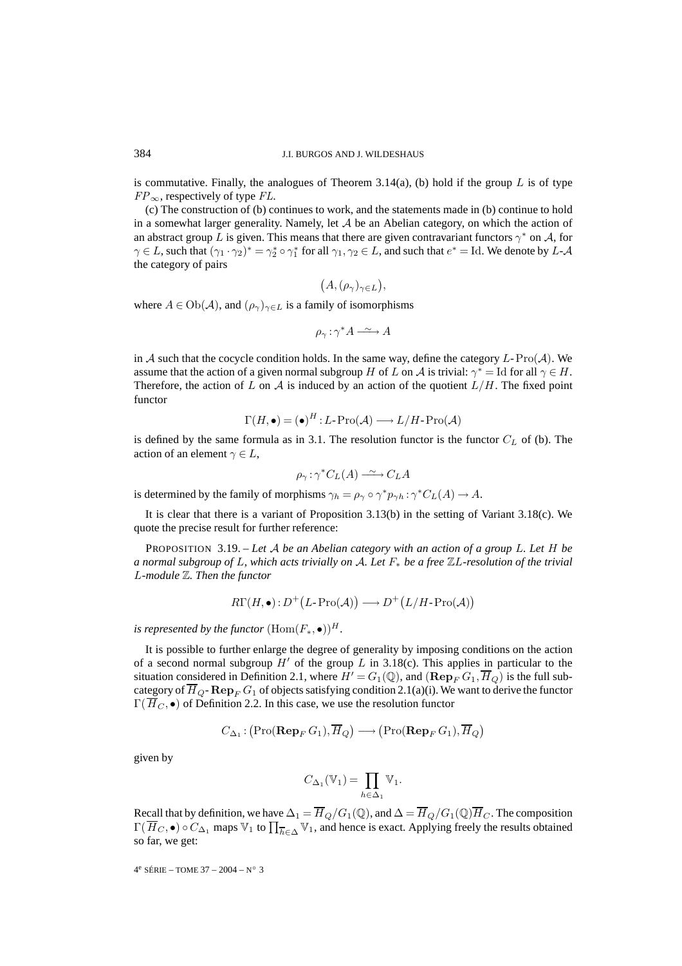is commutative. Finally, the analogues of Theorem 3.14(a), (b) hold if the group  $L$  is of type  $FP_{\infty}$ , respectively of type FL.

(c) The construction of (b) continues to work, and the statements made in (b) continue to hold in a somewhat larger generality. Namely, let  $A$  be an Abelian category, on which the action of an abstract group L is given. This means that there are given contravariant functors  $\gamma^*$  on A, for  $\gamma \in L$ , such that  $(\gamma_1 \cdot \gamma_2)^* = \gamma_2^* \circ \gamma_1^*$  for all  $\gamma_1, \gamma_2 \in L$ , and such that  $e^* = \text{Id}$ . We denote by  $L$ - $\mathcal A$ the category of pairs

$$
(A,(\rho_{\gamma})_{\gamma\in L}),
$$

where  $A \in Ob(\mathcal{A})$ , and  $(\rho_{\gamma})_{\gamma \in L}$  is a family of isomorphisms

$$
\rho_{\gamma} : \gamma^* A \xrightarrow{\sim} A
$$

in A such that the cocycle condition holds. In the same way, define the category  $L\text{-}Pro(\mathcal{A})$ . We assume that the action of a given normal subgroup H of L on A is trivial:  $\gamma^* =$  Id for all  $\gamma \in H$ . Therefore, the action of L on A is induced by an action of the quotient  $L/H$ . The fixed point functor

$$
\Gamma(H,\bullet) = (\bullet)^H : L\text{-}\operatorname{Pro}(\mathcal{A}) \longrightarrow L/H\text{-}\operatorname{Pro}(\mathcal{A})
$$

is defined by the same formula as in 3.1. The resolution functor is the functor  $C<sub>L</sub>$  of (b). The action of an element  $\gamma \in L$ ,

$$
\rho_{\gamma} : \gamma^* C_L(A) \xrightarrow{\sim} C_L A
$$

is determined by the family of morphisms  $\gamma_h = \rho_\gamma \circ \gamma^* p_{\gamma h} : \gamma^* C_L(A) \to A$ .

It is clear that there is a variant of Proposition 3.13(b) in the setting of Variant 3.18(c). We quote the precise result for further reference:

PROPOSITION 3.19. – *Let* A *be an Abelian category with an action of a group* L*. Let* H *be a normal subgroup of* L*, which acts trivially on* A*. Let* F<sup>∗</sup> *be a free* ZL*-resolution of the trivial* L*-module* Z*. Then the functor* 9. – Let A be an Abelian category wi<br>
f L, which acts trivially on A. Let  $F_*$ <br>
e functor<br>  $R\Gamma(H, \bullet) : D^+(L\text{-}Pro(\mathcal{A})) \longrightarrow D^+(L)$ 

$$
R\Gamma(H, \bullet): D^{+}(L\text{-}\mathrm{Pro}(\mathcal{A})) \longrightarrow D^{+}(L/H\text{-}\mathrm{Pro}(\mathcal{A}))
$$

*is represented by the functor*  $(Hom(F_*, \bullet))^H$ *.* 

It is possible to further enlarge the degree of generality by imposing conditions on the action of a second normal subgroup  $H'$  of the group  $L$  in 3.18(c). This applies in particular to the situation considered in Definition 2.1, where  $H' = G_1(\mathbb{Q})$ , and  $(\mathbf{Rep}_F G_1, \overline{H}_Q)$  is the full subcategory of  $\overline{H}_{Q}$ - **Rep**<sub>F</sub> G<sub>1</sub> of objects satisfying condition 2.1(a)(i). We want to derive the functor  $\Gamma(\overline{H}_C, \bullet)$  of Definition 2.2. In this case, we use the resolution functor L in<br>=  $G_1$ <br>onditi<br>the res<br>→ (

$$
C_{\Delta_1}: (\text{Pro}(\mathbf{Rep}_F G_1), \overline{H}_Q) \longrightarrow (\text{Pro}(\mathbf{Rep}_F G_1), \overline{H}_Q)
$$

$$
C_{\Delta_1}(\mathbb{V}_1) = \prod \mathbb{V}_1.
$$

given by

$$
C_{\Delta_1}(\mathbb{V}_1) = \prod_{h \in \Delta_1} \mathbb{V}_1.
$$

Recall that by definition, we have  $\Delta_1 = \overline{H}_Q/G_1(\mathbb{Q})$ , and  $\Delta = \overline{H}_Q/G_1(\mathbb{Q})\overline{H}_C$ . The composition given by<br>  $C_{\Delta_1}(\mathbb{V}_1) = \prod_{h \in \Delta_1} \mathbb{V}_1.$ <br>
Recall that by definition, we have  $\Delta_1 = \overline{H}_Q/G_1(\mathbb{Q})$ , and  $\Delta = \overline{H}_Q/G_1(\mathbb{Q})\overline{H}_C$ . The composition  $\Gamma(\overline{H}_C, \bullet) \circ C_{\Delta_1}$  maps  $\mathbb{V}_1$  to  $\prod_{h \in \Delta} \mathbb{V}_1$ , so far, we get: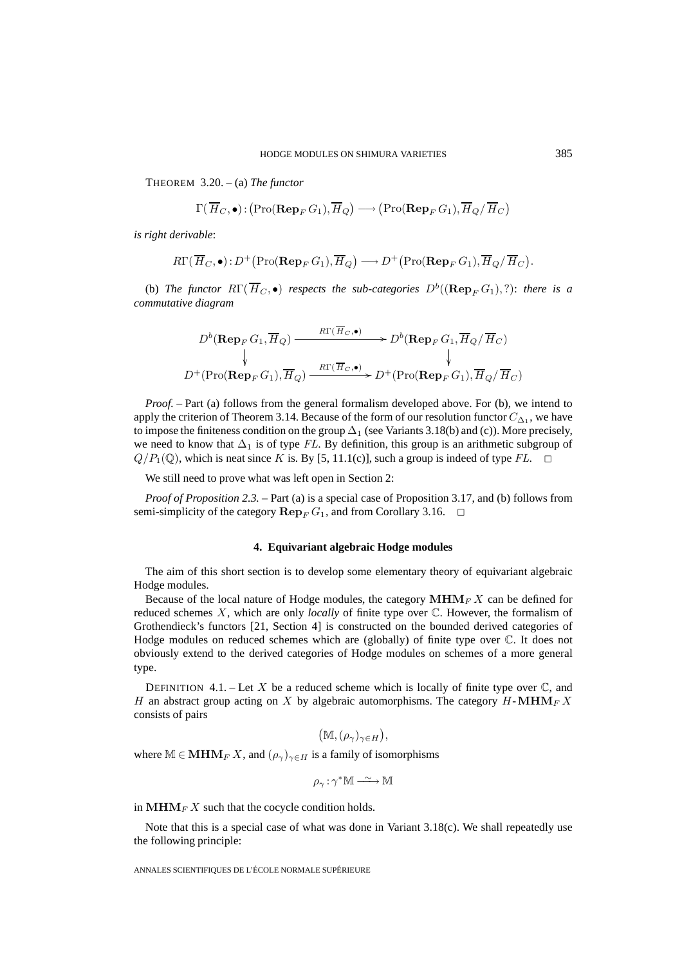THEOREM 3.20. – (a) *The functor*

HODGE MODULES ON SHIMURA VARIETIES  
\nREM 3.20. – (a) *The functor*  
\n
$$
\Gamma(\overline{H}_C, \bullet) : (\text{Pro}(\mathbf{Rep}_F G_1), \overline{H}_Q) \longrightarrow (\text{Pro}(\mathbf{Rep}_F G_1), \overline{H}_Q / \overline{H}_C)
$$
\n*derivable:*  
\n
$$
R\Gamma(\overline{H}_C, \bullet) : D^+(\text{Pro}(\mathbf{Rep}_F G_1), \overline{H}_Q) \longrightarrow D^+(\text{Pro}(\mathbf{Rep}_F G_1), \overline{H}_Q / \overline{H}_C).
$$

*is right derivable*:

(b) *The functor*  $R\Gamma(\overline{H}_C, \bullet)$  *respects the sub-categories*  $D^b((\mathbf{Rep}_F G_1), ?)$ : *there is a commutative diagram*

$$
D^{b}(\mathbf{Rep}_F G_1, \overline{H}_Q) \xrightarrow{R\Gamma(\overline{H}_C, \bullet)} D^{b}(\mathbf{Rep}_F G_1, \overline{H}_Q / \overline{H}_C)
$$
  
\n
$$
\downarrow \qquad \qquad \downarrow
$$
  
\n
$$
D^{+}(\text{Pro}(\mathbf{Rep}_F G_1), \overline{H}_Q) \xrightarrow{R\Gamma(\overline{H}_C, \bullet)} D^{+}(\text{Pro}(\mathbf{Rep}_F G_1), \overline{H}_Q / \overline{H}_C)
$$

*Proof.* – Part (a) follows from the general formalism developed above. For (b), we intend to apply the criterion of Theorem 3.14. Because of the form of our resolution functor  $C_{\Delta_1}$ , we have to impose the finiteness condition on the group  $\Delta_1$  (see Variants 3.18(b) and (c)). More precisely, we need to know that  $\Delta_1$  is of type FL. By definition, this group is an arithmetic subgroup of  $Q/P_1(\mathbb{Q})$ , which is neat since K is. By [5, 11.1(c)], such a group is indeed of type FL.  $\Box$ 

We still need to prove what was left open in Section 2:

*Proof of Proposition 2.3.* – Part (a) is a special case of Proposition 3.17, and (b) follows from semi-simplicity of the category  $\mathbf{Rep}_F G_1$ , and from Corollary 3.16.  $\Box$ 

#### **4. Equivariant algebraic Hodge modules**

The aim of this short section is to develop some elementary theory of equivariant algebraic Hodge modules.

Because of the local nature of Hodge modules, the category  $\text{MHM}_F X$  can be defined for reduced schemes X, which are only *locally* of finite type over C. However, the formalism of Grothendieck's functors [21, Section 4] is constructed on the bounded derived categories of Hodge modules on reduced schemes which are (globally) of finite type over C. It does not obviously extend to the derived categories of Hodge modules on schemes of a more general type.

DEFINITION 4.1. – Let X be a reduced scheme which is locally of finite type over  $\mathbb{C}$ , and H an abstract group acting on X by algebraic automorphisms. The category  $H\text{-}\text{MHM}_F X$ consists of pairs

$$
(\mathbb{M}, (\rho_\gamma)_{\gamma \in H}),
$$

where  $M \in \mathbf{MHM}_F X$ , and  $(\rho_\gamma)_{\gamma \in H}$  is a family of isomorphisms

$$
\rho_\gamma:\gamma^*\mathbb{M}\xrightarrow{\;\sim\;}\mathbb{M}
$$

in  $\text{MHM}_F X$  such that the cocycle condition holds.

Note that this is a special case of what was done in Variant  $3.18(c)$ . We shall repeatedly use the following principle: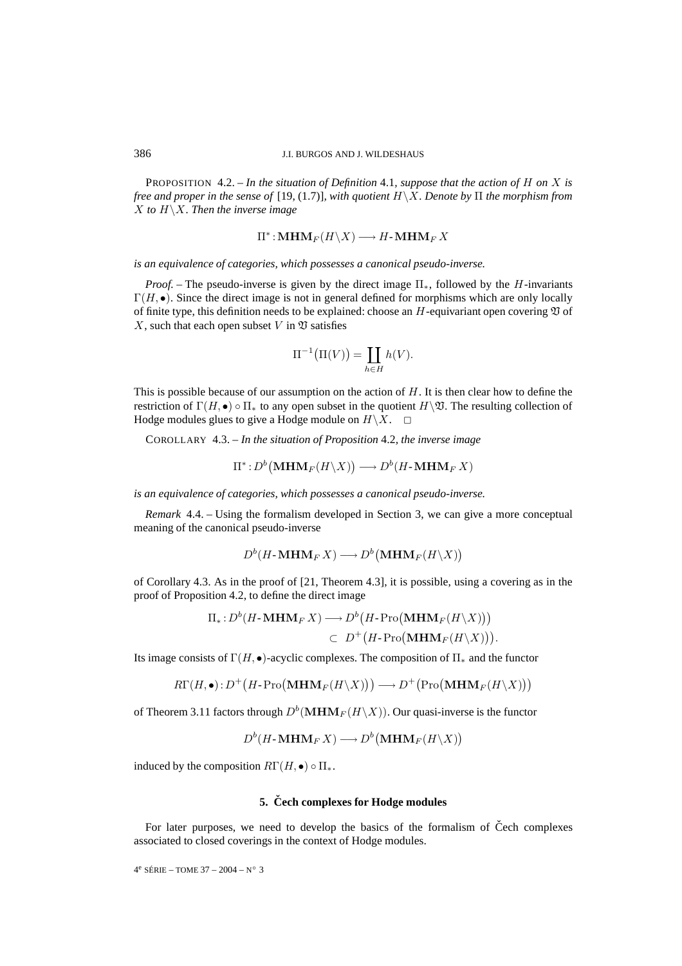PROPOSITION 4.2. – *In the situation of Definition* 4.1*, suppose that the action of* H *on* X *is free and proper in the sense of* [19, (1.7)]*, with quotient* H\X*. Denote by* Π *the morphism from* X *to* H\X*. Then the inverse image*

$$
\Pi^*: \mathbf{MHM}_F(H \backslash X) \longrightarrow H \text{-} \mathbf{MHM}_F X
$$

*is an equivalence of categories, which possesses a canonical pseudo-inverse.*

*Proof. –* The pseudo-inverse is given by the direct image Π∗, followed by the H-invariants  $\Gamma(H, \bullet)$ . Since the direct image is not in general defined for morphisms which are only locally of finite type, this definition needs to be explained: choose an  $H$ -equivariant open covering  $\mathfrak V$  of X, such that each open subset V in  $\mathfrak V$  satisfies given by the direct<br>not in general definition<br>to be explained: cho<br>n  $\mathfrak V$  satisfies<br> $\Pi^{-1}(\Pi(V)) = \prod$ 

$$
\Pi^{-1}(\Pi(V)) = \coprod_{h \in H} h(V).
$$

This is possible because of our assumption on the action of  $H$ . It is then clear how to define the restriction of  $\Gamma(H, \bullet) \circ \Pi_*$  to any open subset in the quotient  $H\backslash \mathfrak{V}$ . The resulting collection of Hodge modules glues to give a Hodge module on  $H\backslash X$ .  $\square$ se of ods<br>
o  $\Pi_*$  to s<br>
to give a<br>  $- In the s$ <br>  $\Pi^* : D^b$ 

COROLLARY 4.3. – *In the situation of Proposition* 4.2*, the inverse image*

$$
\Pi^*: D^b(\mathbf{MHM}_F(H\backslash X)) \longrightarrow D^b(H\text{-}\mathbf{MHM}_F X)
$$

*is an equivalence of categories, which possesses a canonical pseudo-inverse.*

*Remark* 4.4. – Using the formalism developed in Section 3, we can give a more conceptual meaning of the canonical pseudo-inverse *ries, which possesses a car*<br>  $\epsilon$  formalism developed in S<br>
seudo-inverse<br>  $(H\text{-}\mathbf{MHM}_F X) \longrightarrow D^b$ 

$$
D^b(H\text{-}\mathbf{MHM}_FX)\longrightarrow D^b\big(\mathbf{MHM}_F(H\backslash X)\big)
$$

of Corollary 4.3. As in the proof of [21, Theorem 4.3], it is possible, using a covering as in the proof of Proposition 4.2, to define the direct image  $D^b(H\text{-}\textbf{MHM}_F X) \longrightarrow D^b$ <br>the proof of [21, Theorem<br>*l*, to define the direct image<br> $(H\text{-}\textbf{MHM}_F X) \longrightarrow D^b$  $D^b$  (**MH**<br>4.3], it i<br>*H* - Pro(

Π<sup>∗</sup> : D<sup>b</sup> **MHM**<sup>F</sup> (H\X) ⊂ D+ H-Pro **MHM**<sup>F</sup> (H\X) . RΓ(H, •) : D+ H-Pro −→ D+ Pro 

Its image consists of  $\Gamma(H, \bullet)$ -acyclic complexes. The composition of  $\Pi_*$  and the functor

$$
R\Gamma(H, \bullet): D^{+}(H\text{-}Pro(\mathbf{MHM}_{F}(H\backslash X))) \longrightarrow D^{+}(\text{Pro}(\mathbf{MHM}_{F}(H\backslash X)))
$$
  
rem 3.11 factors through  $D^{b}(\mathbf{MHM}_{F}(H\backslash X))$ . Our quasi-inverse is the functor  

$$
D^{b}(H\text{-}\mathbf{MHM}_{F}X) \longrightarrow D^{b}(\mathbf{MHM}_{F}(H\backslash X))
$$

of Theorem 3.11 factors through  $D^b(MHM_F(H\setminus X))$ . Our quasi-inverse is the functor

$$
D^b(H\text{-}\mathbf{MHM}_FX)\longrightarrow D^b\big(\mathbf{MHM}_F(H\backslash X)\big)
$$

induced by the composition  $R\Gamma(H, \bullet) \circ \Pi_*$ .

## **5.** Čech complexes for Hodge modules

For later purposes, we need to develop the basics of the formalism of Čech complexes associated to closed coverings in the context of Hodge modules.

$$
4^e\ \text{SÉRIE} -\text{TOME 37} - 2004 - N^\circ\ 3
$$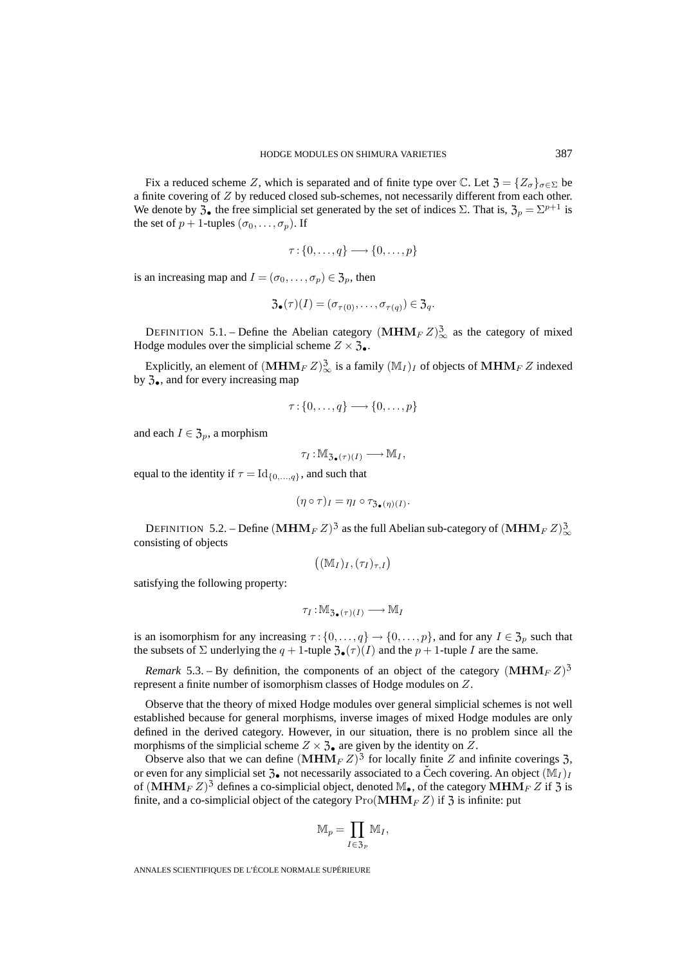Fix a reduced scheme Z, which is separated and of finite type over  $\mathbb{C}$ . Let  $\mathfrak{Z} = \{Z_{\sigma}\}_{\sigma \in \Sigma}$  be a finite covering of Z by reduced closed sub-schemes, not necessarily different from each other. We denote by  $\mathfrak{Z}_\bullet$  the free simplicial set generated by the set of indices  $\Sigma$ . That is,  $\mathfrak{Z}_p = \Sigma^{p+1}$  is the set of  $p + 1$ -tuples  $(\sigma_0, \ldots, \sigma_p)$ . If

$$
\tau: \{0, \ldots, q\} \longrightarrow \{0, \ldots, p\}
$$

is an increasing map and  $I = (\sigma_0, \dots, \sigma_p) \in \mathfrak{Z}_p$ , then

$$
\mathfrak{Z}_{\bullet}(\tau)(I)=(\sigma_{\tau(0)},\ldots,\sigma_{\tau(q)})\in\mathfrak{Z}_q.
$$

DEFINITION 5.1. – Define the Abelian category  $(MHM_F Z)_{\infty}^3$  as the category of mixed Hodge modules over the simplicial scheme  $Z \times \mathfrak{Z}_{\bullet}$ .

Explicitly, an element of  $(MHM_F Z)_{\infty}^3$  is a family  $(M_I)_I$  of objects of  $MHM_F Z$  indexed by  $3_{\bullet}$ , and for every increasing map

$$
\tau: \{0, \ldots, q\} \longrightarrow \{0, \ldots, p\}
$$

and each  $I \in \mathfrak{Z}_p$ , a morphism

$$
\tau_I: \mathbb{M}_{\mathfrak{Z}_{\bullet}(\tau)(I)} \longrightarrow \mathbb{M}_I,
$$

equal to the identity if  $\tau = Id_{\{0,\ldots,q\}}$ , and such that

$$
(\eta \circ \tau)_I = \eta_I \circ \tau_{\mathfrak{Z}_{\bullet}(\eta)(I)}.
$$

DEFINITION 5.2. – Define  $(\mathbf{MHM}_F\,Z)^3$  as the full Abelian sub-category of  $(\mathbf{MHM}_F\,Z)_{\infty}^3$ consisting of objects  $(\tau)_I = \eta_I \circ \tau_{\mathfrak{Z}_\bullet(\eta)}$ <br>  $(Z)^3$  as the full  $\Delta$ <br>  $(\mathbb{M}_I)_I, (\tau_I)_{\tau,I})$ 

$$
\left( (\mathbb{M}_I)_I, (\tau_I)_{\tau,I} \right)
$$

satisfying the following property:

$$
\tau_I : \mathbb{M}_{\mathfrak{Z}_{\bullet}(\tau)(I)} \longrightarrow \mathbb{M}_I
$$

is an isomorphism for any increasing  $\tau$  :  $\{0,\ldots,q\} \to \{0,\ldots,p\}$ , and for any  $I \in \mathfrak{Z}_p$  such that the subsets of  $\Sigma$  underlying the  $q + 1$ -tuple  $\mathfrak{Z}_{\bullet}(\tau)(I)$  and the  $p + 1$ -tuple I are the same.

*Remark* 5.3. – By definition, the components of an object of the category  $(MHM_F Z)^3$ represent a finite number of isomorphism classes of Hodge modules on Z.

Observe that the theory of mixed Hodge modules over general simplicial schemes is not well established because for general morphisms, inverse images of mixed Hodge modules are only defined in the derived category. However, in our situation, there is no problem since all the morphisms of the simplicial scheme  $Z \times \mathfrak{Z}_\bullet$  are given by the identity on Z.

Observe also that we can define  $(MHM_F Z)^3$  for locally finite Z and infinite coverings 3, or even for any simplicial set  $\mathfrak{Z}_\bullet$  not necessarily associated to a Čech covering. An object  $(\mathbb{M}_I)_I$ of  $(MHM_F Z)^3$  defines a co-simplicial object, denoted  $\mathbb{M}_{\bullet}$ , of the category  $MHM_F Z$  if  $\mathfrak{Z}$  is finite, and a co-simplicial object of the category  $\text{Pro}(\textbf{MHM}_F Z)$  if  $\mathfrak{Z}$  is infinite: put  $\text{HM}_F Z)^3$ <br>essarily ass<br>l object, de<br>ategory P1<br> $\mathbb{M}_p = \prod$ 

$$
\mathbb{M}_p = \prod_{I \in \mathfrak{Z}_p} \mathbb{M}_I,
$$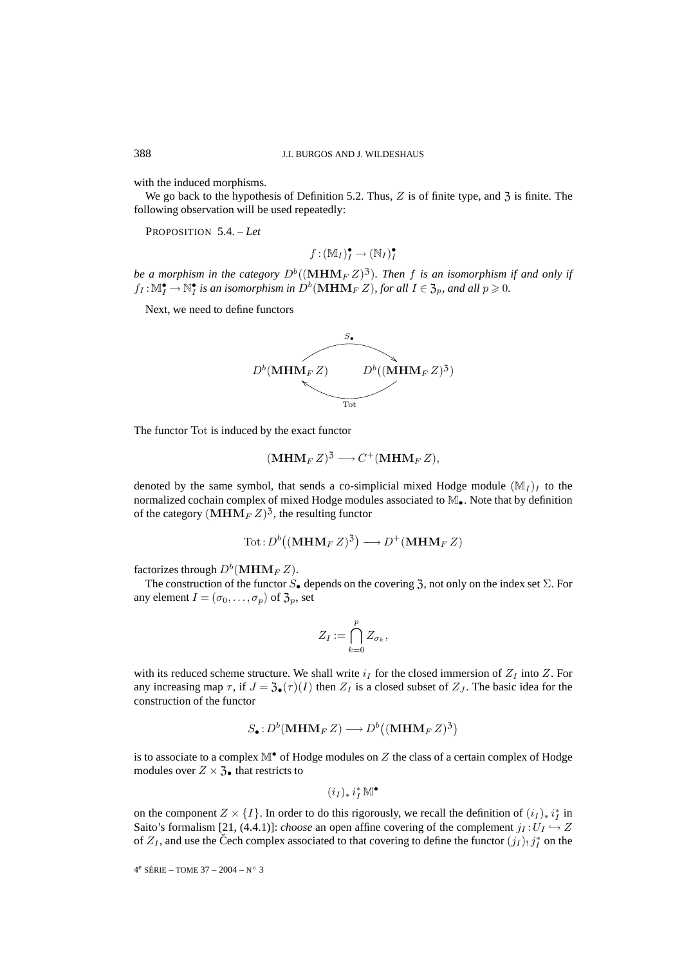with the induced morphisms.

We go back to the hypothesis of Definition 5.2. Thus,  $Z$  is of finite type, and  $\overline{3}$  is finite. The following observation will be used repeatedly:

PROPOSITION 5.4. – *Let*

$$
f: (\mathbb{M}_I)^\bullet_I \to (\mathbb{N}_I)^\bullet_I
$$

*be a morphism in the category*  $D^b((\mathbf{MHM}_F Z)^3)$ . Then f is an isomorphism if and only if  $f_I: \mathbb{M}^{\bullet}_I \to \mathbb{N}^{\bullet}_I$  is an isomorphism in  $D^b(\mathbf{MHM}_F\,Z)$ , for all  $I \in \mathfrak{Z}_p$ , and all  $p \geqslant 0$ .

Next, we need to define functors



The functor Tot is induced by the exact functor

$$
(\mathbf{MHM}_F Z)^3 \longrightarrow C^+(\mathbf{MHM}_F Z),
$$

denoted by the same symbol, that sends a co-simplicial mixed Hodge module  $(\mathbb{M}_I)_I$  to the normalized cochain complex of mixed Hodge modules associated to M•. Note that by definition of the category  $(MHM<sub>F</sub> Z)<sup>3</sup>$ , the resulting functor bymbol, then<br>  $\text{nplex of in } E_F Z$ <sup>3</sup>, then<br>  $\text{Tot}: D^b \left($  $\frac{1}{2}$ <br>no<br>nc

$$
\text{Tot}: D^b((\mathbf{MHM}_F\,Z)^3) \longrightarrow D^+(\mathbf{MHM}_F\,Z)
$$

factorizes through  $D^b(\textbf{MHM}_F Z)$ .

The construction of the functor  $S_{\bullet}$  depends on the covering 3, not only on the index set  $\Sigma$ . For any element  $I = (\sigma_0, \ldots, \sigma_p)$  of  $\mathfrak{Z}_p$ , set bends on the  $Z_I := \bigcap_{i=1}^p Z_i$ 

$$
Z_I := \bigcap_{k=0}^p Z_{\sigma_k},
$$

with its reduced scheme structure. We shall write  $i_I$  for the closed immersion of  $Z_I$  into Z. For any increasing map  $\tau$ , if  $J = \mathfrak{Z}_\bullet(\tau)(I)$  then  $Z_I$  is a closed subset of  $Z_J$ . The basic idea for the construction of the functor Frace. We shall write  $i_I$  fo<br>  $\mathcal{A}(\tau)(I)$  then  $Z_I$  is a close  $(\mathbf{MHM}_F Z) \longrightarrow D^b$ nn<br> $\sum Z$ <br> $3)$ 

$$
S_{\bullet}: D^b(\mathbf{MHM}_F\,Z) \longrightarrow D^b((\mathbf{MHM}_F\,Z)^3)
$$

is to associate to a complex  $M^{\bullet}$  of Hodge modules on Z the class of a certain complex of Hodge modules over  $Z \times \mathfrak{Z}_\bullet$  that restricts to

$$
(i_I)_*\,i_I^*\,\mathbb M^\bullet
$$

on the component  $Z \times \{I\}$ . In order to do this rigorously, we recall the definition of  $(i_I)_* i_I^*$  in Saito's formalism [21, (4.4.1)]: *choose* an open affine covering of the complement  $j_I: U_I \hookrightarrow Z$ of  $Z_I$ , and use the Čech complex associated to that covering to define the functor  $(j_I)$   $j_I^*$  on the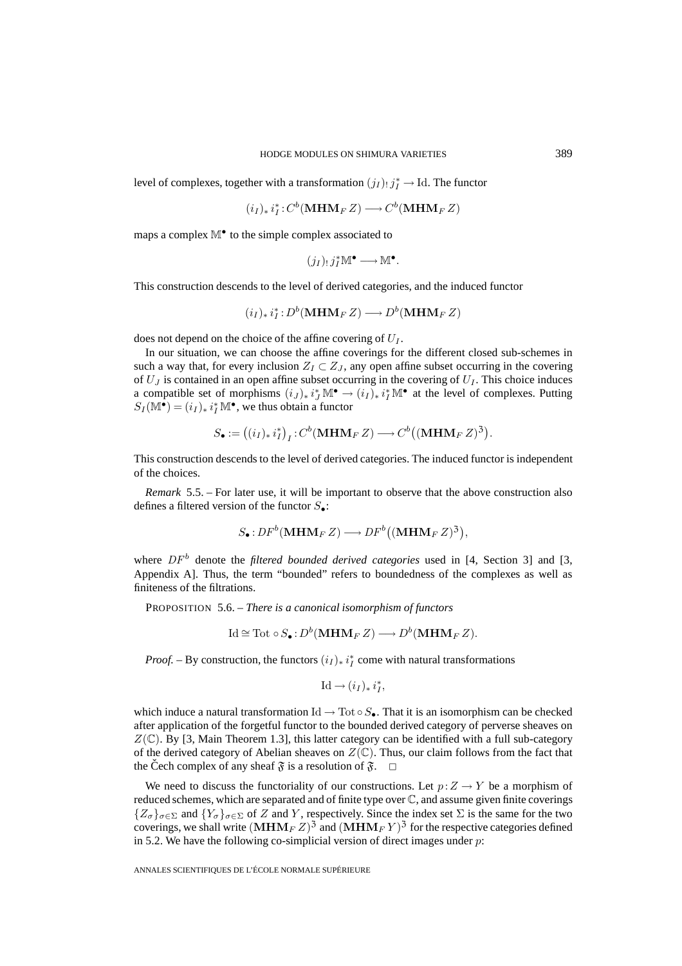level of complexes, together with a transformation  $(j_I)$   $j_I^* \to \text{Id}$ . The functor

$$
(i_I)_* i_I^* : C^b(\mathbf{MHM}_F Z) \longrightarrow C^b(\mathbf{MHM}_F Z)
$$

maps a complex  $\mathbb{M}^{\bullet}$  to the simple complex associated to

$$
(j_I)_!j_I^*\mathbb{M}^\bullet\longrightarrow\mathbb{M}^\bullet.
$$

This construction descends to the level of derived categories, and the induced functor

 $(i_I)_* i_I^* : D^b(\mathbf{MHM}_F Z) \longrightarrow D^b(\mathbf{MHM}_F Z)$ 

does not depend on the choice of the affine covering of  $U_I$ .

In our situation, we can choose the affine coverings for the different closed sub-schemes in such a way that, for every inclusion  $Z_I \subset Z_J$ , any open affine subset occurring in the covering of  $U_J$  is contained in an open affine subset occurring in the covering of  $U_I$ . This choice induces a compatible set of morphisms  $(i_J)_* i_J^* \mathbb{M}^{\bullet} \to (i_I)_* i_I^* \mathbb{M}^{\bullet}$  at the level of complexes. Putting  $S_I(\mathbb{M}^{\bullet}) = (i_I)_* i_I^* \mathbb{M}^{\bullet}$ , we thus obtain a functor for every inclusion  $Z_I \subset Z_J$ , any open affind<br>d in an open affine subset occurring in the co<br>of morphisms  $(i_J)_* i_J^* \mathbb{M}^{\bullet} \to (i_I)_* i_I^* \mathbb{M}^{\bullet}$  as<br> $j^* \mathbb{M}^{\bullet}$ , we thus obtain a functor<br> $S_{\bullet} := ((i_I)_* i_I^*)_I : C^b(\mathbf{MHM$ rri<br>T<br>C<br>3)

$$
S_{\bullet} := ((i_I)_* i_I^*)_I : C^b(\mathbf{MHM}_F Z) \longrightarrow C^b((\mathbf{MHM}_F Z)^3).
$$

This construction descends to the level of derived categories. The induced functor is independent of the choices.

*Remark* 5.5. – For later use, it will be important to observe that the above construction also defines a filtered version of the functor  $S_{\bullet}$ : (**MHM** $_F$  Z)  $\longrightarrow DF^b$  $\frac{1}{2}$ <br> $\frac{1}{2}$ 

$$
S_{\bullet}:DF^b(\mathbf{MHM}_F\,Z)\longrightarrow DF^b((\mathbf{MHM}_F\,Z)^3),
$$

where  $DF<sup>b</sup>$  denote the *filtered bounded derived categories* used in [4, Section 3] and [3, Appendix A]. Thus, the term "bounded" refers to boundedness of the complexes as well as finiteness of the filtrations.

PROPOSITION 5.6. – *There is a canonical isomorphism of functors*

$$
Id \cong Tot \circ S_{\bullet}: D^{b}(\mathbf{MHM}_{F}Z) \longrightarrow D^{b}(\mathbf{MHM}_{F}Z).
$$

*Proof.* – By construction, the functors  $(i_I)_* i_I^*$  come with natural transformations

$$
\mathrm{Id} \longrightarrow (i_I)_*\,i_I^*,
$$

which induce a natural transformation Id  $\rightarrow$  Tot  $\circ S_{\bullet}$ . That it is an isomorphism can be checked after application of the forgetful functor to the bounded derived category of perverse sheaves on  $Z(\mathbb{C})$ . By [3, Main Theorem 1.3], this latter category can be identified with a full sub-category of the derived category of Abelian sheaves on  $Z(\mathbb{C})$ . Thus, our claim follows from the fact that the Čech complex of any sheaf  $\mathfrak{F}$  is a resolution of  $\mathfrak{F}$ .  $\Box$ 

We need to discuss the functoriality of our constructions. Let  $p:Z\to Y$  be a morphism of reduced schemes, which are separated and of finite type over C, and assume given finite coverings  ${Z_{\sigma}}_{\sigma \in \Sigma}$  and  ${Y_{\sigma}}_{\sigma \in \Sigma}$  of Z and Y, respectively. Since the index set  $\Sigma$  is the same for the two coverings, we shall write  $(MHM_F Z)^3$  and  $(MHM_F Y)^3$  for the respective categories defined in 5.2. We have the following co-simplicial version of direct images under  $p$ :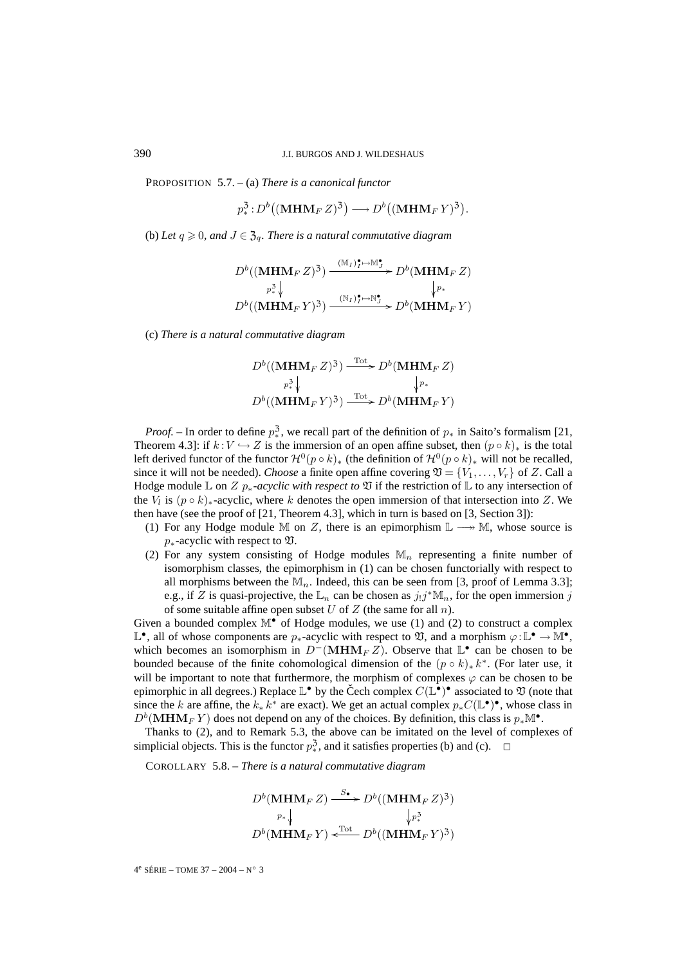PROPOSITION 5.7. – (a) *There is a canonical functor* AN<br>*ice*<br>3)

J.I. BURGOS AND J. WILDESHAUS  
– (a) *There is a canonical functor*  

$$
p_*^3: D^b((\mathbf{MHM}_F Z)^3) \longrightarrow D^b((\mathbf{MHM}_F Y)^3).
$$

(b) Let  $q \ge 0$ , and  $J \in \mathfrak{Z}_q$ . There is a natural commutative diagram

$$
D^{b}((\mathbf{MHM}_{F}Z)^{3}) \xrightarrow{\begin{array}{c} (\mathbf{M}_{I})_{I}^{\bullet} \mapsto \mathbf{M}_{J}^{\bullet} \\ p_{*}^{\mathbf{3}} \downarrow \end{array}} D^{b}(\mathbf{MHM}_{F}Z)
$$
\n
$$
D^{b}((\mathbf{MHM}_{F}Y)^{3}) \xrightarrow{\begin{array}{c} (\mathbf{N}_{I})_{I}^{\bullet} \mapsto \mathbf{N}_{J}^{\bullet} \\ \end{array}} D^{b}(\mathbf{MHM}_{F}Y)
$$

(c) *There is a natural commutative diagram*

$$
D^{b}((\mathbf{MHM}_{F}Z)^{3}) \xrightarrow{\text{Tot}} D^{b}(\mathbf{MHM}_{F}Z)
$$
  
\n
$$
p_{*}^{3} \downarrow \qquad \qquad \downarrow p_{*}
$$
  
\n
$$
D^{b}((\mathbf{MHM}_{F}Y)^{3}) \xrightarrow{\text{Tot}} D^{b}(\mathbf{MHM}_{F}Y)
$$

*Proof.* – In order to define  $p_*^3$ , we recall part of the definition of  $p_*$  in Saito's formalism [21, Theorem 4.3]: if  $k:V \hookrightarrow Z$  is the immersion of an open affine subset, then  $(p \circ k)_*$  is the total left derived functor of the functor  $\mathcal{H}^0(p \circ k)_*$  (the definition of  $\mathcal{H}^0(p \circ k)_*$  will not be recalled, since it will not be needed). *Choose* a finite open affine covering  $\mathfrak{V} = \{V_1, \ldots, V_r\}$  of Z. Call a Hodge module  $\mathbb L$  on  $Z$   $p_*$ -acyclic with respect to  $\mathfrak V$  if the restriction of  $\mathbb L$  to any intersection of the  $V_l$  is  $(p \circ k)_*$ -acyclic, where k denotes the open immersion of that intersection into Z. We then have (see the proof of  $[21,$  Theorem 4.3], which in turn is based on  $[3,$  Section 3]):

- (1) For any Hodge module M on Z, there is an epimorphism  $\mathbb{L} \longrightarrow \mathbb{M}$ , whose source is  $p_{*}$ -acyclic with respect to  $\mathfrak{V}$ .
- (2) For any system consisting of Hodge modules  $\mathbb{M}_n$  representing a finite number of isomorphism classes, the epimorphism in (1) can be chosen functorially with respect to all morphisms between the  $\mathbb{M}_n$ . Indeed, this can be seen from [3, proof of Lemma 3.3]; e.g., if Z is quasi-projective, the  $\mathbb{L}_n$  can be chosen as  $j_!j^*\mathbb{M}_n$ , for the open immersion j of some suitable affine open subset U of Z (the same for all  $n$ ).

Given a bounded complex  $\mathbb{M}^{\bullet}$  of Hodge modules, we use (1) and (2) to construct a complex L<sup>•</sup>, all of whose components are  $p_{*}$ -acyclic with respect to  $\mathfrak{V}$ , and a morphism  $\varphi:\mathbb{L}^{\bullet}\to\mathbb{M}^{\bullet}$ , which becomes an isomorphism in  $D^{-}(MHM_{F} Z)$ . Observe that  $\mathbb{L}^{\bullet}$  can be chosen to be bounded because of the finite cohomological dimension of the  $(p \circ k)_* k^*$ . (For later use, it will be important to note that furthermore, the morphism of complexes  $\varphi$  can be chosen to be epimorphic in all degrees.) Replace  $\mathbb{L}^{\bullet}$  by the Cech complex  $C(\mathbb{L}^{\bullet})^{\bullet}$  associated to  $\mathfrak V$  (note that since the k are affine, the  $k_* k^*$  are exact). We get an actual complex  $p_* C(\mathbb{L}^{\bullet})^{\bullet}$ , whose class in  $D<sup>b</sup>(MHM<sub>F</sub> Y)$  does not depend on any of the choices. By definition, this class is  $p_*M^{\bullet}$ .

Thanks to (2), and to Remark 5.3, the above can be imitated on the level of complexes of simplicial objects. This is the functor  $p^3_*$ , and it satisfies properties (b) and (c).  $\Box$ 

COROLLARY 5.8. – *There is a natural commutative diagram*

$$
D^{b}(\mathbf{MHM}_{F} Z) \xrightarrow{S_{\bullet}} D^{b}((\mathbf{MHM}_{F} Z)^{3})
$$
  
\n
$$
p_{*} \downarrow \qquad \qquad \downarrow p_{*}^{3}
$$
  
\n
$$
D^{b}(\mathbf{MHM}_{F} Y) \xleftarrow{\text{Tot}} D^{b}((\mathbf{MHM}_{F} Y)^{3})
$$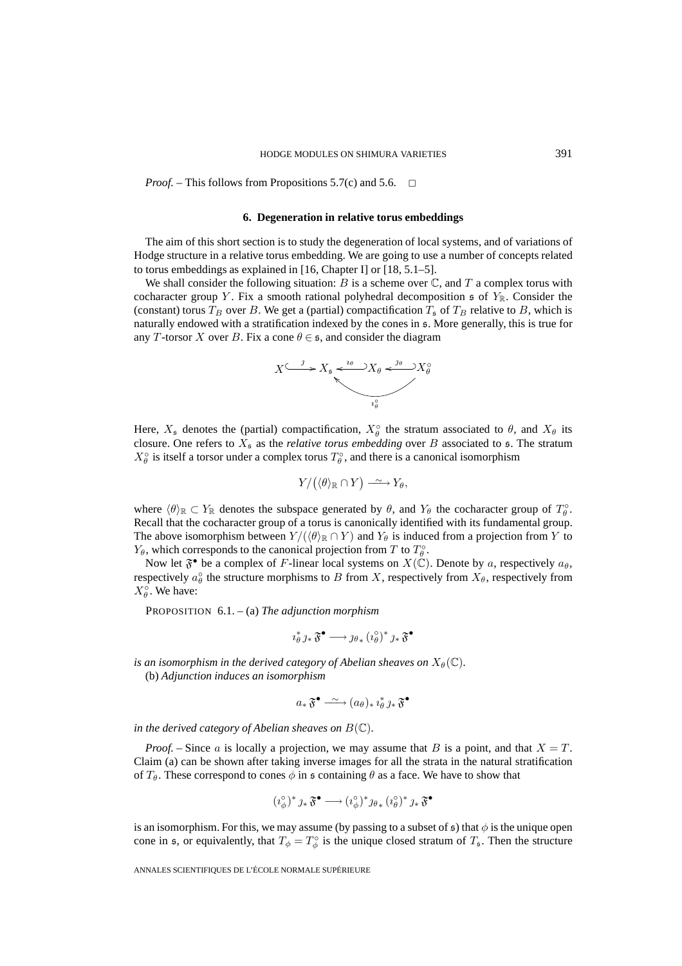*Proof.* – This follows from Propositions 5.7(c) and 5.6.  $\Box$ 

#### **6. Degeneration in relative torus embeddings**

The aim of this short section is to study the degeneration of local systems, and of variations of Hodge structure in a relative torus embedding. We are going to use a number of concepts related to torus embeddings as explained in [16, Chapter I] or [18, 5.1–5].

We shall consider the following situation: B is a scheme over  $\mathbb C$ , and T a complex torus with cocharacter group Y. Fix a smooth rational polyhedral decomposition  $\mathfrak{s}$  of  $Y_{\mathbb{R}}$ . Consider the (constant) torus  $T_B$  over B. We get a (partial) compactification  $T_S$  of  $T_B$  relative to B, which is naturally endowed with a stratification indexed by the cones in s. More generally, this is true for any T-torsor X over B. Fix a cone  $\theta \in \mathfrak{s}$ , and consider the diagram



Here,  $X_s$  denotes the (partial) compactification,  $X_\theta^\circ$  the stratum associated to  $\theta$ , and  $X_\theta$  its closure. One refers to  $X_s$  as the *relative torus embedding* over B associated to  $\mathfrak{s}$ . The stratum  $X_{\theta}^{\circ}$  is itself a torsor under a complex torus  $T_{\theta}^{\circ}$ , and there is a canonical isomorphism npac<br>*ativ*<br>X tor

$$
Y/(\langle\theta\rangle_{\mathbb{R}}\cap Y)\stackrel{\sim}{\longrightarrow}Y_{\theta},
$$

where  $\langle \theta \rangle_{\mathbb{R}} \subset Y_{\mathbb{R}}$  denotes the subspace generated by  $\theta$ , and  $Y_{\theta}$  the cocharacter group of  $T_{\theta}^{\circ}$ . Recall that the cocharacter group of a torus is canonically identified with its fundamental group. The above isomorphism between  $Y/(\langle \theta \rangle_{\mathbb{R}} \cap Y)$  and  $Y_{\theta}$  is induced from a projection from Y to  $Y_{\theta}$ , which corresponds to the canonical projection from T to  $T_{\theta}^{\circ}$ .

Now let  $\mathfrak{F}^{\bullet}$  be a complex of F-linear local systems on  $X(\mathbb{C})$ . Denote by a, respectively  $a_{\theta}$ , respectively  $a_{\theta}^{\circ}$  the structure morphisms to B from X, respectively from  $X_{\theta}$ , respectively from  $X_{\theta}^{\circ}$ . We have:

PROPOSITION 6.1. – (a) *The adjunction morphism*

$$
\imath_\theta^* \jmath_* \mathfrak{F}^\bullet \longrightarrow \jmath_{\theta_*} (\imath_\theta^\circ)^* \jmath_* \mathfrak{F}^\bullet
$$

*is an isomorphism in the derived category of Abelian sheaves on*  $X_{\theta}(\mathbb{C})$ *.* 

(b) *Adjunction induces an isomorphism*

$$
a_*\mathfrak{F}^{\bullet} \xrightarrow{\sim} (a_{\theta})_* i_{\theta}^* \jmath_* \mathfrak{F}^{\bullet}
$$

*in the derived category of Abelian sheaves on*  $B(\mathbb{C})$ *.* 

*Proof.* – Since a is locally a projection, we may assume that B is a point, and that  $X = T$ . Claim (a) can be shown after taking inverse images for all the strata in the natural stratification of  $T_{\theta}$ . These correspond to cones  $\phi$  in s containing  $\theta$  as a face. We have to show that

$$
(\imath_\phi^\circ)^* \jmath_* \, \mathfrak{F}^\bullet \longrightarrow (\imath_\phi^\circ)^* \jmath_{\theta_*} \, (\imath_\theta^\circ)^* \, \jmath_* \, \mathfrak{F}^\bullet
$$

is an isomorphism. For this, we may assume (by passing to a subset of  $\epsilon$ ) that  $\phi$  is the unique open cone in s, or equivalently, that  $T_{\phi} = T_{\phi}^{\circ}$  is the unique closed stratum of  $T_{\phi}$ . Then the structure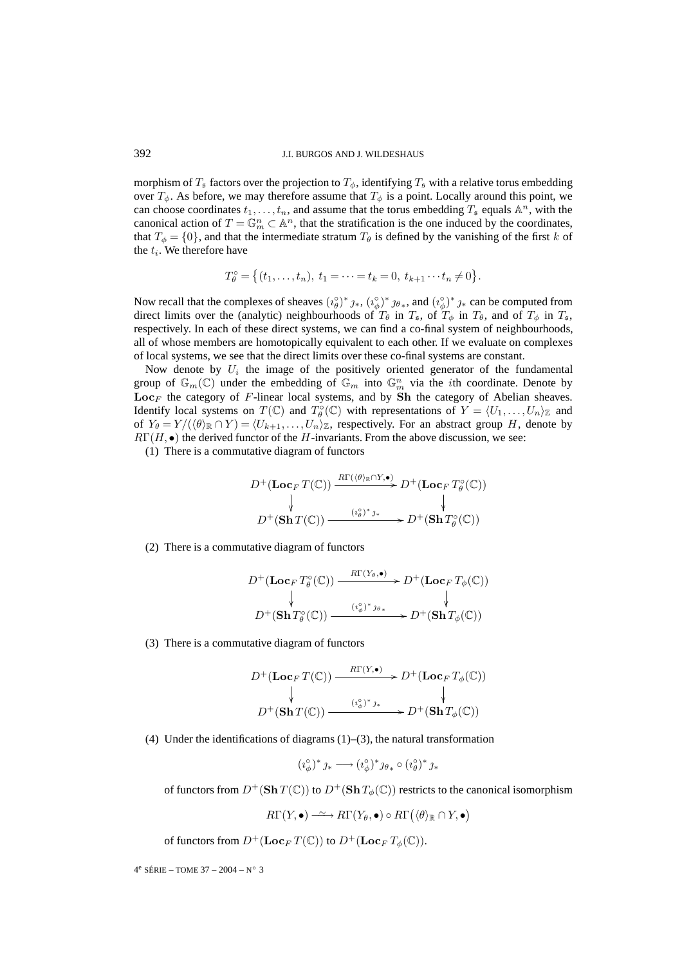morphism of  $T_s$  factors over the projection to  $T_\phi$ , identifying  $T_s$  with a relative torus embedding over  $T_{\phi}$ . As before, we may therefore assume that  $T_{\phi}$  is a point. Locally around this point, we can choose coordinates  $t_1,\ldots,t_n$ , and assume that the torus embedding  $T_s$  equals  $\mathbb{A}^n$ , with the canonical action of  $T = \mathbb{G}_m^n \subset \mathbb{A}^n$ , that the stratification is the one induced by the coordinates, that  $T_{\phi} = \{0\}$ , and that the intermediate stratum  $T_{\theta}$  is defined by the vanishing of the first k of the  $t_i$ . We therefore have es  $t_1, ..., t_n$ , and assume that the torus embedding  $T_s$ <br>  $\Gamma = \mathbb{G}_m^n \subset \mathbb{A}^n$ , that the stratification is the one induced<br>
aat the intermediate stratum  $T_\theta$  is defined by the vanis<br>
ave<br>  $\Gamma_\theta^\circ = \{(t_1, ..., t_n), t_1 = \cdots = t_k = 0$ 

$$
T_{\theta}^{\circ} = \{ (t_1, \ldots, t_n), \ t_1 = \cdots = t_k = 0, \ t_{k+1} \cdots t_n \neq 0 \}.
$$

Now recall that the complexes of sheaves  $(i_\theta^{\circ})^* j_*$ ,  $(i_\phi^{\circ})^* j_\theta$ , and  $(i_\phi^{\circ})^* j_*$  can be computed from direct limits over the (analytic) neighbourhoods of  $T_{\theta}$  in  $T_{\theta}$ , of  $T_{\phi}$  in  $T_{\theta}$ , and of  $T_{\phi}$  in  $T_{\theta}$ , respectively. In each of these direct systems, we can find a co-final system of neighbourhoods, all of whose members are homotopically equivalent to each other. If we evaluate on complexes of local systems, we see that the direct limits over these co-final systems are constant.

Now denote by  $U_i$  the image of the positively oriented generator of the fundamental group of  $\mathbb{G}_m(\mathbb{C})$  under the embedding of  $\mathbb{G}_m$  into  $\mathbb{G}_m^n$  via the *i*th coordinate. Denote by  $\mathbf{Loc}_F$  the category of F-linear local systems, and by **Sh** the category of Abelian sheaves. Identify local systems on  $T(\mathbb{C})$  and  $T_{\theta}^{\circ}(\mathbb{C})$  with representations of  $Y = \langle U_1, \ldots, U_n \rangle_{\mathbb{Z}}$  and of  $Y_{\theta} = Y/(\langle \theta \rangle_{\mathbb{R}} \cap Y) = \langle U_{k+1}, \ldots, U_n \rangle_{\mathbb{Z}}$ , respectively. For an abstract group H, denote by  $R\Gamma(H, \bullet)$  the derived functor of the H-invariants. From the above discussion, we see:

(1) There is a commutative diagram of functors

$$
D^{+}(\mathbf{Loc}_F T(\mathbb{C})) \xrightarrow{R\Gamma(\langle\theta\rangle_{\mathbb{R}} \cap Y, \bullet)} D^{+}(\mathbf{Loc}_F T^{\circ}_{\theta}(\mathbb{C}))
$$
  
\n
$$
\downarrow \qquad \qquad \downarrow
$$
  
\n
$$
D^{+}(\mathbf{Sh} T(\mathbb{C})) \xrightarrow{(\iota_{\theta}^{\circ})^* \jmath_*} D^{+}(\mathbf{Sh} T^{\circ}_{\theta}(\mathbb{C}))
$$

(2) There is a commutative diagram of functors

$$
D^{+}(\mathbf{Loc}_{F}T_{\theta}^{\circ}(\mathbb{C})) \xrightarrow{\qquad R\Gamma(Y_{\theta}, \bullet)} D^{+}(\mathbf{Loc}_{F}T_{\phi}(\mathbb{C}))
$$
  
\n
$$
\downarrow \qquad \qquad \downarrow
$$
  
\n
$$
D^{+}(\mathbf{Sh}T_{\theta}^{\circ}(\mathbb{C})) \xrightarrow{\qquad (\iota_{\phi}^{\circ})^{*} \mathcal{I}^{\theta_{*}}} D^{+}(\mathbf{Sh}T_{\phi}(\mathbb{C}))
$$

#### (3) There is a commutative diagram of functors

$$
D^{+}(\mathbf{Loc}_F T(\mathbb{C})) \xrightarrow{\qquad R\Gamma(Y,\bullet)} D^{+}(\mathbf{Loc}_F T_{\phi}(\mathbb{C}))
$$
  
\n
$$
\downarrow \qquad \qquad \downarrow
$$
  
\n
$$
D^{+}(\mathbf{Sh} T(\mathbb{C})) \xrightarrow{\qquad (\iota_{\phi}^{\circ})^* \jmath_*} D^{+}(\mathbf{Sh} T_{\phi}(\mathbb{C}))
$$

(4) Under the identifications of diagrams  $(1)$ – $(3)$ , the natural transformation

$$
(\imath_{\phi}^{\circ})^* \jmath_* \longrightarrow (\imath_{\phi}^{\circ})^* \jmath_{\theta_*} \circ (\imath_{\theta}^{\circ})^* \jmath_*
$$

of functors from  $D^+(\text{Sh }T(\mathbb{C}))$  to  $D^+(\text{Sh }T_{\phi}(\mathbb{C}))$  restricts to the canonical isomorphism

$$
R\Gamma(Y,\bullet) \xrightarrow{\sim} R\Gamma(Y_{\theta},\bullet) \circ R\Gamma(\langle \theta \rangle_{\mathbb{R}} \cap Y,\bullet)
$$

of functors from  $D^+(\mathbf{Loc}_F T(\mathbb{C}))$  to  $D^+(\mathbf{Loc}_F T_{\phi}(\mathbb{C}))$ .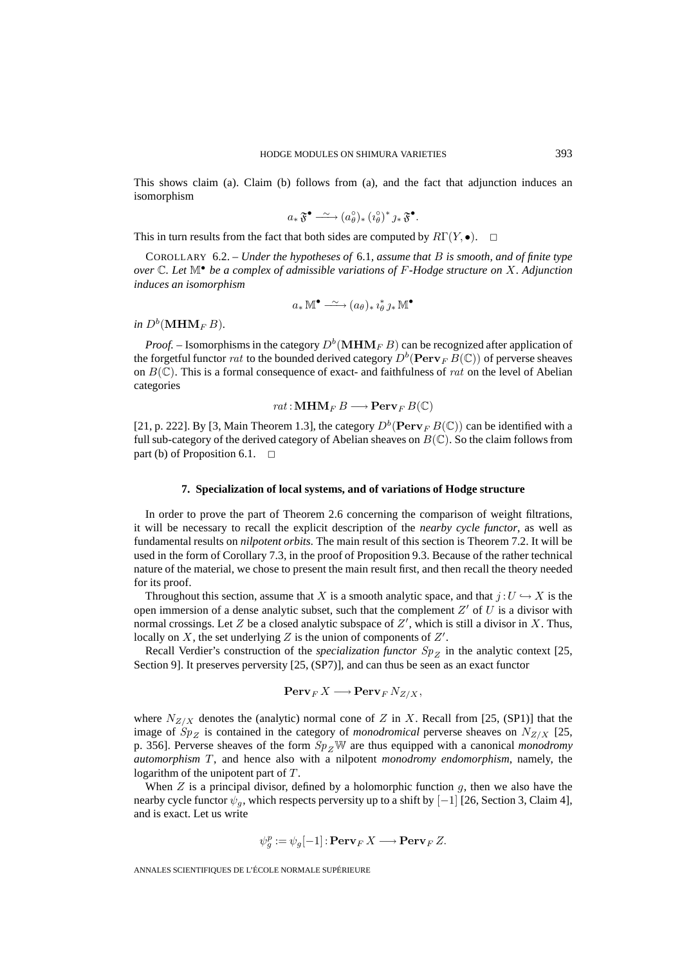This shows claim (a). Claim (b) follows from (a), and the fact that adjunction induces an isomorphism

$$
a_*\mathfrak{F}^{\bullet} \xrightarrow{\sim} (a_{\theta}^{\circ})_* (i_{\theta}^{\circ})^* j_*\mathfrak{F}^{\bullet}.
$$

This in turn results from the fact that both sides are computed by  $R\Gamma(Y, \bullet)$ .  $\Box$ 

COROLLARY 6.2. – *Under the hypotheses of* 6.1*, assume that* B *is smooth, and of finite type over* C*. Let* M• *be a complex of admissible variations of* F*-Hodge structure on* X*. Adjunction induces an isomorphism*

$$
a_*\mathbb{M}^\bullet \xrightarrow{\sim} (a_\theta)_* i_\theta^* \jmath_* \mathbb{M}^\bullet
$$

*in*  $D^b(\textbf{MHM}_F B)$ *.* 

*Proof.* – Isomorphisms in the category  $D^b(\mathbf{MHM}_F B)$  can be recognized after application of the forgetful functor rat to the bounded derived category  $D^b(\operatorname{Perv}_F B(\mathbb{C}))$  of perverse sheaves on  $B(\mathbb{C})$ . This is a formal consequence of exact- and faithfulness of rat on the level of Abelian categories

 $rat : \mathbf{MHM}_F B \longrightarrow \mathbf{Perv}_F B(\mathbb{C})$ 

[21, p. 222]. By [3, Main Theorem 1.3], the category  $D^b$  (**Perv**<sub>F</sub>  $B(\mathbb{C})$ ) can be identified with a full sub-category of the derived category of Abelian sheaves on  $B(\mathbb{C})$ . So the claim follows from part (b) of Proposition 6.1.  $\Box$ 

#### **7. Specialization of local systems, and of variations of Hodge structure**

In order to prove the part of Theorem 2.6 concerning the comparison of weight filtrations, it will be necessary to recall the explicit description of the *nearby cycle functor*, as well as fundamental results on *nilpotent orbits*. The main result of this section is Theorem 7.2. It will be used in the form of Corollary 7.3, in the proof of Proposition 9.3. Because of the rather technical nature of the material, we chose to present the main result first, and then recall the theory needed for its proof.

Throughout this section, assume that X is a smooth analytic space, and that  $j:U\hookrightarrow X$  is the open immersion of a dense analytic subset, such that the complement  $Z'$  of  $U$  is a divisor with normal crossings. Let  $Z$  be a closed analytic subspace of  $Z'$ , which is still a divisor in  $X$ . Thus, locally on  $X$ , the set underlying  $Z$  is the union of components of  $Z'$ .

Recall Verdier's construction of the *specialization functor*  $Sp_{Z}$  in the analytic context [25, Section 9]. It preserves perversity [25, (SP7)], and can thus be seen as an exact functor

$$
\operatorname{Perv}_F X \longrightarrow \operatorname{Perv}_F N_{Z/X},
$$

where  $N_{Z/X}$  denotes the (analytic) normal cone of Z in X. Recall from [25, (SP1)] that the image of  $Sp_Z$  is contained in the category of *monodromical* perverse sheaves on  $N_{Z/X}$  [25, p. 356]. Perverse sheaves of the form  $Sp_ZW$  are thus equipped with a canonical *monodromy automorphism* T, and hence also with a nilpotent *monodromy endomorphism*, namely, the logarithm of the unipotent part of  $T$ .

When  $Z$  is a principal divisor, defined by a holomorphic function  $g$ , then we also have the nearby cycle functor  $\psi_q$ , which respects perversity up to a shift by [−1] [26, Section 3, Claim 4], and is exact. Let us write

$$
\psi_g^p := \psi_g[-1]: \mathbf{Perv}_F X \longrightarrow \mathbf{Perv}_F Z.
$$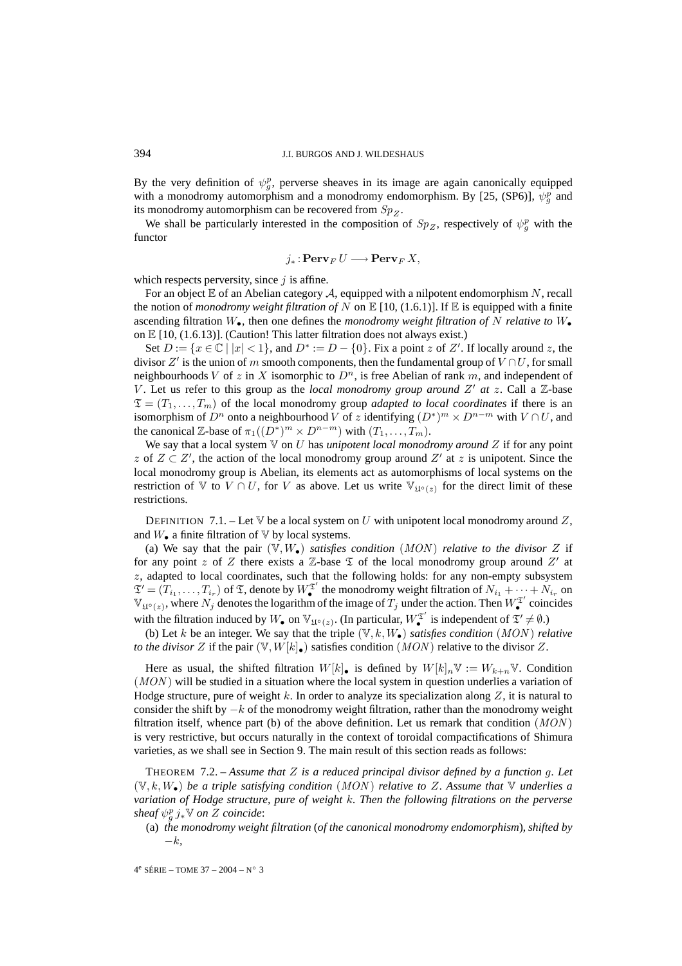By the very definition of  $\psi_g^p$ , perverse sheaves in its image are again canonically equipped with a monodromy automorphism and a monodromy endomorphism. By [25, (SP6)],  $\psi_{g}^{p}$  and its monodromy automorphism can be recovered from  $Sp_{Z}$ .

We shall be particularly interested in the composition of  $Sp_Z$ , respectively of  $\psi_g^p$  with the functor

$$
j_*\colon \mathbf{Perv}_F\,U\longrightarrow \mathbf{Perv}_F\,X,
$$

which respects perversity, since  $j$  is affine.

For an object  $E$  of an Abelian category  $A$ , equipped with a nilpotent endomorphism N, recall the notion of *monodromy weight filtration of* N on  $\mathbb{E}[10, (1.6.1)]$ . If  $\mathbb{E}$  is equipped with a finite ascending filtration W•, then one defines the *monodromy weight filtration of* N *relative to* W• on  $\mathbb{E}[10, (1.6.13)]$ . (Caution! This latter filtration does not always exist.)

Set  $D := \{x \in \mathbb{C} \mid |x| < 1\}$ , and  $D^* := D - \{0\}$ . Fix a point z of Z'. If locally around z, the divisor  $Z'$  is the union of m smooth components, then the fundamental group of  $V \cap U$ , for small neighbourhoods V of z in X isomorphic to  $D<sup>n</sup>$ , is free Abelian of rank m, and independent of V. Let us refer to this group as the *local monodromy group around*  $Z'$  at  $z$ . Call a  $\mathbb{Z}$ -base  $\mathfrak{T} = (T_1, \ldots, T_m)$  of the local monodromy group *adapted to local coordinates* if there is an isomorphism of D<sup>n</sup> onto a neighbourhood V of z identifying  $(D^*)^m \times D^{n-m}$  with  $V \cap U$ , and the canonical Z-base of  $\pi_1((D^*)^m \times D^{n-m})$  with  $(T_1, \ldots, T_m)$ .

We say that a local system V on U has *unipotent local monodromy around* Z if for any point z of  $Z \subset Z'$ , the action of the local monodromy group around  $Z'$  at z is unipotent. Since the local monodromy group is Abelian, its elements act as automorphisms of local systems on the restriction of V to  $V \cap U$ , for V as above. Let us write  $\mathbb{V}_{\mathfrak{U}^\circ(z)}$  for the direct limit of these restrictions.

DEFINITION 7.1. – Let  $\nabla$  be a local system on U with unipotent local monodromy around Z, and  $W_{\bullet}$  a finite filtration of  $V$  by local systems.

(a) We say that the pair  $(\mathbb{V}, W_{\bullet})$  *satisfies condition*  $(MON)$  *relative to the divisor* Z if for any point z of Z there exists a  $\mathbb Z$ -base  $\mathfrak T$  of the local monodromy group around  $Z'$  at z, adapted to local coordinates, such that the following holds: for any non-empty subsystem  $\mathfrak{T}' = (T_{i_1}, \ldots, T_{i_r})$  of  $\mathfrak{T}$ , denote by  $W^{\mathfrak{T}'}_{\bullet}$  the monodromy weight filtration of  $N_{i_1} + \cdots + N_{i_r}$  on  $\mathbb{V}_{\mathfrak{U}^{\circ}(z)}$ , where  $N_j$  denotes the logarithm of the image of  $T_j$  under the action. Then  $W_{\bullet}^{\mathfrak{T}'}$  coincides with the filtration induced by  $W_{\bullet}$  on  $\mathbb{V}_{\mathfrak{U}^{\circ}(z)}$ . (In particular,  $W_{\bullet}^{\mathfrak{T}'}$  is independent of  $\mathfrak{T}' \neq \emptyset$ .)

(b) Let k be an integer. We say that the triple  $(V, k, W_*)$  *satisfies condition* (*MON*) *relative to the divisor* Z if the pair  $(\mathbb{V}, W[k]_{\bullet})$  satisfies condition  $(MON)$  relative to the divisor Z.

Here as usual, the shifted filtration  $W[k]$ , is defined by  $W[k]_n \mathbb{V} := W_{k+n} \mathbb{V}$ . Condition  $(MON)$  will be studied in a situation where the local system in question underlies a variation of Hodge structure, pure of weight k. In order to analyze its specialization along  $Z$ , it is natural to consider the shift by  $-k$  of the monodromy weight filtration, rather than the monodromy weight filtration itself, whence part (b) of the above definition. Let us remark that condition  $(MON)$ is very restrictive, but occurs naturally in the context of toroidal compactifications of Shimura varieties, as we shall see in Section 9. The main result of this section reads as follows:

THEOREM 7.2. – *Assume that* Z *is a reduced principal divisor defined by a function* g*. Let* (V, k,W•) *be a triple satisfying condition* (MON ) *relative to* Z*. Assume that* V *underlies a variation of Hodge structure, pure of weight* k*. Then the following filtrations on the perverse*  $\int$ *sheaf*  $\psi_g^p$   $j_*$ <sup>V</sup> on *Z* coincide:

(a) *the monodromy weight filtration* (*of the canonical monodromy endomorphism*)*, shifted by* −k*,*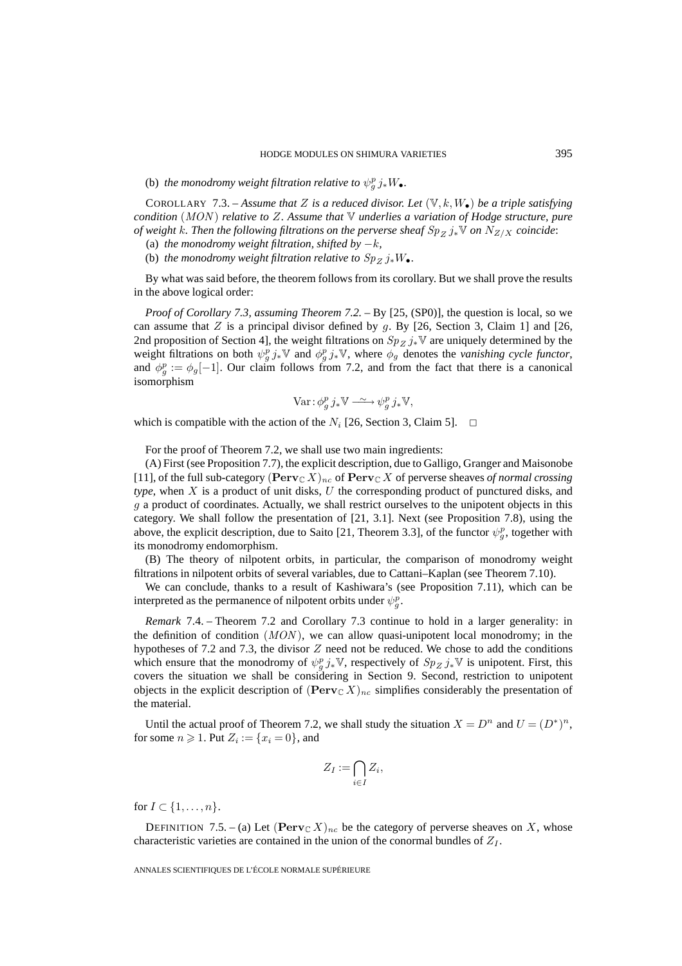(b) *the monodromy weight filtration relative to*  $\psi_g^p j_* W_{\bullet}$ .

COROLLARY 7.3. – *Assume that* Z *is a reduced divisor. Let*  $(\mathbb{V}, k, W_{\bullet})$  *be a triple satisfying condition* (MON ) *relative to* Z*. Assume that* V *underlies a variation of Hodge structure, pure of weight k. Then the following filtrations on the perverse sheaf*  $Sp_Z j_* V$  *on*  $N_{Z/X}$  *coincide:* 

(a) *the monodromy weight filtration, shifted by*  $-k$ *,* 

(b) *the monodromy weight filtration relative to*  $Sp_{Z} j_{*}W_{\bullet}$ *.* 

By what was said before, the theorem follows from its corollary. But we shall prove the results in the above logical order:

*Proof of Corollary 7.3, assuming Theorem 7.2.* – By [25, (SP0)], the question is local, so we can assume that Z is a principal divisor defined by  $g$ . By [26, Section 3, Claim 1] and [26, 2nd proposition of Section 4], the weight filtrations on  $Sp_{Z} j_{*}\mathbb{V}$  are uniquely determined by the weight filtrations on both  $\psi_g^p j_* \mathbb{V}$  and  $\phi_g^p j_* \mathbb{V}$ , where  $\phi_g$  denotes the *vanishing cycle functor*, and  $\phi_g^p := \phi_g[-1]$ . Our claim follows from 7.2, and from the fact that there is a canonical isomorphism

$$
\text{Var}: \phi_g^p j_* \mathbb{V} \xrightarrow{\sim} \psi_g^p j_* \mathbb{V},
$$

which is compatible with the action of the  $N_i$  [26, Section 3, Claim 5].  $\Box$ 

For the proof of Theorem 7.2, we shall use two main ingredients:

(A) First (see Proposition 7.7), the explicit description, due to Galligo, Granger and Maisonobe [11], of the full sub-category  $(Perv_{\mathbb{C}} X)_{nc}$  of  $Perv_{\mathbb{C}} X$  of perverse sheaves *of normal crossing type*, when X is a product of unit disks, U the corresponding product of punctured disks, and g a product of coordinates. Actually, we shall restrict ourselves to the unipotent objects in this category. We shall follow the presentation of [21, 3.1]. Next (see Proposition 7.8), using the above, the explicit description, due to Saito [21, Theorem 3.3], of the functor  $\psi_g^p$ , together with its monodromy endomorphism.

(B) The theory of nilpotent orbits, in particular, the comparison of monodromy weight filtrations in nilpotent orbits of several variables, due to Cattani–Kaplan (see Theorem 7.10).

We can conclude, thanks to a result of Kashiwara's (see Proposition 7.11), which can be interpreted as the permanence of nilpotent orbits under  $\psi_g^p$ .

*Remark* 7.4. – Theorem 7.2 and Corollary 7.3 continue to hold in a larger generality: in the definition of condition  $(MON)$ , we can allow quasi-unipotent local monodromy; in the hypotheses of 7.2 and 7.3, the divisor  $Z$  need not be reduced. We chose to add the conditions which ensure that the monodromy of  $\psi_g^p j_* \mathbb{V}$ , respectively of  $Sp_Z j_* \mathbb{V}$  is unipotent. First, this covers the situation we shall be considering in Section 9. Second, restriction to unipotent objects in the explicit description of  $(\text{Perv}_{\mathbb{C}} X)_{nc}$  simplifies considerably the presentation of the material.

Until the actual proof of Theorem 7.2, we shall study the situation  $X = D^n$  and  $U = (D^*)^n$ , for some  $n \geq 1$ . Put  $Z_i := \{x_i = 0\}$ , and we shall  $Z_I := \bigcap$ 

$$
Z_I := \bigcap_{i \in I} Z_i,
$$

for  $I \subset \{1,\ldots,n\}$ .

DEFINITION 7.5. – (a) Let  $(\text{Perv}_{\mathbb{C}} X)_{nc}$  be the category of perverse sheaves on X, whose characteristic varieties are contained in the union of the conormal bundles of  $Z_I$ .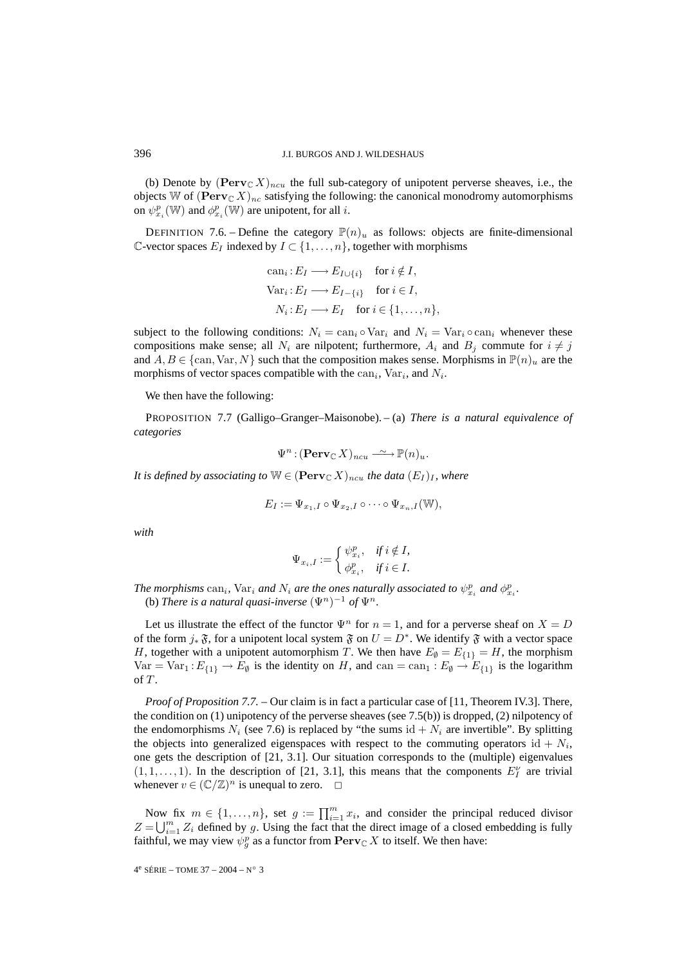(b) Denote by  $(Perv<sub>C</sub> X)<sub>ncu</sub>$  the full sub-category of unipotent perverse sheaves, i.e., the objects W of  $(\text{Perv}_{\mathbb{C}} X)_{nc}$  satisfying the following: the canonical monodromy automorphisms on  $\psi_{x_i}^p(\mathbb{W})$  and  $\phi_{x_i}^p(\mathbb{W})$  are unipotent, for all *i*.

DEFINITION 7.6. – Define the category  $\mathbb{P}(n)_u$  as follows: objects are finite-dimensional  $\mathbb{C}\text{-vector spaces } E_I$  indexed by  $I \subset \{1, \ldots, n\}$ , together with morphisms

can<sub>i</sub>: 
$$
E_I \longrightarrow E_{I \cup \{i\}}
$$
 for  $i \notin I$ ,  
\n $\text{Var}_i: E_I \longrightarrow E_{I-\{i\}}$  for  $i \in I$ ,  
\n $N_i: E_I \longrightarrow E_I$  for  $i \in \{1, ..., n\}$ ,

subject to the following conditions:  $N_i = \text{can}_i \circ \text{Var}_i$  and  $N_i = \text{Var}_i \circ \text{can}_i$  whenever these compositions make sense; all  $N_i$  are nilpotent; furthermore,  $A_i$  and  $B_j$  commute for  $i \neq j$ and  $A, B \in \{\text{can}, \text{Var}, N\}$  such that the composition makes sense. Morphisms in  $\mathbb{P}(n)_u$  are the morphisms of vector spaces compatible with the  $can<sub>i</sub>$ ,  $Var<sub>i</sub>$ , and  $N<sub>i</sub>$ .

We then have the following:

PROPOSITION 7.7 (Galligo–Granger–Maisonobe). – (a) *There is a natural equivalence of categories*

$$
\Psi^n : (\mathbf{Perv}_{\mathbb{C}} X)_{ncu} \xrightarrow{\sim} \mathbb{P}(n)_u.
$$

*It is defined by associating to*  $W \in (\text{Perv}_{\mathbb{C}} X)_{n \text{cu}}$  *the data*  $(E_I)_I$ *, where* 

$$
E_I := \Psi_{x_1,I} \circ \Psi_{x_2,I} \circ \cdots \circ \Psi_{x_n,I}(\mathbb{W}),
$$

*with*

$$
\Psi_{x_1,I} \circ \Psi_{x_2,I} \circ \cdots \circ \Psi_{x_n}
$$

$$
\Psi_{x_i,I} := \begin{cases} \psi_{x_i}^p, & \text{if } i \notin I, \\ \phi_{x_i}^p, & \text{if } i \in I. \end{cases}
$$

*The morphisms*  $can_i$ ,  $\text{Var}_i$  *and*  $N_i$  *are the ones naturally associated to*  $\psi^p_{x_i}$  *and*  $\phi^p_{x_i}$ *.* (b) *There is a natural quasi-inverse*  $(\Psi^n)^{-1}$  *of*  $\Psi^n$ *.* 

Let us illustrate the effect of the functor  $\Psi^n$  for  $n = 1$ , and for a perverse sheaf on  $X = D$ of the form  $j_*\mathfrak{F}$ , for a unipotent local system  $\mathfrak{F}$  on  $U = D^*$ . We identify  $\mathfrak{F}$  with a vector space H, together with a unipotent automorphism T. We then have  $E_{\emptyset} = E_{\{1\}} = H$ , the morphism  $Var = Var_1 : E_{\{1\}} \to E_{\emptyset}$  is the identity on H, and  $can = can_1 : E_{\emptyset} \to E_{\{1\}}$  is the logarithm of  $T$ .

*Proof of Proposition 7.7.* – Our claim is in fact a particular case of [11, Theorem IV.3]. There, the condition on (1) unipotency of the perverse sheaves (see 7.5(b)) is dropped, (2) nilpotency of the endomorphisms  $N_i$  (see 7.6) is replaced by "the sums id  $+ N_i$  are invertible". By splitting the objects into generalized eigenspaces with respect to the commuting operators id +  $N_i$ , one gets the description of [21, 3.1]. Our situation corresponds to the (multiple) eigenvalues  $(1, 1, \ldots, 1)$ . In the description of [21, 3.1], this means that the components  $E_I^{\nu}$  are trivial whenever  $v \in (\mathbb{C}/\mathbb{Z})^n$  is unequal to zero.  $\Box$ e objects into generalized eigenspaces with respect to the commuting operators id +  $N_i$ , e gets the description of [21, 3.1]. Our situation corresponds to the (multiple) eigenvalues  $1, \ldots, 1$ ). In the description of [2 one gets<br>  $(1, 1, \ldots)$ <br>
wheneve<br>  $\text{Now}$ <br>  $Z = \bigcup_{i=1}^{m}$ 

 $Z = \bigcup_{i=1}^{m} Z_i$  defined by g. Using the fact that the direct image of a closed embedding is fully faithful, we may view  $\psi_g^p$  as a functor from  $\text{Perv}_{\mathbb{C}} X$  to itself. We then have: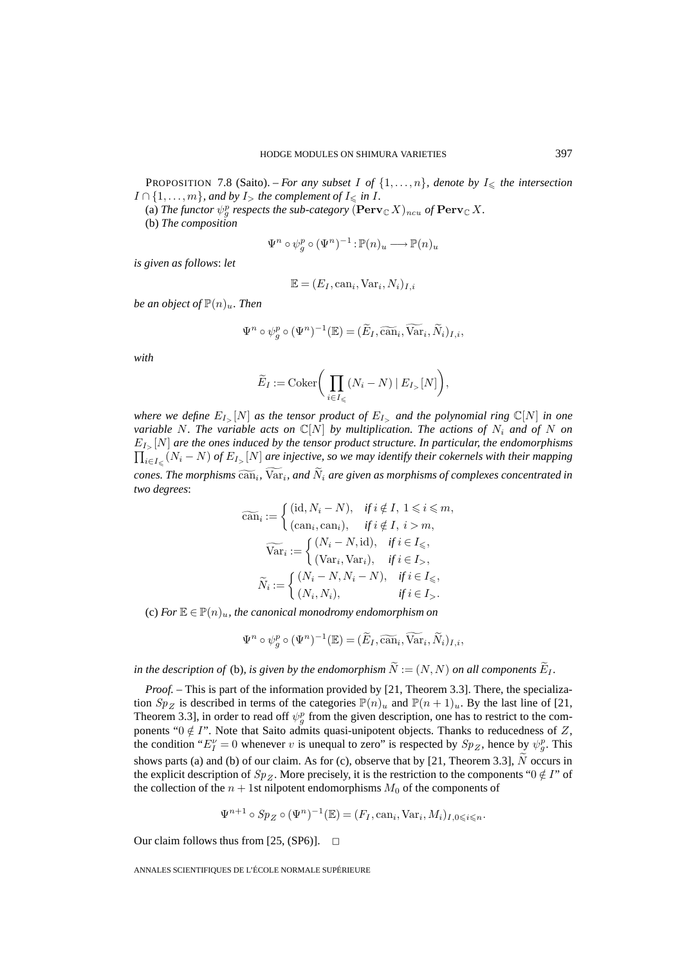**PROPOSITION** 7.8 (Saito). – *For any subset* I of  $\{1,\ldots,n\}$ *, denote by*  $I_{\leq \ell}$  *the intersection*  $I \cap \{1, \ldots, m\}$ , and by  $I_{>}$  the complement of  $I_{\leq \mathfrak{m}}$  *in*  $I$ .

(a) The functor  $\psi_{g}^{p}$  respects the sub-category  $(\mathbf{Perv}_{\mathbb{C}} X)_{ncu}$  of  $\mathbf{Perv}_{\mathbb{C}} X$ . (b) *The composition*

$$
\Psi^n \circ \psi_g^p \circ (\Psi^n)^{-1} : \mathbb{P}(n)_u \longrightarrow \mathbb{P}(n)_u
$$

*is given as follows*: *let*

$$
\mathbb{E} = (E_I, \text{can}_i, \text{Var}_i, N_i)_{I,i}
$$

*be an object of*  $\mathbb{P}(n)_u$ *. Then* 

$$
\mathbb{E} = (E_I, \text{can}_i, \text{Var}_i, N_i)_{I,i}
$$
  
Then  

$$
\Psi^n \circ \psi_g^p \circ (\Psi^n)^{-1}(\mathbb{E}) = (\widetilde{E}_I, \widetilde{\text{can}}_i, \widetilde{\text{Var}}_i, \widetilde{N}_i)_{I,i},
$$

*with*

$$
n
$$
\n
$$
\circ \psi_{g}^{p} \circ (\Psi^{n})^{-1}(\mathbb{E}) = (\widetilde{E}_{I}, \widetilde{\operatorname{can}}_{i}, \widetilde{\operatorname{Var}}_{i}, \widetilde{N}_{i})
$$
\n
$$
\widetilde{E}_{I} := \operatorname{Coker}\bigg(\prod_{i \in I_{\leqslant}} (N_{i} - N) \mid E_{I_{>}}[N]\bigg),
$$

*where we define*  $E_{I>}[N]$  *as the tensor product of*  $E_{I>}$  *and the polynomial ring*  $\mathbb{C}[N]$  *in one variable* N. The variable acts on  $\mathbb{C}[N]$  by multiplication. The actions of  $N_i$  and of N on  $\prod_{i\in I_\leqslant}(N_i-N)$  *of*  $E_{I>}[N]$  *are injective, so we may identify their cokernels with their mapping*  $E_{I_{\infty}}[N]$  are the ones induced by the tensor product structure. In particular, the endomorphisms *cones. Where we define*  $E_{I_{>}}[N]$  *contracts on*  $\mathbb{C}[N]$  *by multiplication. The actions of*  $N_i$  *and of*  $N$  *one cariable*  $N$ . The variable acts on  $\mathbb{C}[N]$  *by multiplication. The actions of*  $N_i$  *and of two degrees*: duced by the tensor product structure. In partial,  $[N]$  are injective, so we may identify their coken,<br> $[\overline{\text{can}}_i, \overline{\text{Var}}_i]$ , and  $\overline{N}_i$  are given as morphisms of  $\alpha$ <br> $[\overline{\text{can}}_i] := \begin{cases} (\text{id}, N_i - N), & \text{if } i \notin I, 1 \leq i \leq$ cones. The morphisms  $\widetilde{\text{can}}_i$ ,  $\text{Var}_i$ , and  $\widetilde{N}_i$  are given as morphisms of complexes concentrated in

$$
\widetilde{\operatorname{can}}_i := \begin{cases}\n(\mathrm{id}, N_i - N), & \text{if } i \notin I, 1 \leq i \leq m, \\
(\mathrm{can}_i, \mathrm{can}_i), & \text{if } i \notin I, i > m,\n\end{cases}
$$
\n
$$
\widetilde{\operatorname{Var}}_i := \begin{cases}\n(N_i - N, \mathrm{id}), & \text{if } i \in I \leq n, \\
(\operatorname{Var}_i, \operatorname{Var}_i), & \text{if } i \in I \leq n,\n\end{cases}
$$
\n
$$
\widetilde{N}_i := \begin{cases}\n(N_i - N, N_i - N), & \text{if } i \in I \leq n, \\
(N_i, N_i), & \text{if } i \in I \leq n.\n\end{cases}
$$
\nne canonical monodromy endomorphism on\n
$$
\Psi^n \circ \psi^n_q \circ (\Psi^n)^{-1}(\mathbb{E}) = (\widetilde{E}_I, \widetilde{\operatorname{can}}_i, \widetilde{\operatorname{Var}}_i, \widetilde{N}_i)_{I,i},
$$

(c) For  $\mathbb{E} \in \mathbb{P}(n)_u$ , the canonical monodromy endomorphism on

$$
\Psi^n \circ \psi_g^p \circ (\Psi^n)^{-1}(\mathbb{E}) = (\widetilde{E}_I, \widetilde{\operatorname{can}}_i, \widetilde{\operatorname{Var}}_i, \widetilde{N}_i)_{I,i},
$$

*in the description of* (b), *is given by the endomorphism*  $\widetilde{N} := (N, N)$  *on all components*  $\widetilde{E}_I$ *.* 

*Proof.* – This is part of the information provided by [21, Theorem 3.3]. There, the specialization  $Sp_{Z}$  is described in terms of the categories  $\mathbb{P}(n)_{u}$  and  $\mathbb{P}(n+1)_{u}$ . By the last line of [21, Theorem 3.3], in order to read off  $\psi_g^p$  from the given description, one has to restrict to the components "0  $\notin$  I". Note that Saito admits quasi-unipotent objects. Thanks to reducedness of Z, the condition " $E_I^{\nu} = 0$  whenever v is unequal to zero" is respected by  $Sp_Z$ , hence by  $\psi_g^p$ . This tion  $Sp_Z$  is described in terms of the categories  $\mathbb{P}(n)_u$  and  $\mathbb{P}(n+1)_u$ . By the last line of [21, Theorem 3.3], in order to read off  $\psi_g^p$  from the given description, one has to restrict to the components " $0 \notin I$ the explicit description of  $Sp_{Z}$ . More precisely, it is the restriction to the components " $0 \notin I$ " of the collection of the  $n + 1$ st nilpotent endomorphisms  $M_0$  of the components of

$$
\Psi^{n+1} \circ Sp_Z \circ (\Psi^n)^{-1}(\mathbb{E}) = (F_I, \text{can}_i, \text{Var}_i, M_i)_{I, 0 \leq i \leq n}.
$$

Our claim follows thus from [25, (SP6)].  $\Box$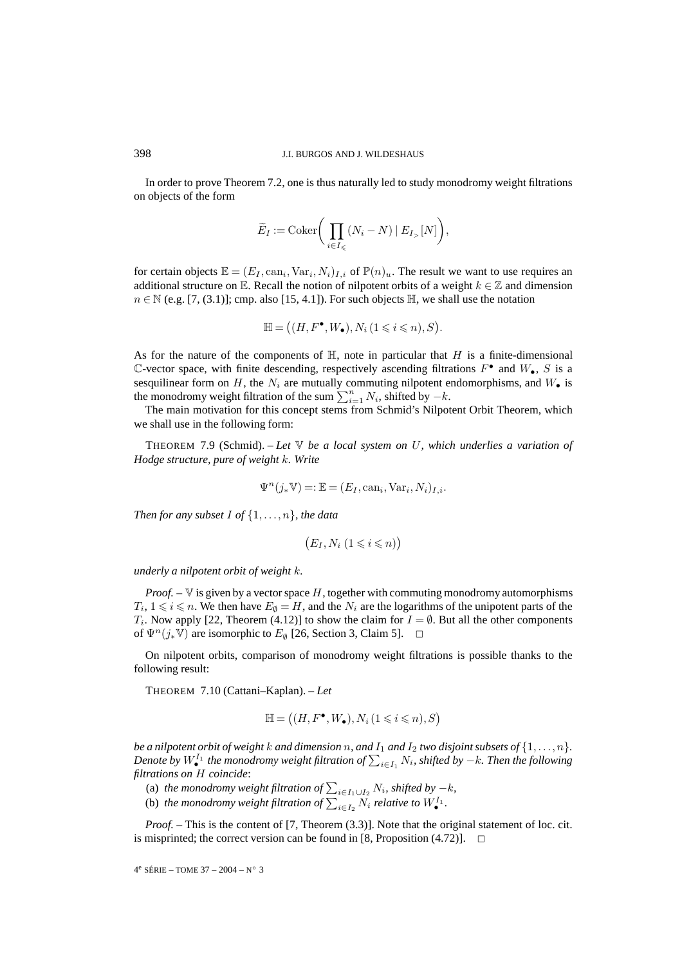In order to prove Theorem 7.2, one is thus naturally led to study monodromy weight filtrations on objects of the form J.I. BURGOS AN<br>m 7.2, one is thus n<br> $\widetilde{E}_I := \text{Coker}\left(\prod_{i=1}^{n} \prod_{j=1}^{n} \mathbb{Z}_{I}^T\right)$ 

$$
\widetilde{E}_I := \mathrm{Coker}\bigg(\prod_{i\in I_{\leqslant}}(N_i-N)\mid E_{I_{>}}[N]\bigg),
$$

for certain objects  $\mathbb{E} = (E_I, \text{can}_i, \text{Var}_i, N_i)_{I,i}$  of  $\mathbb{P}(n)_u$ . The result we want to use requires an additional structure on E. Recall the notion of nilpotent orbits of a weight  $k \in \mathbb{Z}$  and dimension  $n \in \mathbb{N}$  (e.g. [7, (3.1)]; cmp. also [15, 4.1]). For such objects  $\mathbb{H}$ , we shall use the notation can<sub>i</sub>, Var<sub>i</sub>,  $N_i$ )<sub>*I*,*i*</sub> of  $\mathbb{P}(n)_u$ . The result ecall the notion of nilpotent orbits of a llso [15, 4.1]). For such objects  $\mathbb{H}$ , we :<br> $\mathbb{H} = ((H, F^{\bullet}, W_{\bullet}), N_i (1 \leq i \leq n), S)$ 

$$
\mathbb{H} = ((H, F^{\bullet}, W_{\bullet}), N_i (1 \leq i \leq n), S).
$$

As for the nature of the components of  $\mathbb H$ , note in particular that H is a finite-dimensional C-vector space, with finite descending, respectively ascending filtrations  $F^{\bullet}$  and  $W_{\bullet}$ , S is a sesquilinear form on H, the  $N_i$  are mutually commuting nilpotent endomorphisms, and  $W_{\bullet}$  is  $\mathbb{H} = ((H, F^{\bullet}, W_{\bullet}), N_i (1 \leq i \leq n), S).$ <br>As for the nature of the components of  $\mathbb{H}$ , note in particular that  $\mathbb{C}$ -vector space, with finite descending, respectively ascending filtrases<br>sequilinear form on  $H$ , the

The main motivation for this concept stems from Schmid's Nilpotent Orbit Theorem, which we shall use in the following form:

THEOREM 7.9 (Schmid). – *Let* V *be a local system on* U*, which underlies a variation of Hodge structure, pure of weight* k*. Write*

$$
\Psi^n(j_*\mathbb{V}) =: \mathbb{E} = (E_I, \text{can}_i, \text{Var}_i, N_i)_{I,i}.
$$

*Then for any subset* I *of* {1,...,n}*, the data*

$$
(E_I, N_i \ (1 \leq i \leq n))
$$

*underly a nilpotent orbit of weight* k*.*

*Proof.* – V is given by a vector space H, together with commuting monodromy automorphisms  $T_i$ ,  $1 \leq i \leq n$ . We then have  $E_{\emptyset} = H$ , and the  $N_i$  are the logarithms of the unipotent parts of the  $T_i$ . Now apply [22, Theorem (4.12)] to show the claim for  $I = \emptyset$ . But all the other components of  $\Psi^n(j_*\mathbb{V})$  are isomorphic to  $E_{\emptyset}$  [26, Section 3, Claim 5].  $\Box$ 

On nilpotent orbits, comparison of monodromy weight filtrations is possible thanks to the<br>
IO (Cattani–Kaplan).  $- Let$ <br>  $\mathbb{H} = ((H, F^{\bullet}, W_{\bullet}), N_i (1 \leq i \leq n), S)$ following result:

THEOREM 7.10 (Cattani–Kaplan). – *Let*

$$
\mathbb{H} = ((H, F^{\bullet}, W_{\bullet}), N_i (1 \leq i \leq n), S)
$$

*be a nilpotent orbit of weight* k *and dimension* n, *and*  $I_1$  *and*  $I_2$  *two disjoint subsets of*  $\{1, \ldots, n\}$ *.* **Denote by** *Denote by W*<sup>1</sup>*d***<sub>2</sub>** *the monodromy weight filtration of*  $\sum_{i\in I_1} N_i$ , shifted by −k. Then the following *Denote by*  $W_{\bullet}^{\mathbf{I}_1}$  the monodromy weight filtration of  $\sum_{i\in I_1} N_i$ , shifted by −k. *filtrations on* H *coincide*:  $\mathbb{H} = ((H, F^{\bullet}, W)$ <br>*a nilpotent orbit of weight k and dimension<br>note by*  $W_{\bullet}^{I_1}$  *the monodromy weight filtrations on H coincide:*<br>(a) *the monodromy weight filtration of*  $\sum$ *a nilpotent orbit of weight k and dimension*<br>*the by W*<sup>*I*<sub>1</sub></sup> *the monodromy weight filtrations on H coincide:*<br>(a) *the monodromy weight filtration of*  $\sum$ <br>(b) *the monodromy weight filtration of*  $\sum$ 

(a) the monodromy weight filtration of  $\sum_{i\in I_1\cup I_2} N_i$ , shifted by  $-k$ ,

 $_{i\in I_2}$   $N_i$  *relative to*  $W_{\bullet}^{I_1}$ .

*Proof.* – This is the content of [7, Theorem (3.3)]. Note that the original statement of loc. cit. is misprinted; the correct version can be found in [8, Proposition (4.72)].  $\Box$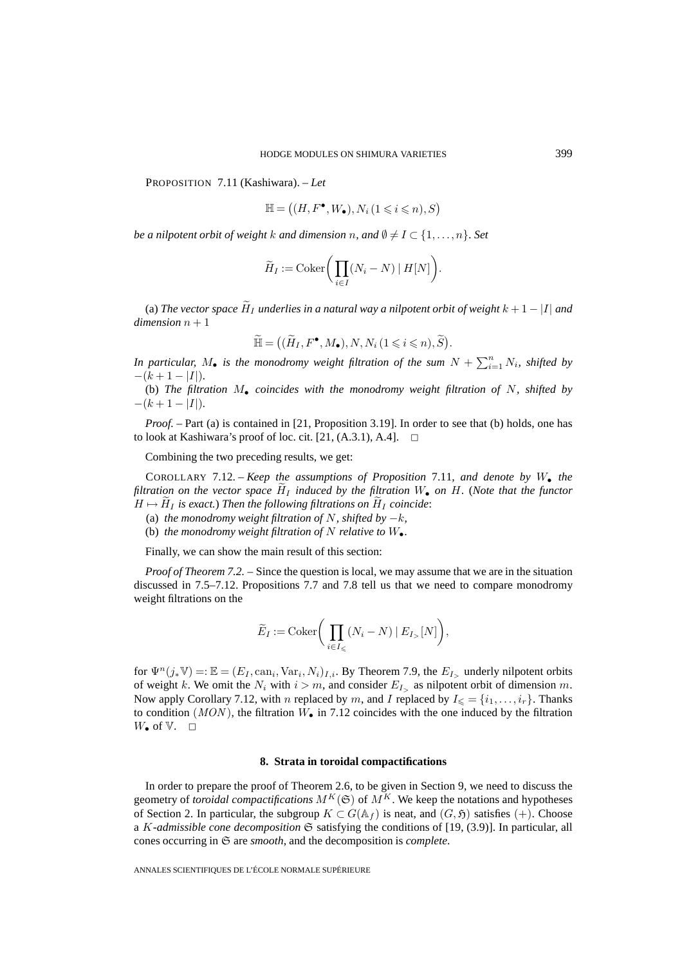PROPOSITION 7.11 (Kashiwara). – *Let*

ODE MODE MODES ON SHIMURA VARIETIE  
iiwara). – Let  

$$
\mathbb{H} = ((H, F^{\bullet}, W_{\bullet}), N_i (1 \leq i \leq n), S)
$$

*be a nilpotent orbit of weight*  $k$  *and dimension*  $n$ *, and*  $\emptyset \neq I \subset \{1,\ldots,n\}.$  *Set* 

$$
\mathbb{H} = ((H, F^{\bullet}, W_{\bullet}), N_i (1 \leq i \leq n), S)
$$
\na nilpotent orbit of weight k and dimension n, and  $\emptyset \neq I \subset \{1, ..., n\}$ . Set\n
$$
\widetilde{H}_I := \text{Coker}\Big(\prod_{i \in I} (N_i - N) \mid H[N]\Big).
$$
\n(a) The vector space  $\widetilde{H}_I$  underlies in a natural way a nilpotent orbit of weight  $k + 1 - |I|$  and

 $dimension\, n+1$  $H_I := \text{Cokl} \Big( \prod_{i \in I} (A_i - A_i)^{n_i} + A_i \prod_{j \in I} (A_j - A_j)^{n_j} \Big).$ <br>
underlies in a natural way a nilpotent ori $\widetilde{\mathbb{H}} = \Big((\widetilde{H}_I, F^{\bullet}, M_{\bullet}), N, N_i \, (1 \leq i \leq n), \widetilde{S} \Big)$ (a) *The vector space*  $\widetilde{H}_I$  *underlies in a natural way a nilpotent orbit of weight*  $k + 1 - |I|$  *and*<br>*dimension*  $n + 1$ <br> $\widetilde{\mathbb{H}} = ((\widetilde{H}_I, F^{\bullet}, M_{\bullet}), N, N_i (1 \leq i \leq n), \widetilde{S}).$ <br>*In particular,*  $M_{\bullet}$  *is the monod* 

$$
\widetilde{\mathbb{H}} = ((\widetilde{H}_I, F^{\bullet}, M_{\bullet}), N, N_i (1 \leq i \leq n), \widetilde{S}).
$$

 $-(k+1-|I|).$ 

(b) *The filtration* M• *coincides with the monodromy weight filtration of* N*, shifted by*  $-(k+1-|I|)$ .

*Proof.* – Part (a) is contained in [21, Proposition 3.19]. In order to see that (b) holds, one has to look at Kashiwara's proof of loc. cit. [21,  $(A.3.1)$ , A.4].  $\Box$ 

Combining the two preceding results, we get:

COROLLARY 7.12. – *Keep the assumptions of Proposition* 7.11*, and denote by* W• *the f filtration on the vector space*  $\widetilde{H}_I$  *induced by the filtration on the vector space*  $\widetilde{H}_I$  *induced by the filtration* W• *on* H. (*Note that the functor* From the following the two preceding results, we get:<br>
COROLLARY 7.12. – *Keep the assumptions of Proposition*<br>
filtration on the vector space  $\tilde{H}_I$  induced by the filtration  $W_{\bullet}$ <br>  $H \mapsto \tilde{H}_I$  is exact.) Then the

- (a) *the monodromy weight filtration of*  $N$ *, shifted by*  $-k$ *,*
- (b) *the monodromy weight filtration of*  $N$  *relative to*  $W_{\bullet}$ *.*

Finally, we can show the main result of this section:

*Proof of Theorem 7.2. –* Since the question is local, we may assume that we are in the situation discussed in 7.5–7.12. Propositions 7.7 and 7.8 tell us that we need to compare monodromy weight filtrations on the Since the question is<br>Since the question is<br>positions 7.7 and  $\tilde{E}_I := \text{Coker} \left( \prod_{i=1}^{n} \frac{1}{i} \right)$ 

$$
\widetilde{E}_I := \mathrm{Coker}\bigg(\prod_{i \in I_{\leqslant}} (N_i - N) \mid E_{I_{>}}[N]\bigg),\,
$$

for  $\Psi^n(j_*\mathbb{V}) =: \mathbb{E} = (E_I, \text{can}_i, \text{Var}_i, N_i)_{I,i}$ . By Theorem 7.9, the  $E_I$ , underly nilpotent orbits of weight k. We omit the  $N_i$  with  $i>m$ , and consider  $E_{I_>}$  as nilpotent orbit of dimension m. Now apply Corollary 7.12, with n replaced by m, and I replaced by  $I_{\leq \{i_1,\ldots,i_r\}}$ . Thanks to condition ( $MON$ ), the filtration  $W_{\bullet}$  in 7.12 coincides with the one induced by the filtration  $W_{\bullet}$  of  $V_{\bullet}$   $\square$ 

#### **8. Strata in toroidal compactifications**

In order to prepare the proof of Theorem 2.6, to be given in Section 9, we need to discuss the geometry of *toroidal compactifications*  $M^K(\mathfrak{S})$  of  $M^K$ . We keep the notations and hypotheses of Section 2. In particular, the subgroup  $K \subset G(\mathbb{A}_f)$  is neat, and  $(G, \mathfrak{H})$  satisfies (+). Choose a K*-admissible cone decomposition* S satisfying the conditions of [19, (3.9)]. In particular, all cones occurring in S are *smooth*, and the decomposition is *complete*.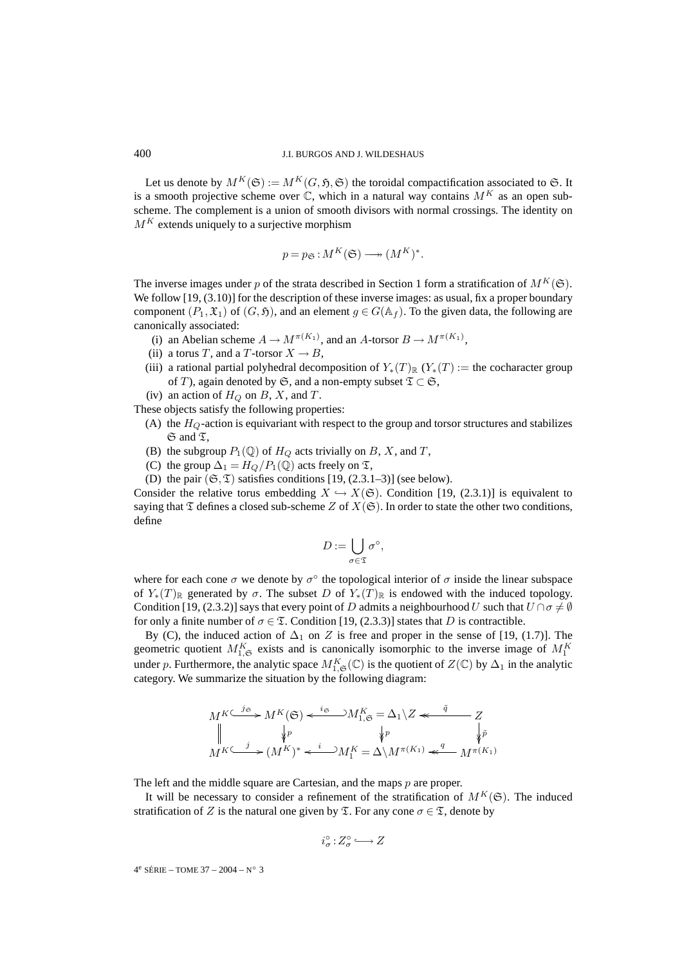Let us denote by  $M^K(\mathfrak{S}) := M^K(G, \mathfrak{H}, \mathfrak{S})$  the toroidal compactification associated to  $\mathfrak{S}$ . It is a smooth projective scheme over C, which in a natural way contains  $M^K$  as an open subscheme. The complement is a union of smooth divisors with normal crossings. The identity on  $M<sup>K</sup>$  extends uniquely to a surjective morphism

$$
p = p_{\mathfrak{S}} : M^K(\mathfrak{S}) \longrightarrow (M^K)^*.
$$

The inverse images under p of the strata described in Section 1 form a stratification of  $M^K(\mathfrak{S})$ . We follow [19, (3.10)] for the description of these inverse images: as usual, fix a proper boundary component  $(P_1, \mathfrak{X}_1)$  of  $(G, \mathfrak{H})$ , and an element  $g \in G(\mathbb{A}_f)$ . To the given data, the following are canonically associated:

- (i) an Abelian scheme  $A \to M^{\pi(K_1)}$ , and an A-torsor  $B \to M^{\pi(K_1)}$ ,
- (ii) a torus T, and a T-torsor  $X \to B$ ,
- (iii) a rational partial polyhedral decomposition of  $Y_*(T)_\mathbb{R}$  ( $Y_*(T) :=$  the cocharacter group of T), again denoted by G, and a non-empty subset  $\mathfrak{T} \subset \mathfrak{S}$ ,
- (iv) an action of  $H_Q$  on B, X, and T.

These objects satisfy the following properties:

- (A) the  $H_Q$ -action is equivariant with respect to the group and torsor structures and stabilizes  $\mathfrak S$  and  $\mathfrak T$ ,
- (B) the subgroup  $P_1(\mathbb{Q})$  of  $H_Q$  acts trivially on B, X, and T,
- (C) the group  $\Delta_1 = H_O/P_1(\mathbb{Q})$  acts freely on  $\mathfrak{T}$ ,
- 

(D) the pair ( $\mathfrak{S}, \mathfrak{T}$ ) satisfies conditions [19, (2.3.1–3)] (see below).<br>
onsider the relative torus embedding  $X \hookrightarrow X(\mathfrak{S})$ . Condition [19]<br>
ying that  $\mathfrak{T}$  defines a closed sub-scheme  $Z$  of  $X(\mathfrak{S})$ . In o Consider the relative torus embedding  $X \hookrightarrow X(\mathfrak{S})$ . Condition [19, (2.3.1)] is equivalent to saying that  $\mathfrak T$  defines a closed sub-scheme Z of  $X(\mathfrak S)$ . In order to state the other two conditions, define

$$
D:=\bigcup_{\sigma\in\mathfrak{T}}\sigma^{\circ},
$$

where for each cone  $\sigma$  we denote by  $\sigma^\circ$  the topological interior of  $\sigma$  inside the linear subspace of  $Y_*(T)_{\mathbb{R}}$  generated by  $\sigma$ . The subset D of  $Y_*(T)_{\mathbb{R}}$  is endowed with the induced topology. Condition [19, (2.3.2)] says that every point of D admits a neighbourhood U such that  $U \cap \sigma \neq \emptyset$ for only a finite number of  $\sigma \in \mathfrak{T}$ . Condition [19, (2.3.3)] states that D is contractible.

By (C), the induced action of  $\Delta_1$  on Z is free and proper in the sense of [19, (1.7)]. The geometric quotient  $M_{1,\mathfrak{S}}^K$  exists and is canonically isomorphic to the inverse image of  $M_1^K$ under p. Furthermore, the analytic space  $M_{1,\mathfrak{S}}^{K}(\mathbb{C})$  is the quotient of  $Z(\mathbb{C})$  by  $\Delta_1$  in the analytic category. We summarize the situation by the following diagram:

$$
M^{K \subset j\mathfrak{S}} M^{K}(\mathfrak{S}) \leftarrow \iota_{\mathfrak{S}}^{i\mathfrak{S}} M^{K}_{1,\mathfrak{S}} = \Delta_{1} \setminus Z \leftarrow \iota_{\mathfrak{S}}^{i} \qquad Z
$$
  
\n
$$
\parallel \qquad \qquad \downarrow_{P} \qquad \qquad \downarrow_{P} \qquad \qquad \downarrow_{\tilde{P}} \qquad \qquad \downarrow_{\tilde{P}}
$$
  
\n
$$
M^{K \subset j} M^{K} \setminus \iota_{\mathfrak{S}}^{i} \leftarrow M^{K} M^{K} = \Delta \setminus M^{\pi(K_{1})} \leftarrow \iota_{\mathfrak{S}}^{q} M^{\pi(K_{1})}
$$

The left and the middle square are Cartesian, and the maps p are proper.

It will be necessary to consider a refinement of the stratification of  $M^K(\mathfrak{S})$ . The induced stratification of Z is the natural one given by  $\mathfrak{T}$ . For any cone  $\sigma \in \mathfrak{T}$ , denote by

$$
i_{\sigma}^{\circ}:Z_{\sigma}^{\circ} \longrightarrow Z
$$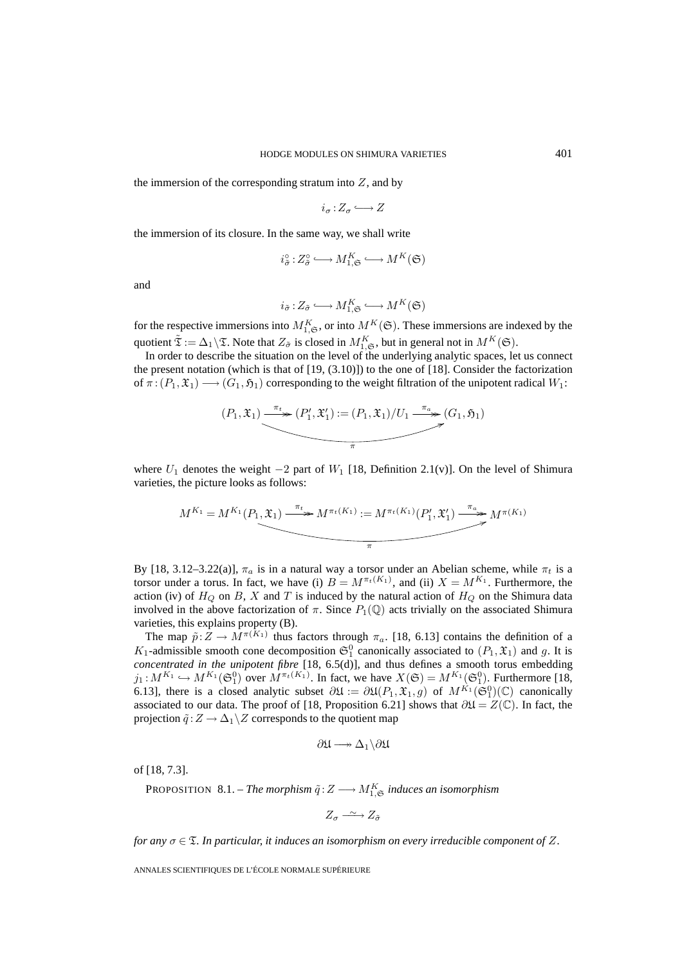the immersion of the corresponding stratum into  $Z$ , and by

$$
i_{\sigma}:Z_{\sigma}\longrightarrow Z
$$

the immersion of its closure. In the same way, we shall write

$$
i_{\tilde{\sigma}}^{\circ}:Z_{\tilde{\sigma}}^{\circ} \longrightarrow M_{1,\mathfrak{S}}^{K} \longrightarrow M^{K}(\mathfrak{S})
$$

and

$$
i_{\tilde{\sigma}}: Z_{\tilde{\sigma}} \longrightarrow M_{1,\mathfrak{S}}^K \longrightarrow M^K(\mathfrak{S})
$$

for the respective immersions into  $M_{1,\mathfrak{S}}^K$ , or into  $M^K(\mathfrak{S})$ . These immersions are indexed by the quotient  $\tilde{\mathfrak{T}} := \Delta_1 \backslash \mathfrak{T}$ . Note that  $Z_{\tilde{\sigma}}$  is closed in  $M_{1,\mathfrak{S}}^K$ , but in general not in  $M^K(\mathfrak{S})$ .

In order to describe the situation on the level of the underlying analytic spaces, let us connect the present notation (which is that of [19, (3.10)]) to the one of [18]. Consider the factorization of  $\pi: (P_1, \mathfrak{X}_1) \longrightarrow (G_1, \mathfrak{H}_1)$  corresponding to the weight filtration of the unipotent radical  $W_1$ :

$$
(P_1, \mathfrak{X}_1) \xrightarrow{\pi_t} (P'_1, \mathfrak{X}'_1) := (P_1, \mathfrak{X}_1) / U_1 \xrightarrow{\pi_a} (G_1, \mathfrak{H}_1)
$$

where  $U_1$  denotes the weight  $-2$  part of  $W_1$  [18, Definition 2.1(v)]. On the level of Shimura varieties, the picture looks as follows:

$$
M^{K_1} = M^{K_1}(P_1, \mathfrak{X}_1) \xrightarrow{\pi_t} M^{\pi_t(K_1)} := M^{\pi_t(K_1)}(P'_1, \mathfrak{X}'_1) \xrightarrow{\pi_a} M^{\pi(K_1)}
$$

By [18, 3.12–3.22(a)],  $\pi_a$  is in a natural way a torsor under an Abelian scheme, while  $\pi_t$  is a torsor under a torus. In fact, we have (i)  $B = M^{\pi_t(K_1)}$ , and (ii)  $X = M^{K_1}$ . Furthermore, the action (iv) of  $H_Q$  on B, X and T is induced by the natural action of  $H_Q$  on the Shimura data involved in the above factorization of  $\pi$ . Since  $P_1(\mathbb{Q})$  acts trivially on the associated Shimura varieties, this explains property (B).

The map  $\tilde{p}:Z\to M^{\pi(K_1)}$  thus factors through  $\pi_a$ . [18, 6.13] contains the definition of a  $K_1$ -admissible smooth cone decomposition  $\mathfrak{S}_1^0$  canonically associated to  $(P_1, \mathfrak{X}_1)$  and g. It is *concentrated in the unipotent fibre* [18, 6.5(d)], and thus defines a smooth torus embedding  $j_1: M^{K_1} \hookrightarrow M^{K_1}(\mathfrak{S}_1^0)$  over  $M^{\pi_t(K_1)}$ . In fact, we have  $X(\mathfrak{S}) = M^{K_1}(\mathfrak{S}_1^0)$ . Furthermore [18, 6.13], there is a closed analytic subset  $\partial \mathfrak{U} := \partial \mathfrak{U}(P_1, \mathfrak{X}_1, g)$  of  $M^{K_1}(\mathfrak{S}_1^0)(\mathbb{C})$  canonically associated to our data. The proof of [18, Proposition 6.21] shows that  $\partial \mathfrak{U} = Z(\mathbb{C})$ . In fact, the projection  $\tilde{q}:Z\to\Delta_1\backslash Z$  corresponds to the quotient map

$$
\partial \mathfrak{U} \longrightarrow \Delta_1 \backslash \partial \mathfrak{U}
$$

of [18, 7.3].

PROPOSITION  $8.1$ . – *The morphism*  $\tilde{q}: Z \longrightarrow M_{1,\mathfrak{S}}^K$  *induces an isomorphism* 

$$
Z_{\sigma} \xrightarrow{\sim} Z_{\tilde{\sigma}}
$$

*for any*  $\sigma \in \mathcal{I}$ *. In particular, it induces an isomorphism on every irreducible component of* Z.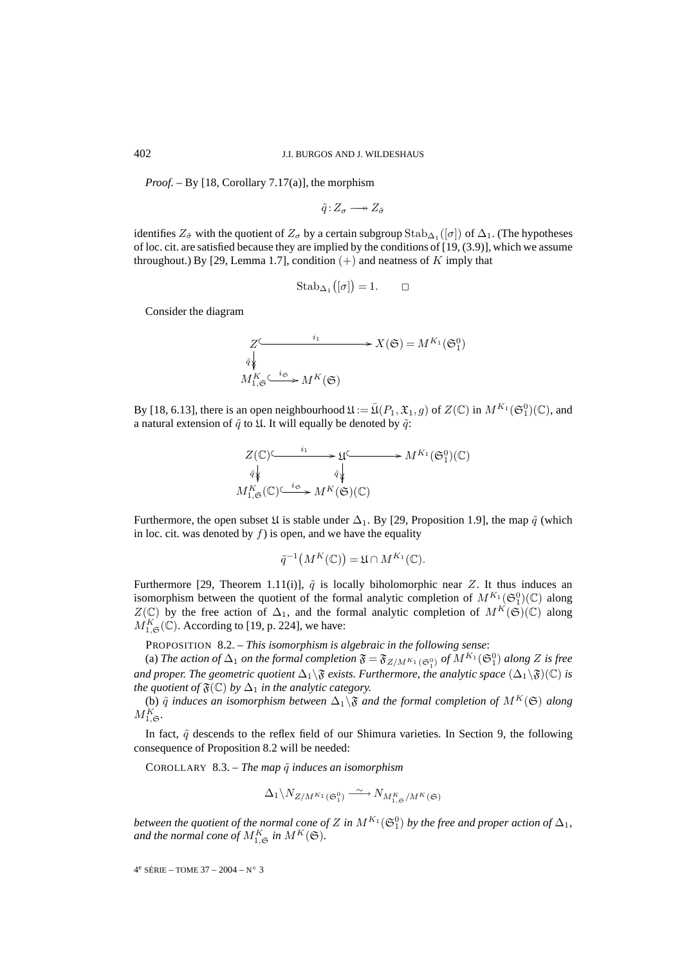*Proof. –* By [18, Corollary 7.17(a)], the morphism

$$
\tilde{q}:Z_{\sigma}\longrightarrow Z_{\tilde{\sigma}}
$$

identifies  $Z_{\sigma}$  with the quotient of  $Z_{\sigma}$  by a certain subgroup Stab<sub>∆1</sub> ([ $\sigma$ ]) of  $\Delta_1$ . (The hypotheses of loc. cit. are satisfied because they are implied by the conditions of [19, (3.9)], which we assume throughout.) By [29, Lemma 1.7], condition  $(+)$  and neatness of K imply that

$$
Stab_{\Delta_1}([\sigma]) = 1. \qquad \Box
$$

Consider the diagram

$$
Z \xrightarrow{\qquad i_1} X(\mathfrak{S}) = M^{K_1}(\mathfrak{S}_1^0)
$$
  
\n
$$
M_{1,\mathfrak{S}}^K \xrightarrow{\qquad i_{\mathfrak{S}}} M^K(\mathfrak{S})
$$

By [18, 6.13], there is an open neighbourhood  $\mathfrak{U} := \overline{\mathfrak{U}}(P_1, \mathfrak{X}_1, g)$  of  $Z(\mathbb{C})$  in  $M^{K_1}(\mathfrak{S}_1^0)(\mathbb{C})$ , and a natural extension of  $\tilde{q}$  to  $\mathfrak{U}$ . It will equally be denoted by  $\tilde{q}$ :

$$
Z(\mathbb{C}) \longrightarrow \mathfrak{U} \longrightarrow M^{K_1}(\mathfrak{S}_1^0)(\mathbb{C})
$$
  
\n
$$
\tilde{q} \downarrow \qquad \qquad \tilde{q} \downarrow \qquad \qquad \tilde{q} \downarrow
$$
  
\n
$$
M_{1,\mathfrak{S}}^K(\mathbb{C}) \longrightarrow M^K(\mathfrak{S})(\mathbb{C})
$$

Furthermore, the open subset  $\mathfrak U$  is stable under  $\Delta_1$ . By [29, Proposition 1.9], the map  $\tilde q$  (which in loc. cit. was denoted by  $f$ ) is open, and we have the equality  $\frac{1}{\sqrt{2}}$ <br>s sta<br>pen<br>-1(

$$
\tilde{q}^{-1}(M^K(\mathbb{C})) = \mathfrak{U} \cap M^{K_1}(\mathbb{C}).
$$

Furthermore [29, Theorem 1.11(i)],  $\tilde{q}$  is locally biholomorphic near Z. It thus induces an isomorphism between the quotient of the formal analytic completion of  $M^{K_1}(\mathfrak{S}_1^0)(\mathbb{C})$  along  $Z(\mathbb{C})$  by the free action of  $\Delta_1$ , and the formal analytic completion of  $M^K(\mathfrak{S})(\mathbb{C})$  along  $M_{1,\mathfrak{S}}^{K}(\mathbb{C})$ . According to [19, p. 224], we have:

PROPOSITION 8.2. – *This isomorphism is algebraic in the following sense*:

(a) *The action of*  $\Delta_1$  *on the formal completion*  $\mathfrak{F} = \mathfrak{F}_{Z/M^{K_1}(\mathfrak{S}_1^0)}$  *of*  $M^{K_1}(\mathfrak{S}_1^0)$  *along*  $Z$  *is free and proper. The geometric quotient*  $\Delta_1\$  $\mathfrak{F}$  *exists. Furthermore, the analytic space*  $(\Delta_1\$  $\mathfrak{F})(\mathbb{C})$  *is the quotient of*  $\mathfrak{F}(\mathbb{C})$  *by*  $\Delta_1$  *in the analytic category.* 

(b)  $\tilde{q}$  *induces an isomorphism between*  $\Delta_1\$  $\mathfrak{F}$  *and the formal completion of*  $M^K(\mathfrak{S})$  *along*  $M_{1,\mathfrak{S}}^K$ .

In fact,  $\tilde{q}$  descends to the reflex field of our Shimura varieties. In Section 9, the following consequence of Proposition 8.2 will be needed:

COROLLARY 8.3. – *The map*  $\tilde{q}$  *induces an isomorphism* 

$$
\Delta_1 \backslash N_{Z/M^{K_1}(\mathfrak{S}_1^0)} \xrightarrow{\sim} N_{M^K_{1,\mathfrak{S}}/M^K(\mathfrak{S})}
$$

*between the quotient of the normal cone of Z in*  $M^{K_{1}}(\mathfrak{S}_1^0)$  *by the free and proper action of*  $\Delta_1$ *,* and the normal cone of  $M_{1,\mathfrak{S}}^K$  in  $M^K(\mathfrak{S})$ .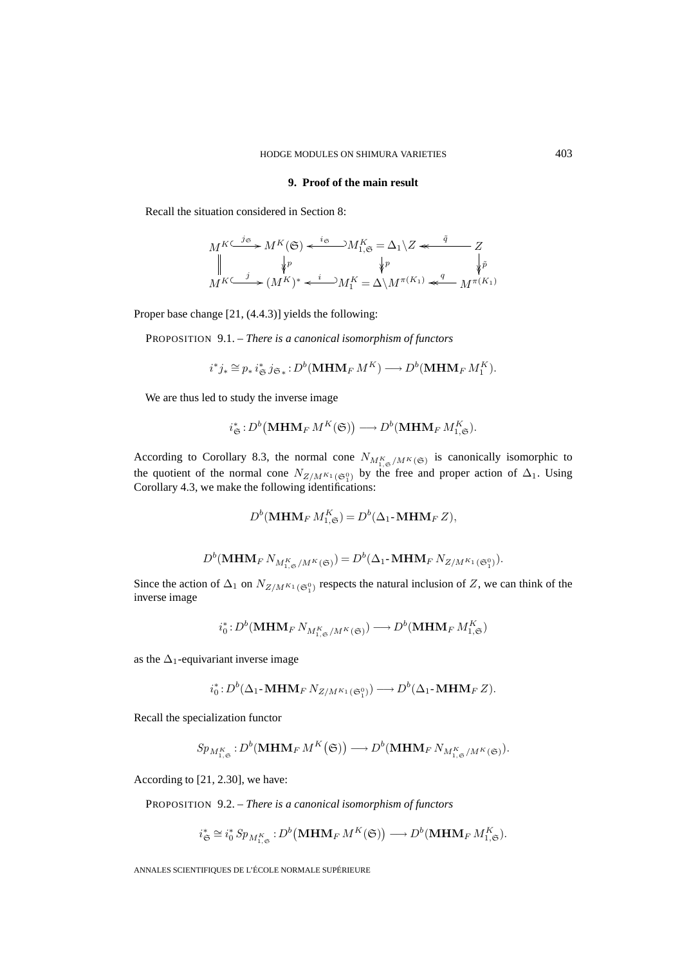# **9. Proof of the main result**

Recall the situation considered in Section 8:

$$
M^{K \subset j\mathfrak{S}} M^{K}(\mathfrak{S}) \xleftarrow{i_{\mathfrak{S}}} M^{K}_{1,\mathfrak{S}} = \Delta_{1} \setminus Z \xleftarrow{\tilde{q}} Z
$$
  
\n
$$
\parallel \qquad \downarrow p \qquad \qquad \downarrow p \qquad \qquad \downarrow \tilde{p}
$$
  
\n
$$
M^{K \subset j} M^{K} \longrightarrow (M^{K})^{*} \xleftarrow{i} M^{K} = \Delta \setminus M^{\pi(K_{1})} \xleftarrow{q} M^{\pi(K_{1})}
$$

Proper base change [21, (4.4.3)] yields the following:

PROPOSITION 9.1. – *There is a canonical isomorphism of functors*

$$
i^*j_* \cong p_* i^*_{\mathfrak{S}} j_{\mathfrak{S}_*} : D^b(\mathbf{MHM}_F M^K) \longrightarrow D^b(\mathbf{MHM}_F M^K_1).
$$
  
and to study the inverse image  

$$
i^*_{\mathfrak{S}} : D^b(\mathbf{MHM}_F M^K(\mathfrak{S})) \longrightarrow D^b(\mathbf{MHM}_F M^K_{1,\mathfrak{S}}).
$$

We are thus led to study the inverse image

$$
i_{\mathfrak{S}}^*: D^b(\mathbf{MHM}_F M^K(\mathfrak{S})) \longrightarrow D^b(\mathbf{MHM}_F M^K_{1,\mathfrak{S}}).
$$

According to Corollary 8.3, the normal cone  $N_{M_{1,\mathfrak{S}}^K/M^K(\mathfrak{S})}$  is canonically isomorphic to the quotient of the normal cone  $N_{Z/M^{K_1}(\mathfrak{S}_1^0)}$  by the free and proper action of  $\Delta_1$ . Using Corollary 4.3, we make the following identifications:

$$
D^{b}(\mathbf{MHM}_{F}M_{1,\mathfrak{S}}^{K})=D^{b}(\Delta_{1}\text{-}\mathbf{MHM}_{F}Z),
$$

$$
D^{b}(\mathbf{MHM}_{F}N_{M_{1,\mathfrak{S}}^K/M^{K}(\mathfrak{S})})=D^{b}(\Delta_{1}\text{-}\mathbf{MHM}_{F}N_{Z/M^{K_{1}}(\mathfrak{S}_{1}^{0})}).
$$

Since the action of  $\Delta_1$  on  $N_{Z/M^{K_1}(\mathfrak{S}_1^0)}$  respects the natural inclusion of Z, we can think of the inverse image

$$
i_0^*\colon\! D^b(\mathbf{MHM}_{F}\,N_{M_{1,\mathfrak{S}}^K/M^K(\mathfrak{S})})\longrightarrow\! D^b(\mathbf{MHM}_{F}\,M_{1,\mathfrak{S}}^K)
$$

as the  $\Delta_1$ -equivariant inverse image

$$
i_0^*: D^b(\Delta_1\text{-}\mathbf{MHM}_F\,N_{Z/M^{K_1}(\mathfrak{S}_1^0)}) \longrightarrow D^b(\Delta_1\text{-}\mathbf{MHM}_F\,Z).
$$
  
ilization functor  

$$
M^K_{\sim}: D^b(\mathbf{MHM}_F\,M^K(\mathfrak{S})) \longrightarrow D^b(\mathbf{MHM}_F\,N_{M^K_{\sim}/M^K(\mathfrak{S}))}
$$

Recall the specialization functor

$$
Sp_{M_{1,\mathfrak{S}}^{K}}:D^{b}(\mathbf{MHM}_{F}M^{K}(\mathfrak{S}))\longrightarrow D^{b}(\mathbf{MHM}_{F}N_{M_{1,\mathfrak{S}}^{K}/M^{K}(\mathfrak{S})}).
$$

According to [21, 2.30], we have:

PROPOSITION 9.2. – *There is a canonical isomorphism of functors*

[21, 2.30], we have:  
\nON 9.2. – *There is a canonical isomorphism of functors*  
\n
$$
i^*_{\mathfrak{S}} \cong i^*_0 Sp_{M^K_{1,\mathfrak{S}}}: D^b(\mathbf{MHM}_F M^K(\mathfrak{S})) \longrightarrow D^b(\mathbf{MHM}_F M^K_{1,\mathfrak{S}}).
$$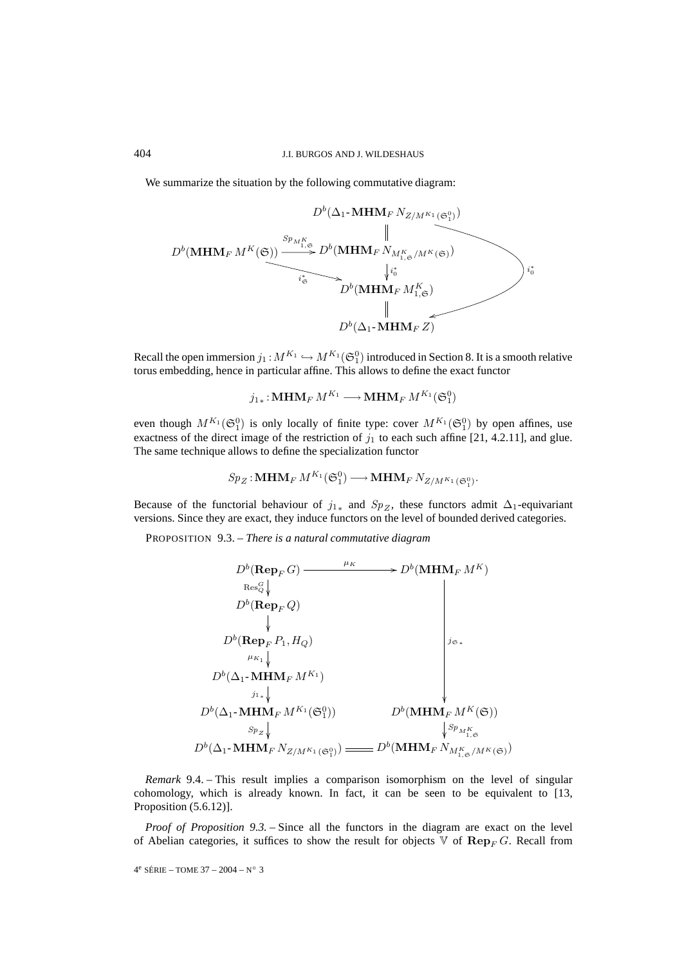We summarize the situation by the following commutative diagram:

$$
D^{b}(\mathbf{MHM}_{F} N_{Z/M^{K_{1}}(\mathfrak{S}_{1}^{0})})
$$
\n
$$
D^{b}(\mathbf{MHM}_{F} M^{K}(\mathfrak{S}))
$$
\n
$$
D^{b}(\mathbf{MHM}_{F} N_{M_{1,\mathfrak{S}}^{K}/M^{K}(\mathfrak{S}))}
$$
\n
$$
\downarrow i_{\mathfrak{S}}^{*}
$$
\n
$$
D^{b}(\mathbf{MHM}_{F} M_{1,\mathfrak{S}}^{K})
$$
\n
$$
\downarrow i_{0}^{*}
$$
\n
$$
D^{b}(\Delta_{1} \cdot \mathbf{MHM}_{F} Z)
$$

Recall the open immersion  $j_1: M^{K_1} \hookrightarrow M^{K_1}(\mathfrak{S}_1^0)$  introduced in Section 8. It is a smooth relative torus embedding, hence in particular affine. This allows to define the exact functor

$$
j_{1*}: \mathbf{MHM}_F M^{K_1} \longrightarrow \mathbf{MHM}_F M^{K_1}(\mathfrak{S}_1^0)
$$

even though  $M^{K_1}(\mathfrak{S}_1^0)$  is only locally of finite type: cover  $M^{K_1}(\mathfrak{S}_1^0)$  by open affines, use exactness of the direct image of the restriction of  $j_1$  to each such affine [21, 4.2.11], and glue. The same technique allows to define the specialization functor

$$
Sp_Z:\mathbf{MHM}_F\,M^{K_1}(\mathfrak{S}_1^0)\longrightarrow\mathbf{MHM}_F\,N_{Z/M^{K_1}(\mathfrak{S}_1^0)}.
$$

Because of the functorial behaviour of  $j_{1*}$  and  $Sp_Z$ , these functors admit  $\Delta_1$ -equivariant versions. Since they are exact, they induce functors on the level of bounded derived categories.

PROPOSITION 9.3. – *There is a natural commutative diagram*

$$
D^{b}(\text{Rep}_{F} G) \longrightarrow D^{b}(\text{MHM}_{F} M^{K})
$$
  
\n
$$
D^{b}(\text{Rep}_{F} Q)
$$
  
\n
$$
D^{b}(\text{Rep}_{F} P_{1}, H_{Q})
$$
  
\n
$$
D^{b}(\Delta_{1} \cdot \text{MHM}_{F} M^{K_{1}})
$$
  
\n
$$
D^{b}(\Delta_{1} \cdot \text{MHM}_{F} M^{K_{1}})
$$
  
\n
$$
D^{b}(\Delta_{1} \cdot \text{MHM}_{F} M^{K_{1}}(\mathfrak{S}_{1}^{0}))
$$
  
\n
$$
S_{p_{Z}} \downarrow \qquad \qquad \downarrow S_{p_{M_{1,\mathfrak{S}}^{K}}}
$$
  
\n
$$
D^{b}(\Delta_{1} \cdot \text{MHM}_{F} N_{Z/M^{K_{1}}(\mathfrak{S}_{1}^{0})}) \longrightarrow D^{b}(\text{MHM}_{F} N_{M_{1,\mathfrak{S}}^{K}/M^{K}(\mathfrak{S})})
$$

*Remark* 9.4. – This result implies a comparison isomorphism on the level of singular cohomology, which is already known. In fact, it can be seen to be equivalent to [13, Proposition (5.6.12)].

*Proof of Proposition 9.3.* – Since all the functors in the diagram are exact on the level of Abelian categories, it suffices to show the result for objects  $\nabla$  of  $\mathbf{Rep}_F G$ . Recall from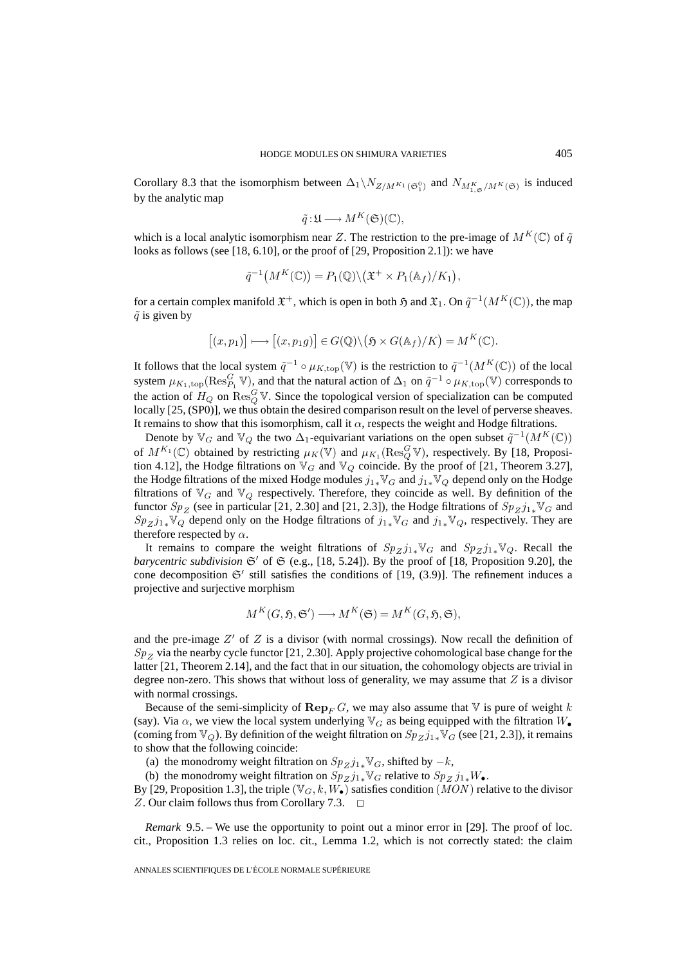Corollary 8.3 that the isomorphism between  $\Delta_1\setminus N_{Z/M^{K_1}(\mathfrak{S}_1^0)}$  and  $N_{M^K_{1,\mathfrak{S}}/M^K(\mathfrak{S})}$  is induced by the analytic map

$$
\tilde{q} : \mathfrak{U} \longrightarrow M^K(\mathfrak{S})(\mathbb{C}),
$$

which is a local analytic isomorphism near Z. The restriction to the pre-image of  $M^{K}(\mathbb{C})$  of  $\tilde{q}$ looks as follows (see [18, 6.10], or the proof of [29, Proposition 2.1]): we have  $\frac{1}{6}$ <br>= 0.1

$$
\tilde{q}^{-1}(M^K(\mathbb{C})) = P_1(\mathbb{Q}) \backslash (\mathfrak{X}^+ \times P_1(\mathbb{A}_f)/K_1),
$$

for a certain complex manifold  $\mathfrak{X}^+$ , which is open in both  $\mathfrak{H}$  and  $\mathfrak{X}_1$ . On  $\tilde{q}^{-1}(M^K(\mathbb{C}))$ , the map  $\tilde{q}$  is given by  $^{-1}(M^K(\mathbb{C})) = P_1(\mathbb{Q}) \setminus (\mathfrak{X}^+ \times P_1(\mathbb{A}_f)/F)$ <br>
aifold  $\mathfrak{X}^+$ , which is open in both  $\mathfrak{H}$  and  $\mathfrak{X}_1$ <br>  $\longmapsto [(x, p_1 g)] \in G(\mathbb{Q}) \setminus (\mathfrak{H} \times G(\mathbb{A}_f)/F)$ 

$$
[(x, p_1)] \longrightarrow [(x, p_1g)] \in G(\mathbb{Q}) \setminus (\mathfrak{H} \times G(\mathbb{A}_f)/K) = M^K(\mathbb{C}).
$$

It follows that the local system  $\tilde{q}^{-1} \circ \mu_{K,\text{top}}(\mathbb{V})$  is the restriction to  $\tilde{q}^{-1}(M^K(\mathbb{C}))$  of the local system  $\mu_{K_1,\text{top}}(\text{Res}_{P_1}^G \mathbb{V})$ , and that the natural action of  $\Delta_1$  on  $\tilde{q}^{-1} \circ \mu_{K,\text{top}}(\mathbb{V})$  corresponds to the action of  $H_Q$  on  $\text{Res}_Q^G$  V. Since the topological version of specialization can be computed locally  $[25, (SP0)]$ , we thus obtain the desired comparison result on the level of perverse sheaves. It remains to show that this isomorphism, call it  $\alpha$ , respects the weight and Hodge filtrations.

Denote by  $\mathbb{V}_G$  and  $\mathbb{V}_Q$  the two  $\Delta_1$ -equivariant variations on the open subset  $\tilde{q}^{-1}(M^K(\mathbb{C}))$ of  $M^{K_1}(\mathbb{C})$  obtained by restricting  $\mu_K(\mathbb{V})$  and  $\mu_{K_1}(\text{Res}_Q^G \mathbb{V})$ , respectively. By [18, Proposition 4.12], the Hodge filtrations on  $\mathbb{V}_G$  and  $\mathbb{V}_Q$  coincide. By the proof of [21, Theorem 3.27], the Hodge filtrations of the mixed Hodge modules  $j_{1*}\mathbb{V}_G$  and  $j_{1*}\mathbb{V}_Q$  depend only on the Hodge filtrations of  $\mathbb{V}_G$  and  $\mathbb{V}_Q$  respectively. Therefore, they coincide as well. By definition of the functor  $Sp_{Z}$  (see in particular [21, 2.30] and [21, 2.3]), the Hodge filtrations of  $Sp_{Z}j_{1*}\mathbb{V}_{G}$  and  $Sp_{Zj_1*}\mathbb{V}_Q$  depend only on the Hodge filtrations of  $j_1*\mathbb{V}_G$  and  $j_1*\mathbb{V}_Q$ , respectively. They are therefore respected by  $\alpha$ .

It remains to compare the weight filtrations of  $Sp_{Z}j_{1*}\mathbb{V}_{G}$  and  $Sp_{Z}j_{1*}\mathbb{V}_{Q}$ . Recall the barycentric subdivision  $\mathfrak{S}'$  of  $\mathfrak{S}$  (e.g., [18, 5.24]). By the proof of [18, Proposition 9.20], the cone decomposition  $\mathfrak{S}'$  still satisfies the conditions of [19, (3.9)]. The refinement induces a projective and surjective morphism

$$
M^K(G, \mathfrak{H}, \mathfrak{S}') \longrightarrow M^K(\mathfrak{S}) = M^K(G, \mathfrak{H}, \mathfrak{S}),
$$

and the pre-image  $Z'$  of  $Z$  is a divisor (with normal crossings). Now recall the definition of  $Sp<sub>Z</sub>$  via the nearby cycle functor [21, 2.30]. Apply projective cohomological base change for the latter [21, Theorem 2.14], and the fact that in our situation, the cohomology objects are trivial in degree non-zero. This shows that without loss of generality, we may assume that  $Z$  is a divisor with normal crossings.

Because of the semi-simplicity of  $\mathbf{Rep}_F G$ , we may also assume that V is pure of weight k (say). Via  $\alpha$ , we view the local system underlying  $\mathbb{V}_G$  as being equipped with the filtration  $W_{\bullet}$ (coming from  $\mathbb{V}_Q$ ). By definition of the weight filtration on  $Sp_Zj_{1*}\mathbb{V}_G$  (see [21, 2.3]), it remains to show that the following coincide:

(a) the monodromy weight filtration on  $Sp_{Zj_1*}V_G$ , shifted by  $-k$ ,

(b) the monodromy weight filtration on  $Sp_Zj_{1*} \mathbb{V}_G$  relative to  $Sp_Zj_{1*}W_{\bullet}$ .

By [29, Proposition 1.3], the triple  $(\mathbb{V}_G, k, W_{\bullet})$  satisfies condition  $(MON)$  relative to the divisor Z. Our claim follows thus from Corollary 7.3.  $\Box$ 

*Remark* 9.5. – We use the opportunity to point out a minor error in [29]. The proof of loc. cit., Proposition 1.3 relies on loc. cit., Lemma 1.2, which is not correctly stated: the claim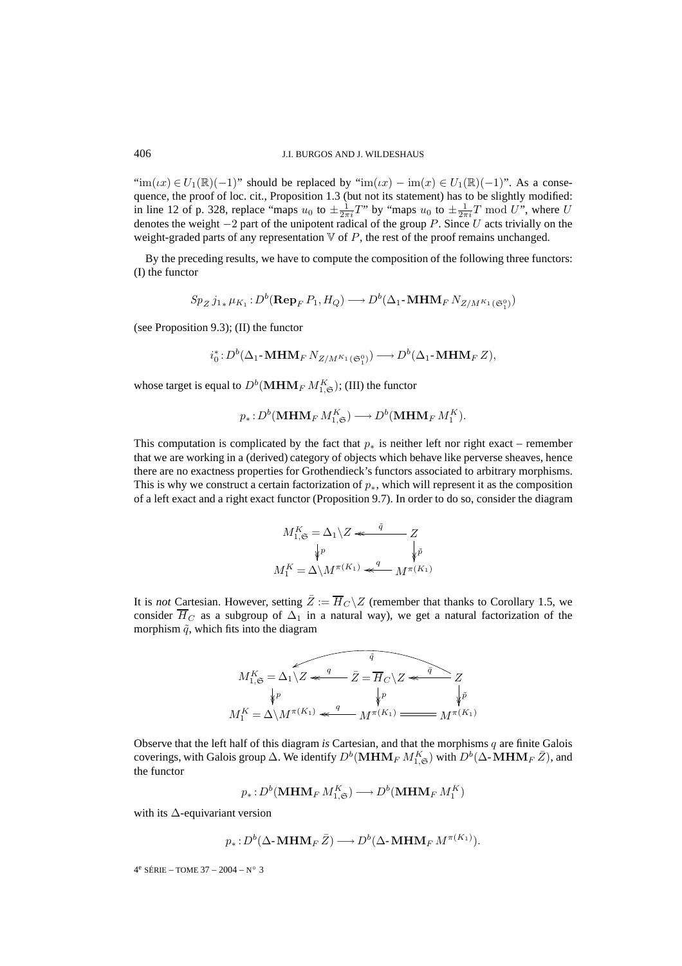$\text{``im}(ix) \in U_1(\mathbb{R})(-1)$ " should be replaced by " $\text{im}(ix) - \text{im}(x) \in U_1(\mathbb{R})(-1)$ ". As a consequence, the proof of loc. cit., Proposition 1.3 (but not its statement) has to be slightly modified: in line 12 of p. 328, replace "maps  $u_0$  to  $\pm \frac{1}{2\pi i}T$ " by "maps  $u_0$  to  $\pm \frac{1}{2\pi i}T$  mod U", where U denotes the weight  $-2$  part of the unipotent radical of the group P. Since U acts trivially on the weight-graded parts of any representation  $\nabla$  of  $P$ , the rest of the proof remains unchanged.

By the preceding results, we have to compute the composition of the following three functors: (I) the functor

$$
Sp_Zj_{1*}\mu_{K_1}: D^b(\mathbf{Rep}_F P_1, H_Q) \longrightarrow D^b(\Delta_1\text{-}\mathbf{MHM}_F N_{Z/M^{K_1}(\mathfrak{S}_1^0)})
$$

(see Proposition 9.3); (II) the functor

$$
i_0^*: D^b(\Delta_1\text{-}\mathbf{MHM}_F\, N_{Z/M^{K_1}(\mathfrak{S}_1^0)}) \longrightarrow D^b(\Delta_1\text{-}\mathbf{MHM}_F\, Z),
$$

whose target is equal to  $D^b(\mathbf{MHM}_F M_{1,\mathfrak{S}}^K)$ ; (III) the functor

$$
p_*: D^b(\mathbf{MHM}_F M_{1,\mathfrak{S}}^K) \longrightarrow D^b(\mathbf{MHM}_F M_{1}^K).
$$

This computation is complicated by the fact that  $p_*$  is neither left nor right exact – remember that we are working in a (derived) category of objects which behave like perverse sheaves, hence there are no exactness properties for Grothendieck's functors associated to arbitrary morphisms. This is why we construct a certain factorization of  $p_{*}$ , which will represent it as the composition of a left exact and a right exact functor (Proposition 9.7). In order to do so, consider the diagram

$$
M_{1,\mathfrak{S}}^{K} = \Delta_1 \backslash Z \ll \frac{\tilde{q}}{\sqrt{\tilde{p}}}
$$

$$
M_1^{K} = \Delta \backslash M^{\pi(K_1)} \ll \frac{q}{M^{\pi(K_1)}}
$$

It is *not* Cartesian. However, setting  $\overline{Z} := \overline{H}_C \backslash Z$  (remember that thanks to Corollary 1.5, we consider  $\overline{H}_C$  as a subgroup of  $\Delta_1$  in a natural way), we get a natural factorization of the morphism  $\tilde{q}$ , which fits into the diagram

$$
M_{1,\mathfrak{S}}^{K} = \Delta_1 \overbrace{\chi_Z \overset{q}{\underset{\big\downarrow^p}{\big\downarrow^p}}}^{\tilde{q}} \overline{Z} = \overline{H}_C \setminus Z \overset{\tilde{q}}{\underset{\big\downarrow^p}{\underbrace{\big\downarrow^p}}} Z
$$
  

$$
M_1^{K} = \Delta \setminus M^{\pi(K_1)} \overset{q}{\underset{\big\downarrow^p}{\longleftarrow}} M^{\pi(K_1)} \overset{\tilde{q}}{\underset{\big\downarrow^p}{\longleftarrow}} M^{\pi(K_1)}
$$

Observe that the left half of this diagram *is* Cartesian, and that the morphisms q are finite Galois coverings, with Galois group  $\Delta$ . We identify  $D^b(\mathbf{MHM}_F M_{1,\mathfrak{S}}^K)$  with  $D^b(\Delta\text{-}\mathbf{MHM}_F \bar{Z})$ , and the functor

$$
p_*\colon\! D^b(\mathbf{MHM}_F\,M_{1,\mathfrak{S}}^K)\longrightarrow\! D^b(\mathbf{MHM}_F\,M_{1}^K)
$$

with its ∆-equivariant version

$$
p_*: D^b(\Delta\text{-}\mathbf{MHM}_F\,\bar{Z}) \longrightarrow D^b(\Delta\text{-}\mathbf{MHM}_F\,M^{\pi(K_1)}).
$$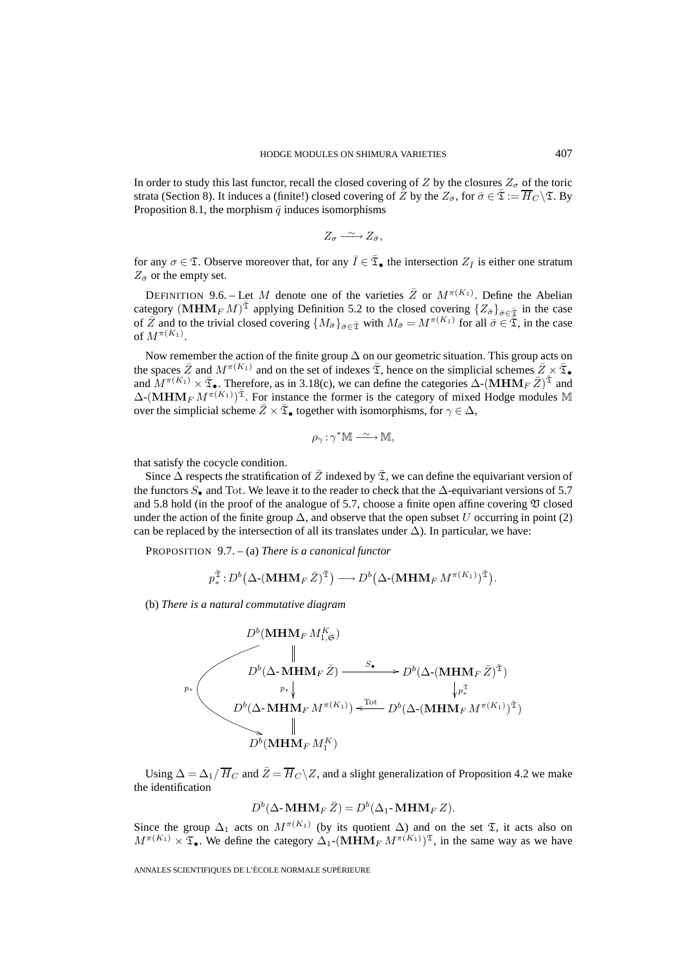In order to study this last functor, recall the closed covering of Z by the closures  $Z_{\sigma}$  of the toric strata (Section 8). It induces a (finite!) closed covering of  $\overline{Z}$  by the  $Z_{\overline{\sigma}}$ , for  $\overline{\sigma} \in \overline{\mathfrak{T}}_C \backslash \mathfrak{T}$ . By Proposition 8.1, the morphism  $\bar{q}$  induces isomorphisms

$$
Z_{\sigma} \xrightarrow{\sim} Z_{\bar{\sigma}},
$$

for any  $\sigma \in \mathfrak{T}$ . Observe moreover that, for any  $\bar{I} \in \bar{\mathfrak{T}}_{\bullet}$  the intersection  $Z_{\bar{I}}$  is either one stratum  $Z_{\bar{\sigma}}$  or the empty set.

DEFINITION 9.6. – Let M denote one of the varieties  $\overline{Z}$  or  $M^{\pi(K_1)}$ . Define the Abelian category  $(MHM<sub>F</sub> M)<sup>z</sup>$  applying Definition 5.2 to the closed covering  ${Z_{\bar{\sigma}}}_{\bar{\sigma}\in\bar{\mathfrak{T}}}$  in the case of  $\overline{Z}$  and to the trivial closed covering  $\{M_{\overline{\sigma}}\}_{\overline{\sigma}\in\overline{\mathfrak{T}}}$  with  $M_{\overline{\sigma}} = M^{\pi(K_1)}$  for all  $\overline{\sigma}\in\overline{\mathfrak{T}}$ , in the case of  $M^{\pi(K_1)}$ .

Now remember the action of the finite group ∆ on our geometric situation. This group acts on the spaces  $\bar{Z}$  and  $M^{\pi(K_1)}$  and on the set of indexes  $\bar{X}$ , hence on the simplicial schemes  $\bar{Z}\times\bar{\mathfrak{T}}$ and  $M^{\pi(K_1)} \times \bar{X}_\bullet$ . Therefore, as in 3.18(c), we can define the categories  $\Delta$ -(MHM<sub>F</sub>  $\bar{Z}$ <sup>) $\bar{\tilde{X}}$ </sup> and  $\Delta$ -(MHM<sub>F</sub>  $M^{\pi(K_1)}$ )<sup> $\bar{x}$ </sup>. For instance the former is the category of mixed Hodge modules M over the simplicial scheme  $\bar{Z} \times \bar{\mathfrak{T}}_{\bullet}$  together with isomorphisms, for  $\gamma \in \Delta$ ,

$$
\rho_{\gamma} : \gamma^* \mathbb{M} \longrightarrow \mathbb{M},
$$

that satisfy the cocycle condition.

Since  $\Delta$  respects the stratification of  $\overline{Z}$  indexed by  $\overline{X}$ , we can define the equivariant version of the functors  $S_{\bullet}$  and Tot. We leave it to the reader to check that the  $\Delta$ -equivariant versions of 5.7 and 5.8 hold (in the proof of the analogue of 5.7, choose a finite open affine covering  $\mathfrak V$  closed under the action of the finite group  $\Delta$ , and observe that the open subset U occurring in point (2)<br>can be replaced by the intersection of all its translates under  $\Delta$ ). In particular, we have:<br>PROPOSITION 9.7. – (a) Th can be replaced by the intersection of all its translates under  $\Delta$ ). In particular, we have: こし<br>d c<br>its<br><sup>す</sup> T¯

PROPOSITION 9.7. – (a) *There is a canonical functor*

$$
p_*^{\bar{\mathfrak{T}}}: D^b(\Delta\cdot (MHM_F\bar{Z})^{\bar{\mathfrak{T}}}) \longrightarrow D^b(\Delta\cdot (MHM_F M^{\pi(K_1)})^{\bar{\mathfrak{T}}}).
$$

(b) *There is a natural commutative diagram*

$$
D^{b}(\mathbf{MHM}_{F} M_{1,\mathfrak{S}}^{K})
$$
\n
$$
\parallel
$$
\n
$$
D^{b}(\Delta \cdot \mathbf{MHM}_{F} \bar{Z}) \xrightarrow{\mathcal{S} \bullet} D^{b}(\Delta \cdot (\mathbf{MHM}_{F} \bar{Z})^{\bar{\mathfrak{T}}})
$$
\n
$$
D^{b}(\Delta \cdot \mathbf{MHM}_{F} M^{\pi(K_{1})}) \xleftarrow{\text{Tot}} D^{b}(\Delta \cdot (\mathbf{MHM}_{F} M^{\pi(K_{1})})^{\bar{\mathfrak{T}}})
$$
\n
$$
\parallel
$$
\n
$$
D^{b}(\mathbf{MHM}_{F} M_{1}^{K})
$$

Using  $\Delta = \Delta_1 / \overline{H}_C$  and  $\overline{Z} = \overline{H}_C \backslash Z$ , and a slight generalization of Proposition 4.2 we make the identification

$$
D^{b}(\Delta\text{-}\mathbf{MHM}_{F}\bar{Z})=D^{b}(\Delta_{1}\text{-}\mathbf{MHM}_{F}Z).
$$

Since the group  $\Delta_1$  acts on  $M^{\pi(K_1)}$  (by its quotient  $\Delta$ ) and on the set  $\mathfrak{T}$ , it acts also on  $M^{\pi(K_1)} \times \mathfrak{T}_\bullet$ . We define the category  $\Delta_1$ - $(MHM_F M^{\pi(K_1)})^{\mathfrak{T}}$ , in the same way as we have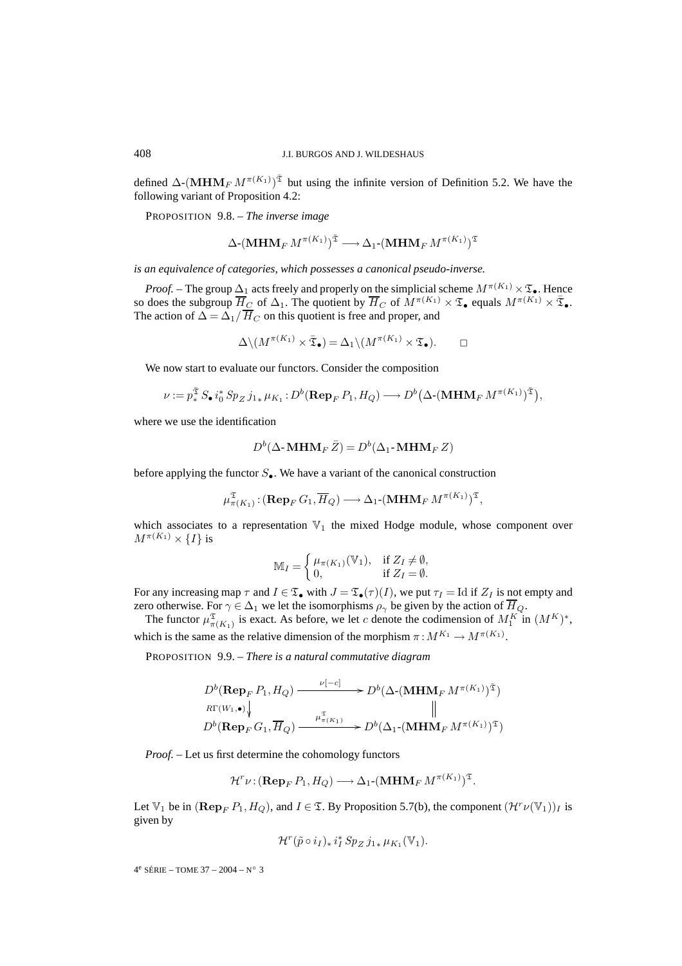defined  $\Delta$ -(**MHM**<sub>F</sub>  $M^{\pi(K_1)}$ )<sup> $\bar{x}$ </sup> but using the infinite version of Definition 5.2. We have the following variant of Proposition 4.2:

PROPOSITION 9.8. – *The inverse image*

$$
\Delta\text{-}\left(\mathbf{MHM}_{F}\,M^{\pi(K_1)}\right)^{\mathfrak{T}}\longrightarrow\Delta_1\text{-}\left(\mathbf{MHM}_{F}\,M^{\pi(K_1)}\right)^{\mathfrak{T}}
$$

*is an equivalence of categories, which possesses a canonical pseudo-inverse.*

*Proof.* – The group  $\Delta_1$  acts freely and properly on the simplicial scheme  $M^{\pi(K_1)} \times \mathfrak{T}_{\bullet}$ . Hence so does the subgroup  $\overline{H}_C$  of  $\Delta_1$ . The quotient by  $\overline{H}_C$  of  $\overline{M}^{\pi(K_1)} \times \mathfrak{T}_\bullet$  equals  $M^{\pi(K_1)} \times \overline{\mathfrak{T}}_\bullet$ . The action of  $\Delta = \Delta_1 / \overline{H}_C$  on this quotient is free and proper, and

$$
\Delta \setminus (M^{\pi(K_1)} \times \bar{\mathfrak{T}}_{\bullet}) = \Delta_1 \setminus (M^{\pi(K_1)} \times \mathfrak{T}_{\bullet}). \square
$$

We now start to evaluate our functors. Consider the composition

$$
\Delta \setminus (M^{\pi(K_1)} \times \bar{\mathfrak{T}}_{\bullet}) = \Delta_1 \setminus (M^{\pi(K_1)} \times \mathfrak{T}_{\bullet}). \qquad \Box
$$
  
now start to evaluate our functors. Consider the composition  

$$
\nu := p_*^{\bar{\mathfrak{T}}} S_{\bullet} i_0^* Sp_Z j_{1*} \mu_{K_1} : D^b(\mathbf{Rep}_F P_1, H_Q) \longrightarrow D^b(\Delta \cdot (\mathbf{MHM}_F M^{\pi(K_1)})^{\bar{\mathfrak{T}}}),
$$

where we use the identification

$$
D^b(\Delta\text{-}\mathbf{MHM}_F\,\bar{Z})=D^b(\Delta_1\text{-}\mathbf{MHM}_F\,Z)
$$

before applying the functor  $S_{\bullet}$ . We have a variant of the canonical construction

$$
\mu_{\pi(K_1)}^{\mathfrak{T}}\colon (\mathbf{Rep}_F\,G_1,\overline{H}_Q)\longrightarrow \Delta_1\text{-}\left(\mathbf{MHM}_F\,M^{\pi(K_1)}\right)^{\mathfrak{T}},
$$

which associates to a representation  $\mathbb{V}_1$  the mixed Hodge module, whose component over  $M^{\pi(K_1)}\times \{I\}$  is

$$
\mathbb{M}_I = \begin{cases} \mu_{\pi(K_1)}(\mathbb{V}_1), & \text{if } Z_I \neq \emptyset, \\ 0, & \text{if } Z_I = \emptyset. \end{cases}
$$

For any increasing map  $\tau$  and  $I \in \mathfrak{T}_{\bullet}$  with  $J = \mathfrak{T}_{\bullet}(\tau)(I)$ , we put  $\tau_I = \text{Id}$  if  $Z_I$  is not empty and zero otherwise. For  $\gamma \in \Delta_1$  we let the isomorphisms  $\rho_{\gamma}$  be given by the action of  $\overline{H}_Q$ .

The functor  $\mu_{\pi(K_1)}^{\mathfrak{T}}$  is exact. As before, we let c denote the codimension of  $M_1^K$  in  $(M^K)^*$ , which is the same as the relative dimension of the morphism  $\pi: M^{K_1} \to M^{\pi(K_1)}$ .

PROPOSITION 9.9. – *There is a natural commutative diagram*

$$
D^{b}(\operatorname{Rep}_F P_1, H_Q) \xrightarrow{\nu[-c]} D^{b}(\Delta \cdot (\operatorname{MHM}_F M^{\pi(K_1)})^{\bar{\mathfrak{T}}})
$$
  

$$
E(\mathbf{W}_1, \bullet) \downarrow \qquad \qquad \parallel
$$
  

$$
D^{b}(\operatorname{Rep}_F G_1, \overline{H}_Q) \xrightarrow{\mu_{\pi(K_1)}^{\bar{\mathfrak{T}}}} D^{b}(\Delta_1 \cdot (\operatorname{MHM}_F M^{\pi(K_1)})^{\bar{\mathfrak{T}}})
$$

*Proof. –* Let us first determine the cohomology functors

$$
\mathcal{H}^r\nu: (\mathbf{Rep}_F P_1, H_Q) \longrightarrow \Delta_1\text{-} (\mathbf{MHM}_F M^{\pi(K_1)})^{\mathfrak{T}}.
$$

Let  $\mathbb{V}_1$  be in  $(\mathbf{Rep}_F P_1, H_Q)$ , and  $I \in \mathcal{I}$ . By Proposition 5.7(b), the component  $(\mathcal{H}^r \nu(\mathbb{V}_1))_I$  is given by

$$
\mathcal{H}^r(\tilde{p} \circ i_I)_* i_I^* Sp_Z j_{1*} \mu_{K_1}(\mathbb{V}_1).
$$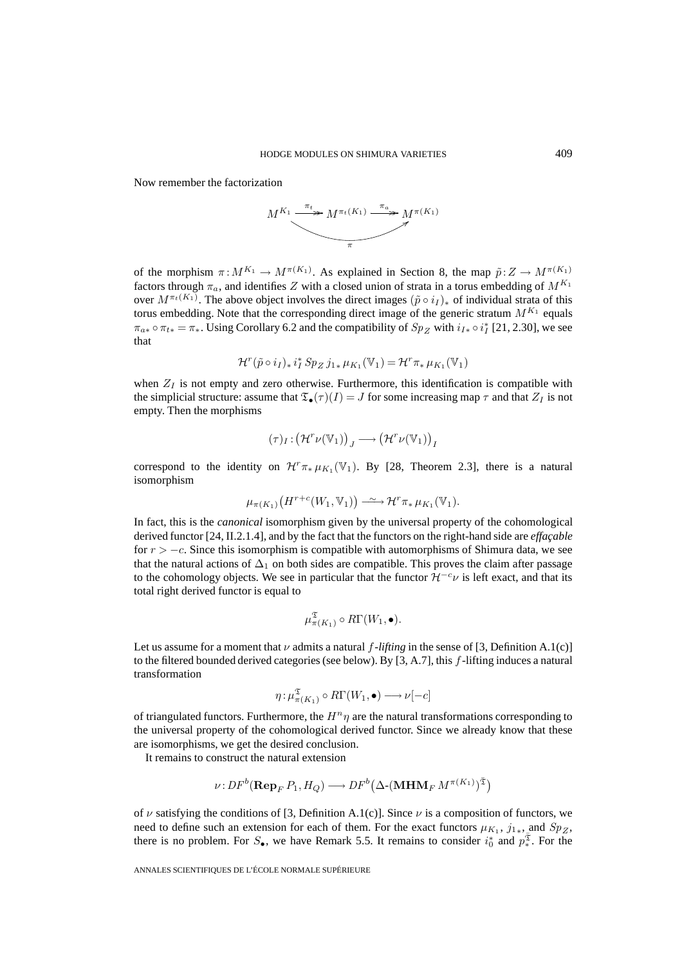Now remember the factorization



of the morphism  $\pi : M^{K_1} \to M^{\pi(K_1)}$ . As explained in Section 8, the map  $\tilde{p}: Z \to M^{\pi(K_1)}$ factors through  $\pi_a$ , and identifies Z with a closed union of strata in a torus embedding of  $M^{K_1}$ over  $M^{\pi_t(K_1)}$ . The above object involves the direct images  $(\tilde{p} \circ i_I)_*$  of individual strata of this torus embedding. Note that the corresponding direct image of the generic stratum  $M^{K_1}$  equals  $\pi_{a*} \circ \pi_{t*} = \pi_*$ . Using Corollary 6.2 and the compatibility of  $Sp_Z$  with  $i_{I*} \circ i_I^*$  [21, 2.30], we see that

$$
\mathcal{H}^r(\tilde{p} \circ i_I)_* i_I^* Sp_Z j_{1*} \mu_{K_1}(\mathbb{V}_1) = \mathcal{H}^r \pi_* \mu_{K_1}(\mathbb{V}_1)
$$

when  $Z_I$  is not empty and zero otherwise. Furthermore, this identification is compatible with the simplicial structure: assume that  $\mathfrak{T}_{\bullet}(\tau)(I) = J$  for some increasing map  $\tau$  and that  $Z_I$  is not empty. Then the morphisms therwise. Furthermore, this identified to  $\mathfrak{T}_{\bullet}(\tau)(I) = J$  for some increasing  $(\mathcal{H}^r\nu(\mathbb{V}_1))_J \longrightarrow (\mathcal{H}^r\nu(\mathbb{V}_1))_J$ 

$$
(\tau)_I: \big(\mathcal{H}^r\nu(\mathbb{V}_1)\big)_J \longrightarrow \big(\mathcal{H}^r\nu(\mathbb{V}_1)\big)_I
$$

correspond to the identity on  $\mathcal{H}^r \pi_* \mu_{K_1}(\mathbb{V}_1)$ . By [28, Theorem 2.3], there is a natural isomorphism

$$
\mu_{\pi(K_1)}\big(H^{r+c}(W_1,\mathbb{V}_1)\big) \longrightarrow \mathcal{H}^r \pi_* \mu_{K_1}(\mathbb{V}_1).
$$

In fact, this is the *canonical* isomorphism given by the universal property of the cohomological derived functor [24, II.2.1.4], and by the fact that the functors on the right-hand side are *effaçable* for  $r > -c$ . Since this isomorphism is compatible with automorphisms of Shimura data, we see that the natural actions of  $\Delta_1$  on both sides are compatible. This proves the claim after passage to the cohomology objects. We see in particular that the functor  $\mathcal{H}^{-c} \nu$  is left exact, and that its total right derived functor is equal to

$$
\mu_{\pi(K_1)}^{\mathfrak{T}} \circ R\Gamma(W_1, \bullet).
$$

Let us assume for a moment that  $\nu$  admits a natural f-lifting in the sense of [3, Definition A.1(c)] to the filtered bounded derived categories (see below). By  $[3, A.7]$ , this f-lifting induces a natural transformation

$$
\eta : \mu_{\pi(K_1)}^{\mathfrak{T}} \circ R\Gamma(W_1, \bullet) \longrightarrow \nu[-c]
$$

of triangulated functors. Furthermore, the  $H<sup>n</sup> \eta$  are the natural transformations corresponding to the universal property of the cohomological derived functor. Since we already know that these are isomorphisms, we get the desired conclusion. Furthermore, the  $H^n \eta$  are the cohomological derived<br>the desired conclusion.<br>the natural extension<br>(**Rep**<sub>F</sub>  $P_1$ ,  $H_Q$ )  $\longrightarrow DF^b$ ons<br>ad<sub>.</sub><br>え

It remains to construct the natural extension

$$
\nu \colon \! DF^b(\mathbf{Rep}_F P_1, H_Q) \longrightarrow DF^b\big(\Delta\text{-}\langle \mathbf{MHM}_{F} \, M^{\pi(K_1)}\rangle^{\mathfrak{T}}\big)
$$

of  $\nu$  satisfying the conditions of [3, Definition A.1(c)]. Since  $\nu$  is a composition of functors, we need to define such an extension for each of them. For the exact functors  $\mu_{K_1}$ ,  $j_{1*}$ , and  $Sp_Z$ , there is no problem. For  $S_{\bullet}$ , we have Remark 5.5. It remains to consider  $i_0^*$  and  $p_*^{\bar{x}}$ . For the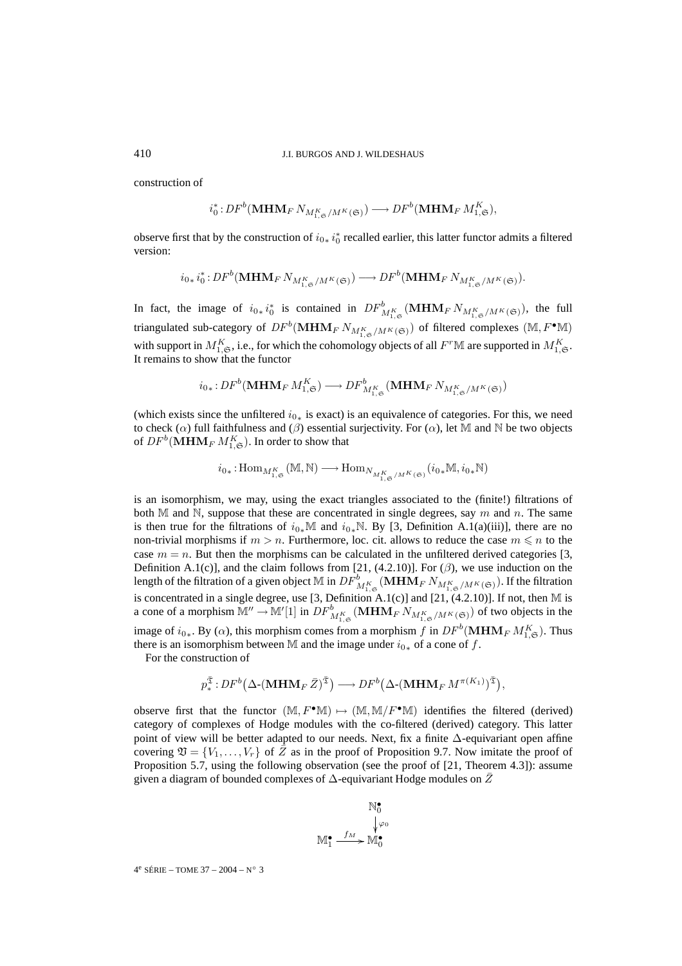construction of

$$
i_0^*: DF^b(\mathbf{MHM}_F N_{M_{1,\mathfrak{S}}^K/M^K(\mathfrak{S})}) \longrightarrow DF^b(\mathbf{MHM}_F M_{1,\mathfrak{S}}^K),
$$

observe first that by the construction of  $i_{0*} i_0^*$  recalled earlier, this latter functor admits a filtered version:

$$
i_{0*} i_0^* : DF^b(\mathbf{MHM}_F N_{M_{1,\mathfrak{S}}^K/M^K(\mathfrak{S})}) \longrightarrow DF^b(\mathbf{MHM}_F N_{M_{1,\mathfrak{S}}^K/M^K(\mathfrak{S})}).
$$

In fact, the image of  $i_{0*}i_0^*$  is contained in  $DF^b_{M^K_{1,\mathfrak{S}}}(\mathbf{MHM}_F N_{M^K_{1,\mathfrak{S}}/M^K(\mathfrak{S})})$ , the full triangulated sub-category of  $DF^b(\mathbf{MHM}_F N_{M^K_{1, \mathfrak{S}}/M^K(\mathfrak{S})})$  of filtered complexes  $(\mathbb{M}, F^\bullet \mathbb{M})$ with support in  $M_{1,\mathfrak{S}}^K$ , i.e., for which the cohomology objects of all  $F^r\mathbb{M}$  are supported in  $M_{1,\mathfrak{S}}^K$ . It remains to show that the functor

$$
i_{0*}:DF^b(\mathbf{MHM}_F\,M_{1,\mathfrak{S}}^K)\longrightarrow DF^b_{M_{1,\mathfrak{S}}}(\mathbf{MHM}_F\,N_{M_{1,\mathfrak{S}}^K/M^K(\mathfrak{S})})
$$

(which exists since the unfiltered  $i_{0*}$  is exact) is an equivalence of categories. For this, we need to check  $(\alpha)$  full faithfulness and  $(\beta)$  essential surjectivity. For  $(\alpha)$ , let M and N be two objects of  $DF^b(\mathbf{MHM}_F\,M_{1,\mathfrak{S}}^K).$  In order to show that

$$
{i_0}_* \colon \! \operatorname{Hom}_{M^K_{1,\mathfrak{S}}}(\mathbb{M},\mathbb{N}) \longrightarrow \operatorname{Hom}_{N_{M^K_{1,\mathfrak{S}}/M^K(\mathfrak{S})}}( {i_0}_*\mathbb{M}, {i_0}_*\mathbb{N})
$$

is an isomorphism, we may, using the exact triangles associated to the (finite!) filtrations of both M and N, suppose that these are concentrated in single degrees, say m and n. The same is then true for the filtrations of  $i_{0*}\mathbb{M}$  and  $i_{0*}\mathbb{N}$ . By [3, Definition A.1(a)(iii)], there are no non-trivial morphisms if  $m > n$ . Furthermore, loc. cit. allows to reduce the case  $m \leq n$  to the case  $m = n$ . But then the morphisms can be calculated in the unfiltered derived categories [3, Definition A.1(c)], and the claim follows from [21, (4.2.10)]. For ( $\beta$ ), we use induction on the length of the filtration of a given object  $\mathbb M$  in  $DF^b_{M^K_{1,\mathfrak{S}}}(\mathbf{MHM}_{F}N_{M^K_{1,\mathfrak{S}}/M^K(\mathfrak{S})}).$  If the filtration is concentrated in a single degree, use [3, Definition A.1(c)] and [21,  $(4.2.10)$ ]. If not, then M is a cone of a morphism  $M'' \to M'[1]$  in  $DF^b_{M^K_{1,\mathfrak{S}}}(\mathbf{MHM}_F N_{M^K_{1,\mathfrak{S}}/M^K(\mathfrak{S})})$  of two objects in the image of  $i_{0*}$ . By ( $\alpha$ ), this morphism comes from a morphism f in  $DF^b(\mathbf{MHM}_F M_{1,\mathfrak{S}}^K)$ . Thus there is an isomorphism between M and the image under  $i_{0*}$  of a cone of f. pinsin  $w_1 \rightarrow w_1$  [1] in  $Dr_{M_{1, \mathbf{c}}^K}$  (WHER<br>y ( $\alpha$ ), this morphism comes from a mo<br>orphism between M and the image und<br>vaction of<br> $\frac{\bar{x}}{2}: DF^b(\Delta\text{-}(MHM_F\bar{Z})^{\bar{x}}) \longrightarrow DF^b($  $\frac{F}{\hbar}$ <br>les<br> $\hbar$ e เพ<br>M<br>ริ\

For the construction of

$$
p^{\bar{\mathfrak{T}}}_{*}:DF^{b}\big(\Delta\text{-}\big(\mathbf{MHM}_{F}\,\bar{Z}\big)^{\bar{\mathfrak{T}}}\big) \longrightarrow DF^{b}\big(\Delta\text{-}\big(\mathbf{MHM}_{F}\,M^{\pi(K_{1})}\big)^{\bar{\mathfrak{T}}}\big),
$$

observe first that the functor  $(M, F^{\bullet}M) \mapsto (M, M/F^{\bullet}M)$  identifies the filtered (derived) category of complexes of Hodge modules with the co-filtered (derived) category. This latter point of view will be better adapted to our needs. Next, fix a finite ∆-equivariant open affine covering  $\mathfrak{V} = \{V_1, \ldots, V_r\}$  of  $\overline{Z}$  as in the proof of Proposition 9.7. Now imitate the proof of Proposition 5.7, using the following observation (see the proof of [21, Theorem 4.3]): assume given a diagram of bounded complexes of  $\Delta$ -equivariant Hodge modules on  $\bar{Z}$ 

$$
\mathbb{M}^{\bullet}_{0} \downarrow^{\varphi_{0}} \mathbb{M}^{\bullet}_{1} \xrightarrow{f_{M}} \mathbb{M}^{\bullet}_{0}
$$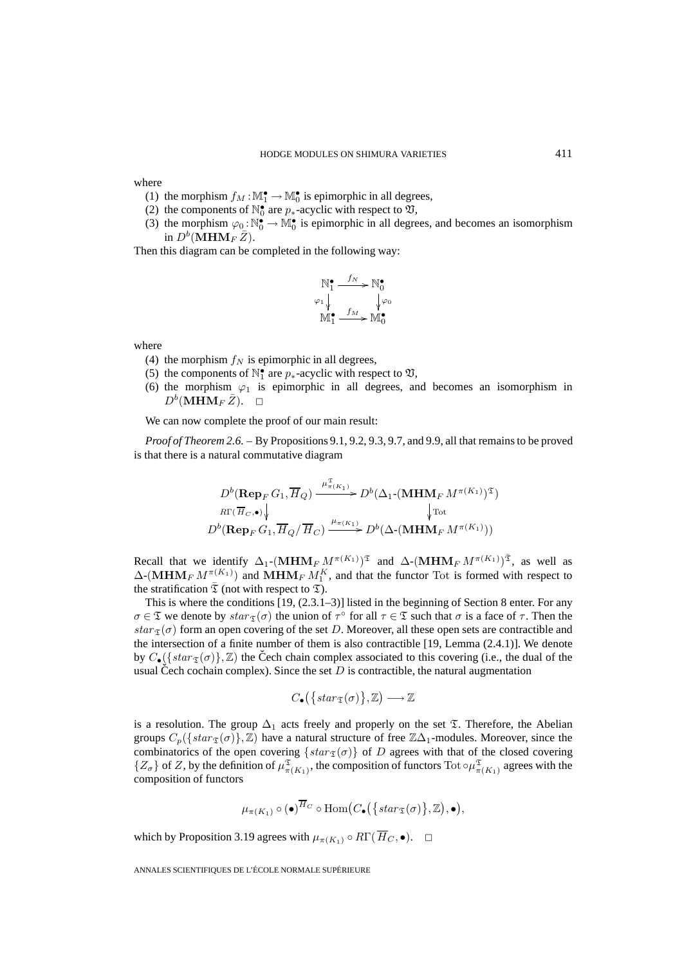where

- (1) the morphism  $f_M : \mathbb{M}_1^{\bullet} \to \mathbb{M}_0^{\bullet}$  is epimorphic in all degrees,
- (2) the components of  $\mathbb{N}_0^{\bullet}$  are  $p_*$ -acyclic with respect to  $\mathfrak{V},$
- (3) the morphism  $\varphi_0: \mathbb{N}_0^{\bullet} \to \mathbb{M}_0^{\bullet}$  is epimorphic in all degrees, and becomes an isomorphism in  $D^b(MHM_F Z)$ .

Then this diagram can be completed in the following way:

$$
\mathbb{N}_{1}^{\bullet} \xrightarrow{f_{N}} \mathbb{N}_{0}^{\bullet}
$$
\n
$$
\varphi_{1} \downarrow \qquad \qquad \downarrow \varphi_{0}
$$
\n
$$
\mathbb{M}_{1}^{\bullet} \xrightarrow{f_{M}} \mathbb{M}_{0}^{\bullet}
$$

where

- (4) the morphism  $f_N$  is epimorphic in all degrees,
- (5) the components of  $\mathbb{N}_1^{\bullet}$  are  $p_*$ -acyclic with respect to  $\mathfrak{V},$
- (6) the morphism  $\varphi_1$  is epimorphic in all degrees, and becomes an isomorphism in  $D^b(\mathbf{MHM}_F\bar{Z})$ .  $\Box$

We can now complete the proof of our main result:

*Proof of Theorem 2.6.* – By Propositions 9.1, 9.2, 9.3, 9.7, and 9.9, all that remains to be proved is that there is a natural commutative diagram

$$
D^{b}(\operatorname{Rep}_F G_1, \overline{H}_Q) \xrightarrow{\mu_{\pi(K_1)}} D^{b}(\Delta_1 \cdot (\operatorname{MHM}_F M^{\pi(K_1)})^{\mathfrak{T}})
$$
  

$$
R\Gamma(\overline{H}_C, \bullet) \downarrow \qquad \qquad \downarrow \text{Tot}
$$
  

$$
D^{b}(\operatorname{Rep}_F G_1, \overline{H}_Q / \overline{H}_C) \xrightarrow{\mu_{\pi(K_1)}} D^{b}(\Delta \cdot (\operatorname{MHM}_F M^{\pi(K_1)}))
$$

Recall that we identify  $\Delta_1$ -(**MHM**<sub>F</sub>  $M^{\pi(K_1)}$ )<sup>T</sup> and  $\Delta$ -(**MHM**<sub>F</sub>  $M^{\pi(K_1)}$ )<sup>T</sup>, as well as  $\Delta$ -(MHM<sub>F</sub>  $M_{\perp}^{\pi(K_1)}$ ) and MHM<sub>F</sub>  $M_1^K$ , and that the functor Tot is formed with respect to the stratification  $\overline{\mathfrak{T}}$  (not with respect to  $\mathfrak{T}$ ).

This is where the conditions  $[19, (2.3.1-3)]$  listed in the beginning of Section 8 enter. For any  $\sigma \in \mathfrak{T}$  we denote by  $star_{\mathfrak{T}}(\sigma)$  the union of  $\tau^{\circ}$  for all  $\tau \in \mathfrak{T}$  such that  $\sigma$  is a face of  $\tau$ . Then the  $star_{\mathcal{I}}(\sigma)$  form an open covering of the set D. Moreover, all these open sets are contractible and the intersection of a finite number of them is also contractible [19, Lemma (2.4.1)]. We denote by  $C_{\bullet}(\lbrace star_{\mathcal{I}}(\sigma) \rbrace, \mathbb{Z})$  the Čech chain complex associated to this covering (i.e., the dual of the usual Cech cochain complex). Since the set  $D$  is contractible, the natural augmentation

$$
C_{\bullet}\left(\left\{star\right(\sigma)\right\},\mathbb{Z}\right)\longrightarrow\mathbb{Z}
$$

is a resolution. The group  $\Delta_1$  acts freely and properly on the set  $\mathfrak T$ . Therefore, the Abelian groups  $C_p({\{star_\mathcal{I}(\sigma)\}, \mathbb{Z})$  have a natural structure of free  $\mathbb{Z}\Delta_1$ -modules. Moreover, since the combinatorics of the open covering  $\{star_\mathcal{I}(\sigma)\}\$  of D agrees with that of the closed covering  $\{Z_\sigma\}$  of Z, by the definition of  $\mu_{\pi(K_1)}^{\mathfrak{T}}$ , the composition of functors Tot  $\circ \mu_{\pi(K_1)}^{\mathfrak{T}}$  agrees with the composition of functors natural struc $;\{star_{\tau j}(\sigma)\}\$  the comp $\overline{H}_C$  o  $\text{Hom}($ 

$$
\mu_{\pi(K_1)} \circ (\bullet)^{\overline{H}_C} \circ \text{Hom}\big(C_{\bullet}\big(\big\{star(\sigma)\big\},\mathbb{Z}\big),\bullet\big),
$$

which by Proposition 3.19 agrees with  $\mu_{\pi(K_1)} \circ R\Gamma(\overline{H}_C, \bullet)$ .  $\Box$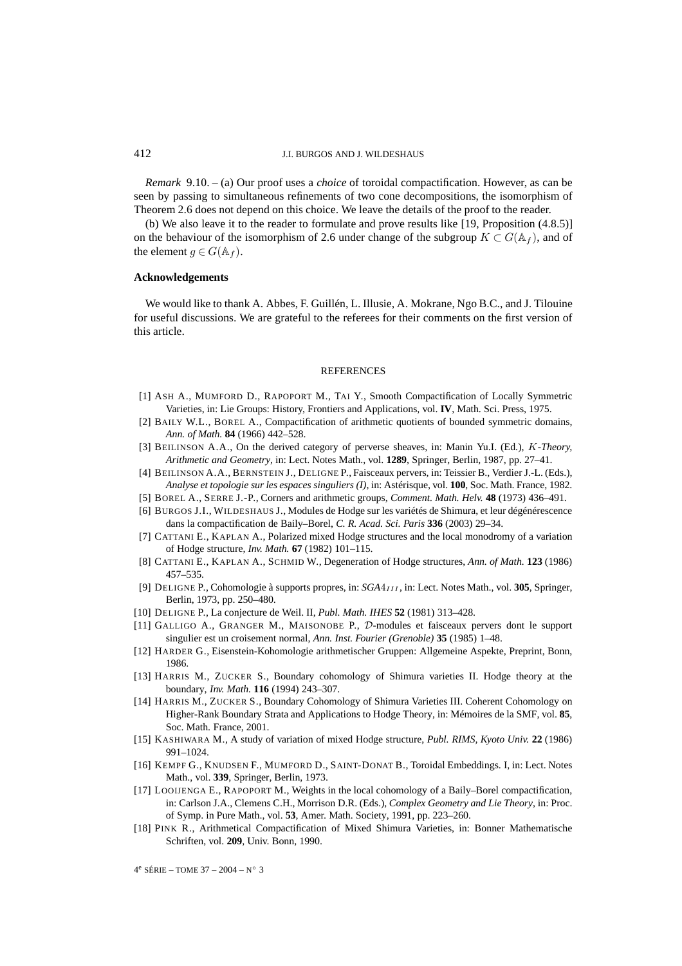*Remark* 9.10. – (a) Our proof uses a *choice* of toroidal compactification. However, as can be seen by passing to simultaneous refinements of two cone decompositions, the isomorphism of Theorem 2.6 does not depend on this choice. We leave the details of the proof to the reader.

(b) We also leave it to the reader to formulate and prove results like [19, Proposition (4.8.5)] on the behaviour of the isomorphism of 2.6 under change of the subgroup  $K \subset G(\mathbb{A}_f)$ , and of the element  $g \in G(\mathbb{A}_f)$ .

### **Acknowledgements**

We would like to thank A. Abbes, F. Guillén, L. Illusie, A. Mokrane, Ngo B.C., and J. Tilouine for useful discussions. We are grateful to the referees for their comments on the first version of this article.

#### **REFERENCES**

- [1] ASH A., MUMFORD D., RAPOPORT M., TAI Y., Smooth Compactification of Locally Symmetric Varieties, in: Lie Groups: History, Frontiers and Applications, vol. **IV**, Math. Sci. Press, 1975.
- [2] BAILY W.L., BOREL A., Compactification of arithmetic quotients of bounded symmetric domains, *Ann. of Math.* **84** (1966) 442–528.
- [3] BEILINSON A.A., On the derived category of perverse sheaves, in: Manin Yu.I. (Ed.), K*-Theory, Arithmetic and Geometry*, in: Lect. Notes Math., vol. **1289**, Springer, Berlin, 1987, pp. 27–41.
- [4] BEILINSON A.A., BERNSTEIN J., DELIGNE P., Faisceaux pervers, in: Teissier B., Verdier J.-L. (Eds.), *Analyse et topologie sur les espaces singuliers (I)*, in: Astérisque, vol. **100**, Soc. Math. France, 1982.
- [5] BOREL A., SERRE J.-P., Corners and arithmetic groups, *Comment. Math. Helv.* **48** (1973) 436–491.
- [6] BURGOS J.I., WILDESHAUS J., Modules de Hodge sur les variétés de Shimura, et leur dégénérescence dans la compactification de Baily–Borel, *C. R. Acad. Sci. Paris* **336** (2003) 29–34.
- [7] CATTANI E., KAPLAN A., Polarized mixed Hodge structures and the local monodromy of a variation of Hodge structure, *Inv. Math.* **67** (1982) 101–115.
- [8] CATTANI E., KAPLAN A., SCHMID W., Degeneration of Hodge structures, *Ann. of Math.* **123** (1986) 457–535.
- [9] DELIGNE P., Cohomologie à supports propres, in:  $SGA4<sub>III</sub>$ , in: Lect. Notes Math., vol. 305, Springer, Berlin, 1973, pp. 250–480.
- [10] DELIGNE P., La conjecture de Weil. II, *Publ. Math. IHES* **52** (1981) 313–428.
- [11] GALLIGO A., GRANGER M., MAISONOBE P., D-modules et faisceaux pervers dont le support singulier est un croisement normal, *Ann. Inst. Fourier (Grenoble)* **35** (1985) 1–48.
- [12] HARDER G., Eisenstein-Kohomologie arithmetischer Gruppen: Allgemeine Aspekte, Preprint, Bonn, 1986.
- [13] HARRIS M., ZUCKER S., Boundary cohomology of Shimura varieties II. Hodge theory at the boundary, *Inv. Math.* **116** (1994) 243–307.
- [14] HARRIS M., ZUCKER S., Boundary Cohomology of Shimura Varieties III. Coherent Cohomology on Higher-Rank Boundary Strata and Applications to Hodge Theory, in: Mémoires de la SMF, vol. **85**, Soc. Math. France, 2001.
- [15] KASHIWARA M., A study of variation of mixed Hodge structure, *Publ. RIMS, Kyoto Univ.* **22** (1986) 991–1024.
- [16] KEMPF G., KNUDSEN F., MUMFORD D., SAINT-DONAT B., Toroidal Embeddings. I, in: Lect. Notes Math., vol. **339**, Springer, Berlin, 1973.
- [17] LOOIJENGA E., RAPOPORT M., Weights in the local cohomology of a Baily–Borel compactification, in: Carlson J.A., Clemens C.H., Morrison D.R. (Eds.), *Complex Geometry and Lie Theory*, in: Proc. of Symp. in Pure Math., vol. **53**, Amer. Math. Society, 1991, pp. 223–260.
- [18] PINK R., Arithmetical Compactification of Mixed Shimura Varieties, in: Bonner Mathematische Schriften, vol. **209**, Univ. Bonn, 1990.